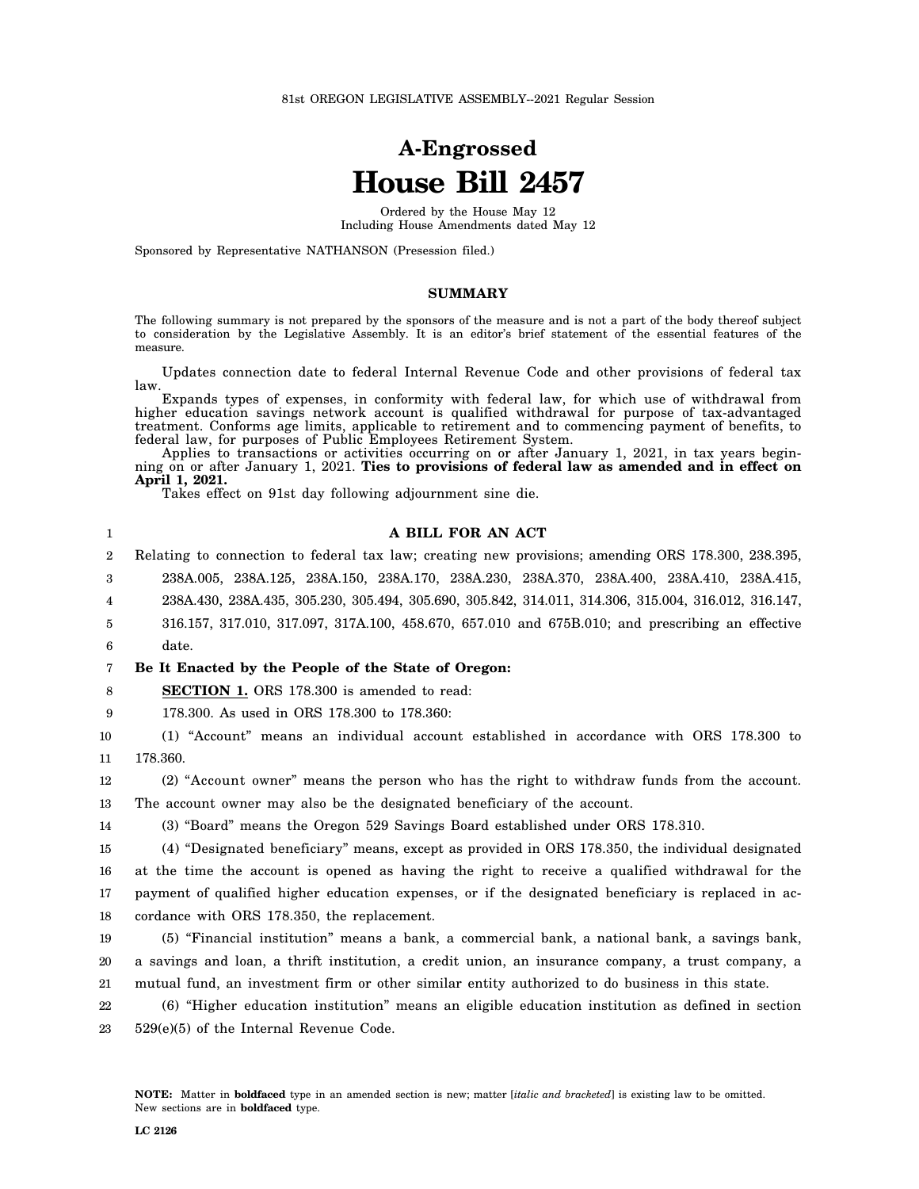# **A-Engrossed House Bill 2457**

Ordered by the House May 12 Including House Amendments dated May 12

Sponsored by Representative NATHANSON (Presession filed.)

#### **SUMMARY**

The following summary is not prepared by the sponsors of the measure and is not a part of the body thereof subject to consideration by the Legislative Assembly. It is an editor's brief statement of the essential features of the measure.

Updates connection date to federal Internal Revenue Code and other provisions of federal tax law.

Expands types of expenses, in conformity with federal law, for which use of withdrawal from higher education savings network account is qualified withdrawal for purpose of tax-advantaged treatment. Conforms age limits, applicable to retirement and to commencing payment of benefits, to federal law, for purposes of Public Employees Retirement System.

Applies to transactions or activities occurring on or after January 1, 2021, in tax years beginning on or after January 1, 2021. **Ties to provisions of federal law as amended and in effect on April 1, 2021.**

**A BILL FOR AN ACT**

Takes effect on 91st day following adjournment sine die.

| 2  | Relating to connection to federal tax law; creating new provisions; amending ORS 178.300, 238.395,   |
|----|------------------------------------------------------------------------------------------------------|
| 3  | 238A.005, 238A.125, 238A.150, 238A.170, 238A.230, 238A.370, 238A.400, 238A.410, 238A.415,            |
| 4  | 238A.430, 238A.435, 305.230, 305.494, 305.690, 305.842, 314.011, 314.306, 315.004, 316.012, 316.147, |
| 5  | 316.157, 317.010, 317.097, 317A.100, 458.670, 657.010 and 675B.010; and prescribing an effective     |
| 6  | date.                                                                                                |
| 7  | Be It Enacted by the People of the State of Oregon:                                                  |
| 8  | <b>SECTION 1.</b> ORS 178.300 is amended to read:                                                    |
| 9  | 178.300. As used in ORS 178.300 to 178.360:                                                          |
| 10 | (1) "Account" means an individual account established in accordance with ORS 178.300 to              |
| 11 | 178.360.                                                                                             |
| 12 | (2) "Account owner" means the person who has the right to withdraw funds from the account.           |
| 13 | The account owner may also be the designated beneficiary of the account.                             |
| 14 | (3) "Board" means the Oregon 529 Savings Board established under ORS 178.310.                        |
| 15 | (4) "Designated beneficiary" means, except as provided in ORS 178.350, the individual designated     |
| 16 | at the time the account is opened as having the right to receive a qualified withdrawal for the      |
| 17 | payment of qualified higher education expenses, or if the designated beneficiary is replaced in ac-  |
| 18 | cordance with ORS 178.350, the replacement.                                                          |
| 19 | (5) "Financial institution" means a bank, a commercial bank, a national bank, a savings bank,        |
| 20 | a savings and loan, a thrift institution, a credit union, an insurance company, a trust company, a   |
| 21 | mutual fund, an investment firm or other similar entity authorized to do business in this state.     |
| 22 | (6) "Higher education institution" means an eligible education institution as defined in section     |
| 23 | $529(e)(5)$ of the Internal Revenue Code.                                                            |
|    |                                                                                                      |
|    |                                                                                                      |
|    |                                                                                                      |

1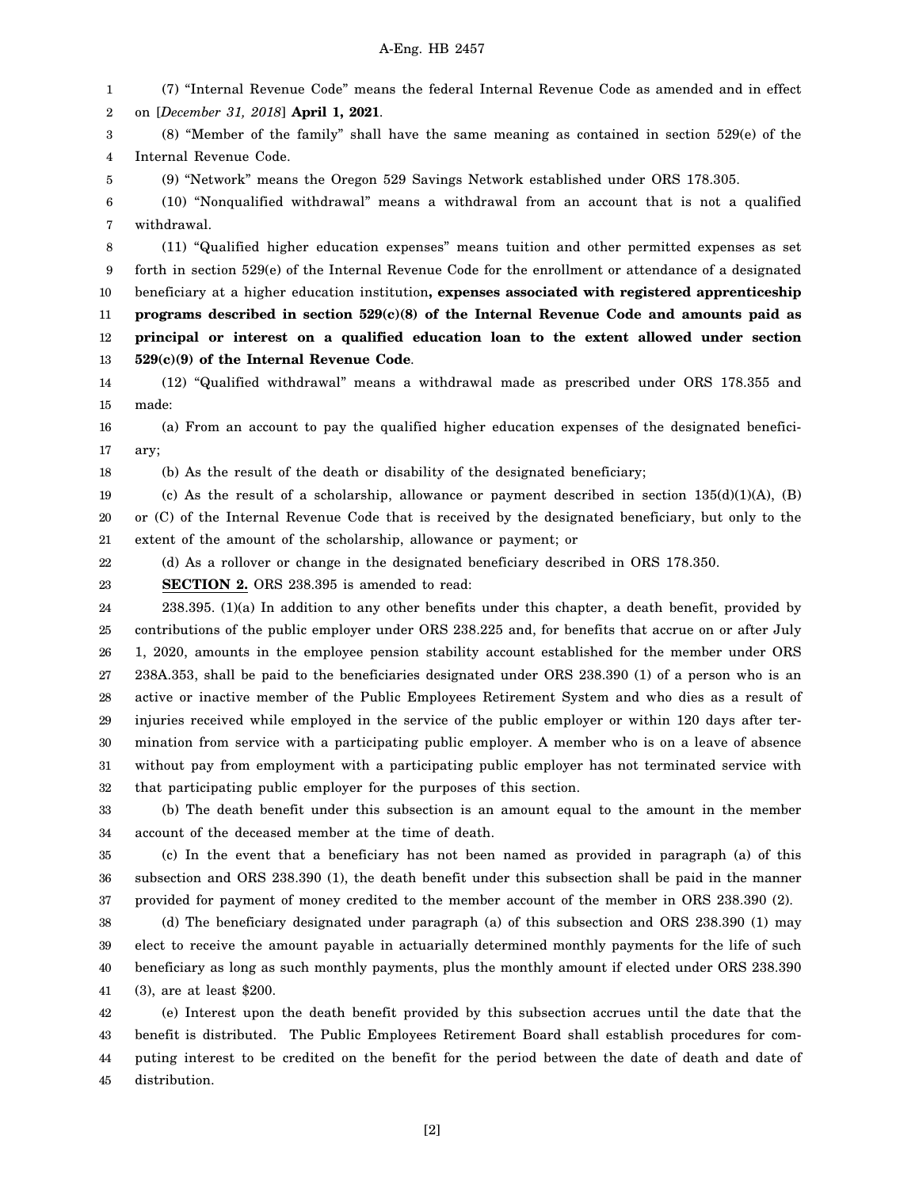1 2 (7) "Internal Revenue Code" means the federal Internal Revenue Code as amended and in effect on [*December 31, 2018*] **April 1, 2021**.

3 4 (8) "Member of the family" shall have the same meaning as contained in section 529(e) of the Internal Revenue Code.

(9) "Network" means the Oregon 529 Savings Network established under ORS 178.305.

6 7 (10) "Nonqualified withdrawal" means a withdrawal from an account that is not a qualified withdrawal.

8 9 10 11 12 13 (11) "Qualified higher education expenses" means tuition and other permitted expenses as set forth in section 529(e) of the Internal Revenue Code for the enrollment or attendance of a designated beneficiary at a higher education institution**, expenses associated with registered apprenticeship programs described in section 529(c)(8) of the Internal Revenue Code and amounts paid as principal or interest on a qualified education loan to the extent allowed under section 529(c)(9) of the Internal Revenue Code**.

14 15 (12) "Qualified withdrawal" means a withdrawal made as prescribed under ORS 178.355 and made:

16 17 (a) From an account to pay the qualified higher education expenses of the designated beneficiary;

18 (b) As the result of the death or disability of the designated beneficiary;

19 20 21 (c) As the result of a scholarship, allowance or payment described in section  $135(d)(1)(A)$ , (B) or (C) of the Internal Revenue Code that is received by the designated beneficiary, but only to the extent of the amount of the scholarship, allowance or payment; or

(d) As a rollover or change in the designated beneficiary described in ORS 178.350.

23 **SECTION 2.** ORS 238.395 is amended to read:

5

22

24 25 26 27 28 29 30 31 32 238.395. (1)(a) In addition to any other benefits under this chapter, a death benefit, provided by contributions of the public employer under ORS 238.225 and, for benefits that accrue on or after July 1, 2020, amounts in the employee pension stability account established for the member under ORS 238A.353, shall be paid to the beneficiaries designated under ORS 238.390 (1) of a person who is an active or inactive member of the Public Employees Retirement System and who dies as a result of injuries received while employed in the service of the public employer or within 120 days after termination from service with a participating public employer. A member who is on a leave of absence without pay from employment with a participating public employer has not terminated service with that participating public employer for the purposes of this section.

33 34 (b) The death benefit under this subsection is an amount equal to the amount in the member account of the deceased member at the time of death.

35 36 37 (c) In the event that a beneficiary has not been named as provided in paragraph (a) of this subsection and ORS 238.390 (1), the death benefit under this subsection shall be paid in the manner provided for payment of money credited to the member account of the member in ORS 238.390 (2).

38 39 40 41 (d) The beneficiary designated under paragraph (a) of this subsection and ORS 238.390 (1) may elect to receive the amount payable in actuarially determined monthly payments for the life of such beneficiary as long as such monthly payments, plus the monthly amount if elected under ORS 238.390 (3), are at least \$200.

42 43 44 45 (e) Interest upon the death benefit provided by this subsection accrues until the date that the benefit is distributed. The Public Employees Retirement Board shall establish procedures for computing interest to be credited on the benefit for the period between the date of death and date of distribution.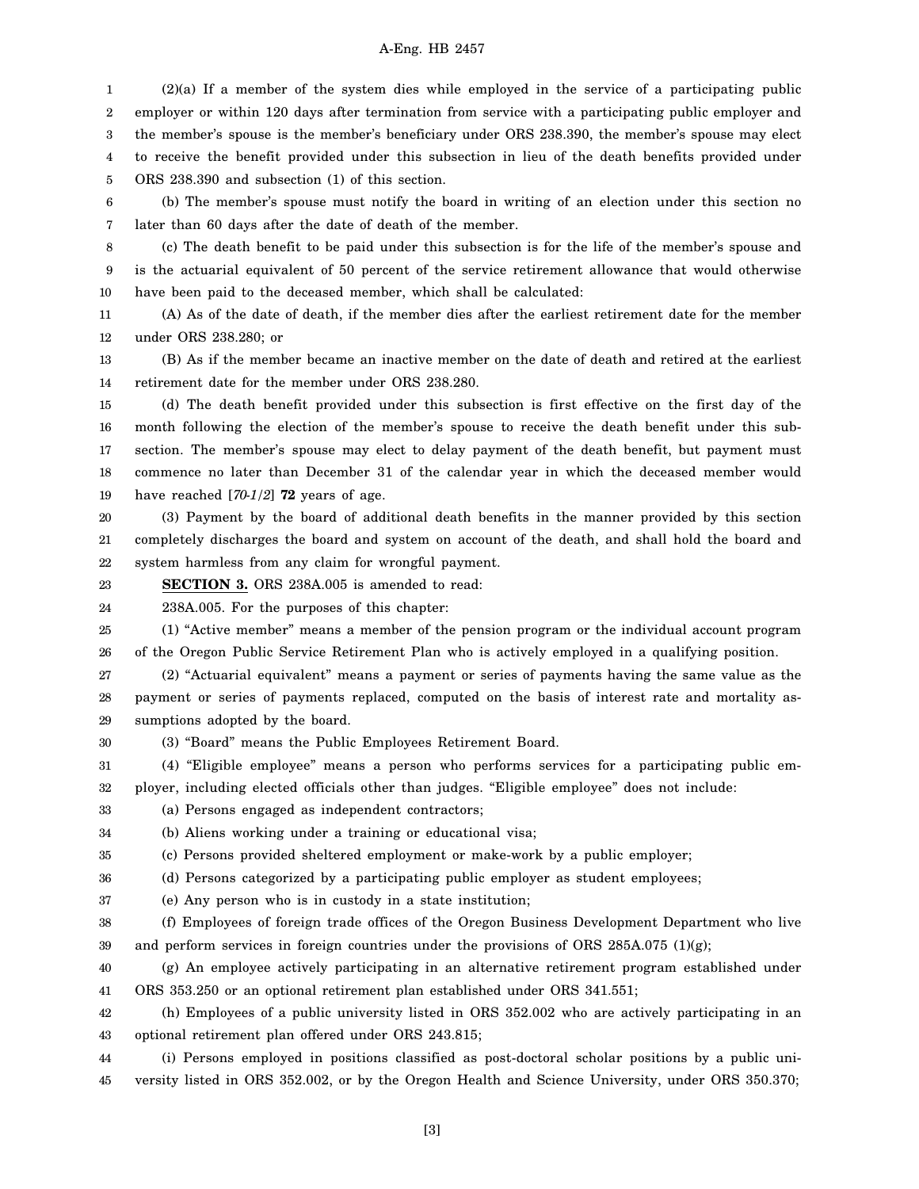1 2 3 4 5 (2)(a) If a member of the system dies while employed in the service of a participating public employer or within 120 days after termination from service with a participating public employer and the member's spouse is the member's beneficiary under ORS 238.390, the member's spouse may elect to receive the benefit provided under this subsection in lieu of the death benefits provided under ORS 238.390 and subsection (1) of this section.

6 7 (b) The member's spouse must notify the board in writing of an election under this section no later than 60 days after the date of death of the member.

8 9 10 (c) The death benefit to be paid under this subsection is for the life of the member's spouse and is the actuarial equivalent of 50 percent of the service retirement allowance that would otherwise have been paid to the deceased member, which shall be calculated:

11 12 (A) As of the date of death, if the member dies after the earliest retirement date for the member under ORS 238.280; or

13 14 (B) As if the member became an inactive member on the date of death and retired at the earliest retirement date for the member under ORS 238.280.

15 16 17 18 19 (d) The death benefit provided under this subsection is first effective on the first day of the month following the election of the member's spouse to receive the death benefit under this subsection. The member's spouse may elect to delay payment of the death benefit, but payment must commence no later than December 31 of the calendar year in which the deceased member would have reached [*70-1/2*] **72** years of age.

20 21 22 (3) Payment by the board of additional death benefits in the manner provided by this section completely discharges the board and system on account of the death, and shall hold the board and system harmless from any claim for wrongful payment.

23 **SECTION 3.** ORS 238A.005 is amended to read:

24 238A.005. For the purposes of this chapter:

25 26 (1) "Active member" means a member of the pension program or the individual account program of the Oregon Public Service Retirement Plan who is actively employed in a qualifying position.

27 28 29 (2) "Actuarial equivalent" means a payment or series of payments having the same value as the payment or series of payments replaced, computed on the basis of interest rate and mortality assumptions adopted by the board.

30 (3) "Board" means the Public Employees Retirement Board.

31 32 (4) "Eligible employee" means a person who performs services for a participating public employer, including elected officials other than judges. "Eligible employee" does not include:

33 (a) Persons engaged as independent contractors;

34 (b) Aliens working under a training or educational visa;

35 (c) Persons provided sheltered employment or make-work by a public employer;

36 (d) Persons categorized by a participating public employer as student employees;

37 (e) Any person who is in custody in a state institution;

38 39 (f) Employees of foreign trade offices of the Oregon Business Development Department who live and perform services in foreign countries under the provisions of ORS 285A.075 (1)(g);

40 41 (g) An employee actively participating in an alternative retirement program established under ORS 353.250 or an optional retirement plan established under ORS 341.551;

42 43 (h) Employees of a public university listed in ORS 352.002 who are actively participating in an optional retirement plan offered under ORS 243.815;

44 45 (i) Persons employed in positions classified as post-doctoral scholar positions by a public university listed in ORS 352.002, or by the Oregon Health and Science University, under ORS 350.370;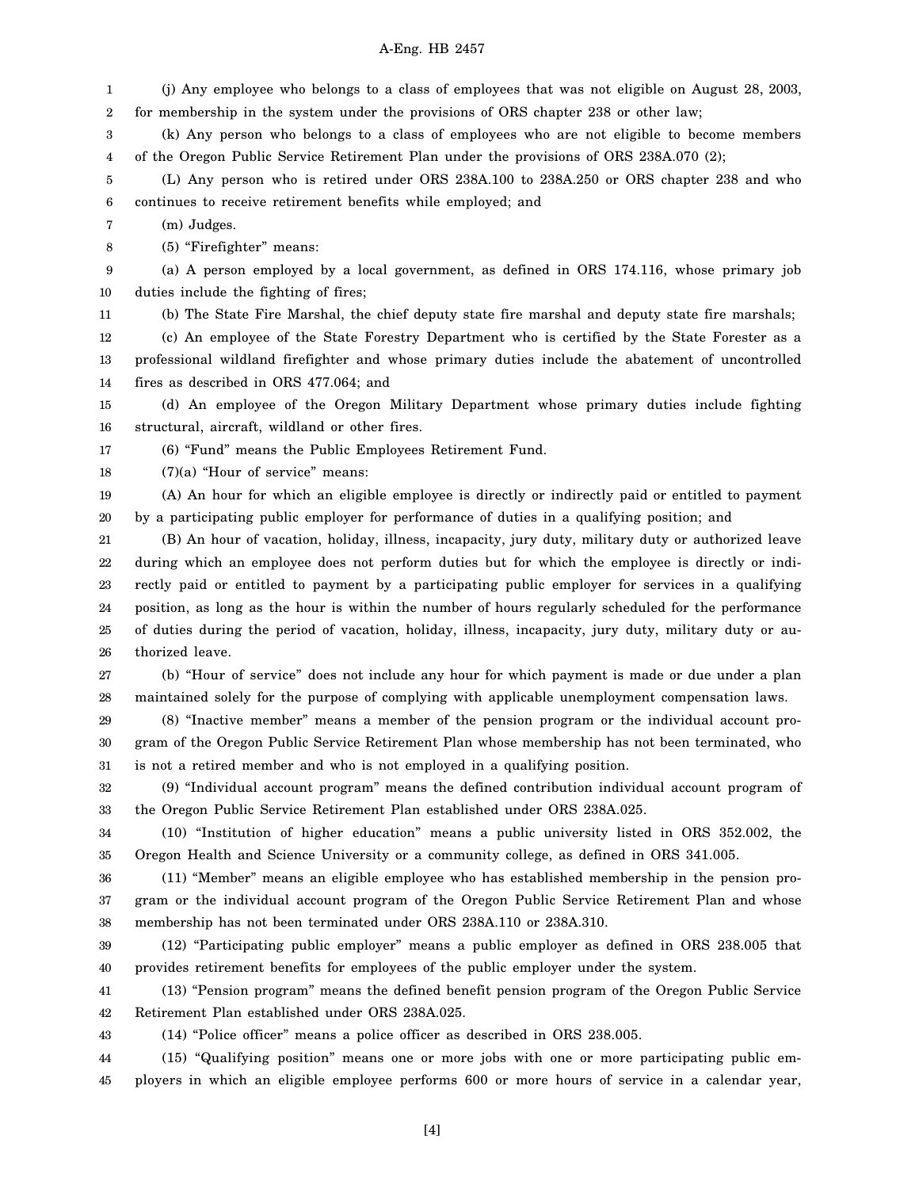1 (j) Any employee who belongs to a class of employees that was not eligible on August 28, 2003,

2 for membership in the system under the provisions of ORS chapter 238 or other law;

3 4 (k) Any person who belongs to a class of employees who are not eligible to become members of the Oregon Public Service Retirement Plan under the provisions of ORS 238A.070 (2);

5 6 (L) Any person who is retired under ORS 238A.100 to 238A.250 or ORS chapter 238 and who continues to receive retirement benefits while employed; and

7 (m) Judges.

8 (5) "Firefighter" means:

9 10 (a) A person employed by a local government, as defined in ORS 174.116, whose primary job duties include the fighting of fires;

11 (b) The State Fire Marshal, the chief deputy state fire marshal and deputy state fire marshals;

12 13 14 (c) An employee of the State Forestry Department who is certified by the State Forester as a professional wildland firefighter and whose primary duties include the abatement of uncontrolled fires as described in ORS 477.064; and

15 16 (d) An employee of the Oregon Military Department whose primary duties include fighting structural, aircraft, wildland or other fires.

17 (6) "Fund" means the Public Employees Retirement Fund.

18 (7)(a) "Hour of service" means:

19 20 (A) An hour for which an eligible employee is directly or indirectly paid or entitled to payment by a participating public employer for performance of duties in a qualifying position; and

21 22 23 24 25 26 (B) An hour of vacation, holiday, illness, incapacity, jury duty, military duty or authorized leave during which an employee does not perform duties but for which the employee is directly or indirectly paid or entitled to payment by a participating public employer for services in a qualifying position, as long as the hour is within the number of hours regularly scheduled for the performance of duties during the period of vacation, holiday, illness, incapacity, jury duty, military duty or authorized leave.

27 28 (b) "Hour of service" does not include any hour for which payment is made or due under a plan maintained solely for the purpose of complying with applicable unemployment compensation laws.

29 30 31 (8) "Inactive member" means a member of the pension program or the individual account program of the Oregon Public Service Retirement Plan whose membership has not been terminated, who is not a retired member and who is not employed in a qualifying position.

32 33 (9) "Individual account program" means the defined contribution individual account program of the Oregon Public Service Retirement Plan established under ORS 238A.025.

34 35 (10) "Institution of higher education" means a public university listed in ORS 352.002, the Oregon Health and Science University or a community college, as defined in ORS 341.005.

36 37 38 (11) "Member" means an eligible employee who has established membership in the pension program or the individual account program of the Oregon Public Service Retirement Plan and whose membership has not been terminated under ORS 238A.110 or 238A.310.

39 40 (12) "Participating public employer" means a public employer as defined in ORS 238.005 that provides retirement benefits for employees of the public employer under the system.

41 42 (13) "Pension program" means the defined benefit pension program of the Oregon Public Service Retirement Plan established under ORS 238A.025.

43

(14) "Police officer" means a police officer as described in ORS 238.005.

44 45 (15) "Qualifying position" means one or more jobs with one or more participating public employers in which an eligible employee performs 600 or more hours of service in a calendar year,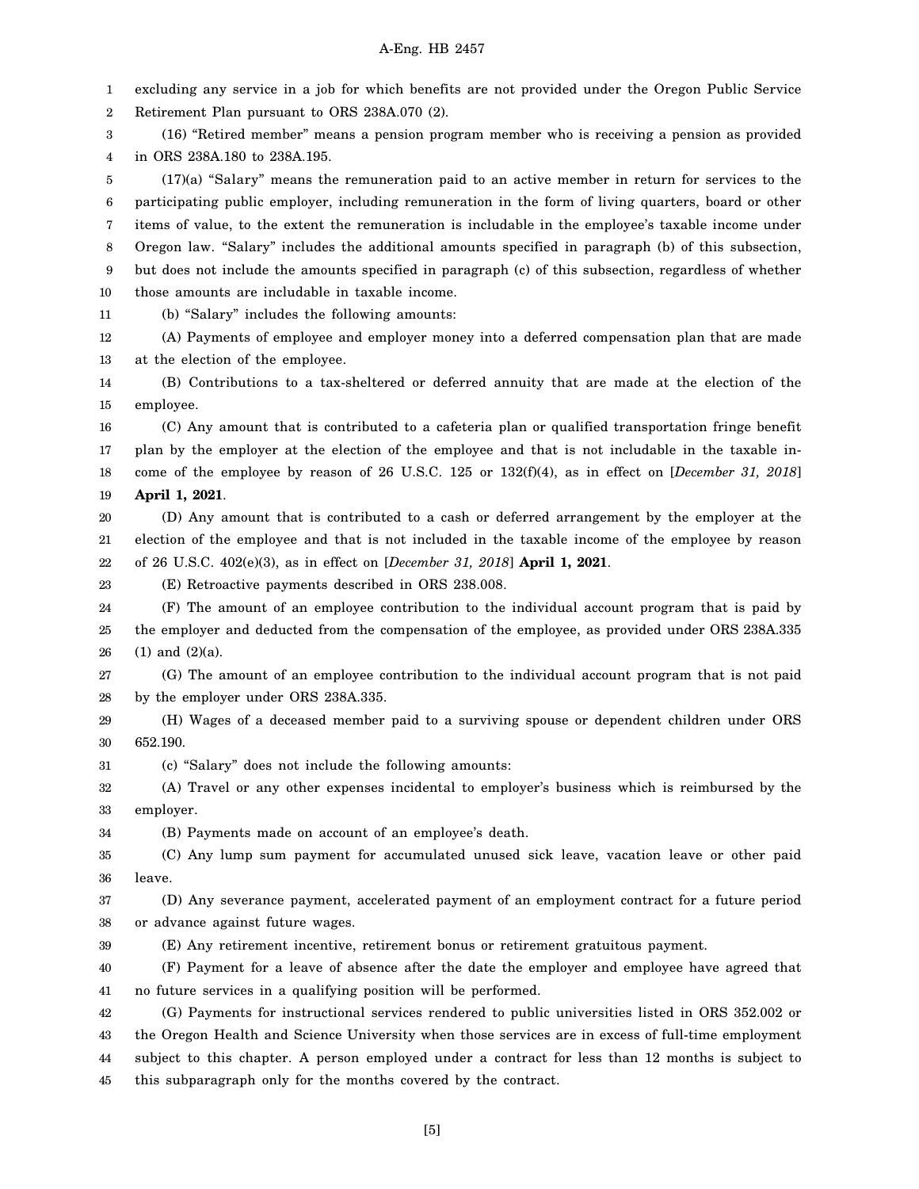1 2 3 4 excluding any service in a job for which benefits are not provided under the Oregon Public Service Retirement Plan pursuant to ORS 238A.070 (2). (16) "Retired member" means a pension program member who is receiving a pension as provided in ORS 238A.180 to 238A.195.

5 6 7 8 9 10 11 (17)(a) "Salary" means the remuneration paid to an active member in return for services to the participating public employer, including remuneration in the form of living quarters, board or other items of value, to the extent the remuneration is includable in the employee's taxable income under Oregon law. "Salary" includes the additional amounts specified in paragraph (b) of this subsection, but does not include the amounts specified in paragraph (c) of this subsection, regardless of whether those amounts are includable in taxable income. (b) "Salary" includes the following amounts:

12 13 (A) Payments of employee and employer money into a deferred compensation plan that are made at the election of the employee.

14 15 (B) Contributions to a tax-sheltered or deferred annuity that are made at the election of the employee.

16 17 18 19 (C) Any amount that is contributed to a cafeteria plan or qualified transportation fringe benefit plan by the employer at the election of the employee and that is not includable in the taxable income of the employee by reason of 26 U.S.C. 125 or 132(f)(4), as in effect on [*December 31, 2018*] **April 1, 2021**.

20 21 22 (D) Any amount that is contributed to a cash or deferred arrangement by the employer at the election of the employee and that is not included in the taxable income of the employee by reason of 26 U.S.C. 402(e)(3), as in effect on [*December 31, 2018*] **April 1, 2021**.

23 (E) Retroactive payments described in ORS 238.008.

24 25 26 (F) The amount of an employee contribution to the individual account program that is paid by the employer and deducted from the compensation of the employee, as provided under ORS 238A.335 (1) and (2)(a).

27 28 (G) The amount of an employee contribution to the individual account program that is not paid by the employer under ORS 238A.335.

29 30 (H) Wages of a deceased member paid to a surviving spouse or dependent children under ORS 652.190.

31 (c) "Salary" does not include the following amounts:

32 33 (A) Travel or any other expenses incidental to employer's business which is reimbursed by the employer.

(B) Payments made on account of an employee's death.

35 36 (C) Any lump sum payment for accumulated unused sick leave, vacation leave or other paid leave.

37 38 (D) Any severance payment, accelerated payment of an employment contract for a future period or advance against future wages.

39

34

(E) Any retirement incentive, retirement bonus or retirement gratuitous payment.

40 41 (F) Payment for a leave of absence after the date the employer and employee have agreed that no future services in a qualifying position will be performed.

42 43 44 45 (G) Payments for instructional services rendered to public universities listed in ORS 352.002 or the Oregon Health and Science University when those services are in excess of full-time employment subject to this chapter. A person employed under a contract for less than 12 months is subject to this subparagraph only for the months covered by the contract.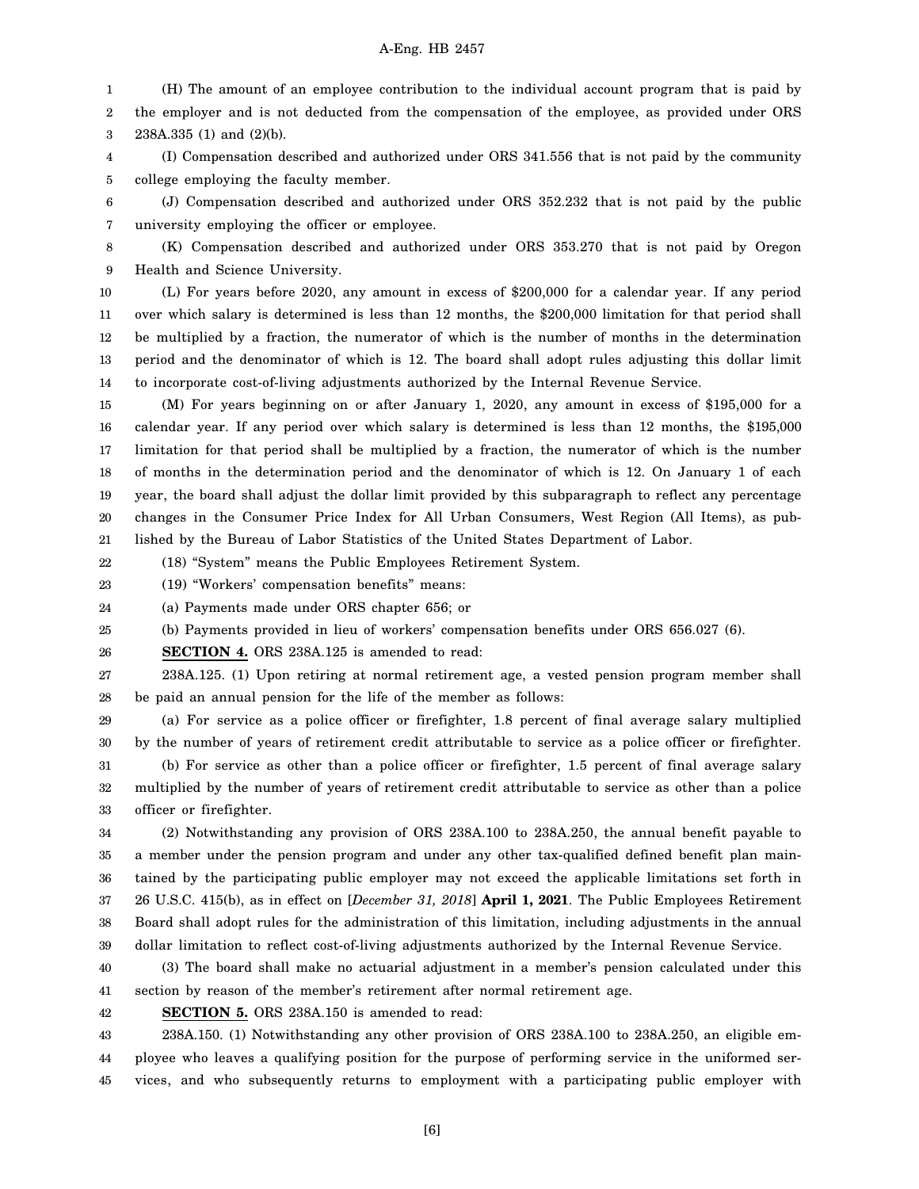1 2 3 (H) The amount of an employee contribution to the individual account program that is paid by the employer and is not deducted from the compensation of the employee, as provided under ORS 238A.335 (1) and (2)(b).

4 5 (I) Compensation described and authorized under ORS 341.556 that is not paid by the community college employing the faculty member.

6 7 (J) Compensation described and authorized under ORS 352.232 that is not paid by the public university employing the officer or employee.

8 9 (K) Compensation described and authorized under ORS 353.270 that is not paid by Oregon Health and Science University.

10 11 12 13 14 (L) For years before 2020, any amount in excess of \$200,000 for a calendar year. If any period over which salary is determined is less than 12 months, the \$200,000 limitation for that period shall be multiplied by a fraction, the numerator of which is the number of months in the determination period and the denominator of which is 12. The board shall adopt rules adjusting this dollar limit to incorporate cost-of-living adjustments authorized by the Internal Revenue Service.

15 16 17 18 19 20 21 (M) For years beginning on or after January 1, 2020, any amount in excess of \$195,000 for a calendar year. If any period over which salary is determined is less than 12 months, the \$195,000 limitation for that period shall be multiplied by a fraction, the numerator of which is the number of months in the determination period and the denominator of which is 12. On January 1 of each year, the board shall adjust the dollar limit provided by this subparagraph to reflect any percentage changes in the Consumer Price Index for All Urban Consumers, West Region (All Items), as published by the Bureau of Labor Statistics of the United States Department of Labor.

22 (18) "System" means the Public Employees Retirement System.

23 (19) "Workers' compensation benefits" means:

24 (a) Payments made under ORS chapter 656; or

25 (b) Payments provided in lieu of workers' compensation benefits under ORS 656.027 (6).

26 **SECTION 4.** ORS 238A.125 is amended to read:

27 28 238A.125. (1) Upon retiring at normal retirement age, a vested pension program member shall be paid an annual pension for the life of the member as follows:

29 30 31 (a) For service as a police officer or firefighter, 1.8 percent of final average salary multiplied by the number of years of retirement credit attributable to service as a police officer or firefighter. (b) For service as other than a police officer or firefighter, 1.5 percent of final average salary

32 33 multiplied by the number of years of retirement credit attributable to service as other than a police officer or firefighter.

34 35 36 37 38 39 (2) Notwithstanding any provision of ORS 238A.100 to 238A.250, the annual benefit payable to a member under the pension program and under any other tax-qualified defined benefit plan maintained by the participating public employer may not exceed the applicable limitations set forth in 26 U.S.C. 415(b), as in effect on [*December 31, 2018*] **April 1, 2021**. The Public Employees Retirement Board shall adopt rules for the administration of this limitation, including adjustments in the annual dollar limitation to reflect cost-of-living adjustments authorized by the Internal Revenue Service.

40 41 (3) The board shall make no actuarial adjustment in a member's pension calculated under this section by reason of the member's retirement after normal retirement age.

42 **SECTION 5.** ORS 238A.150 is amended to read:

43 44 45 238A.150. (1) Notwithstanding any other provision of ORS 238A.100 to 238A.250, an eligible employee who leaves a qualifying position for the purpose of performing service in the uniformed services, and who subsequently returns to employment with a participating public employer with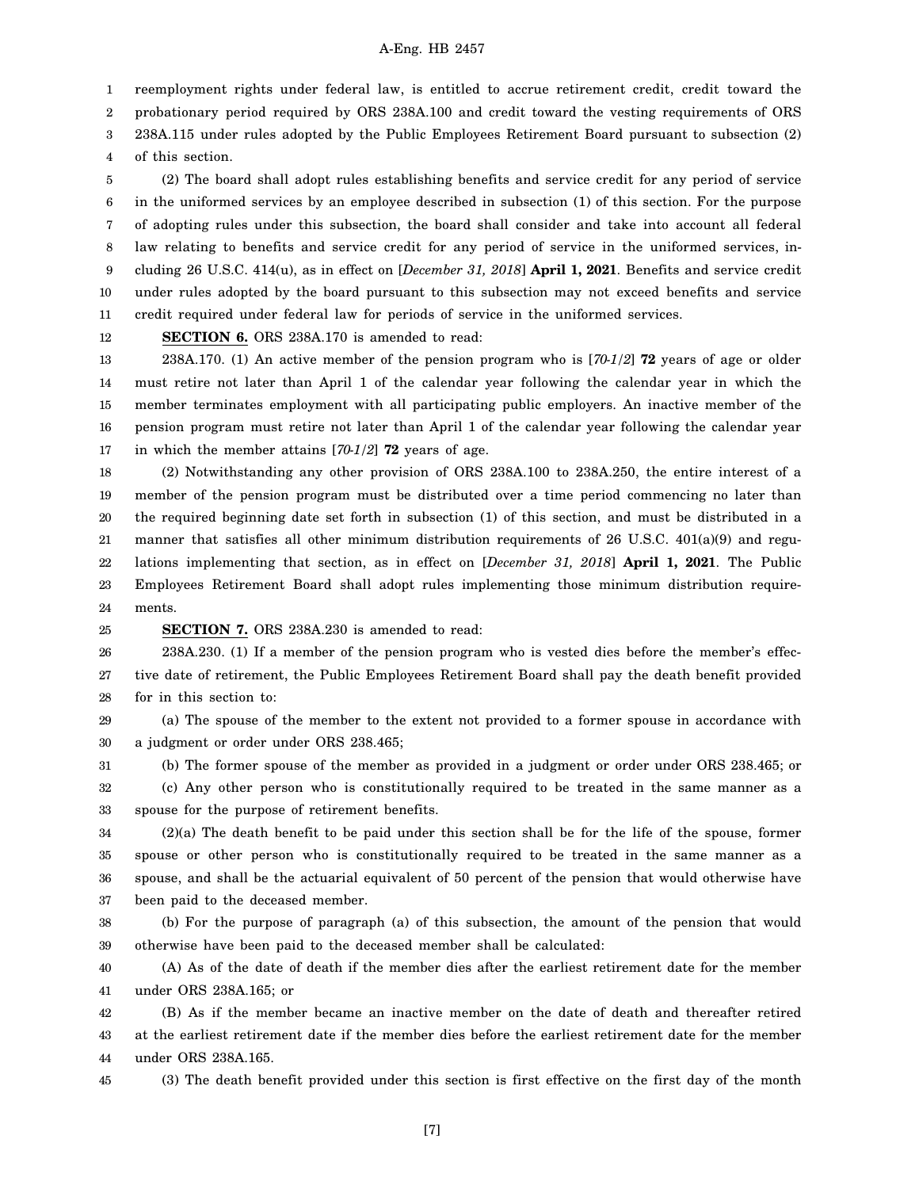1 reemployment rights under federal law, is entitled to accrue retirement credit, credit toward the

2 probationary period required by ORS 238A.100 and credit toward the vesting requirements of ORS

3 238A.115 under rules adopted by the Public Employees Retirement Board pursuant to subsection (2)

4 of this section.

5 6 7 8 9 10 11 (2) The board shall adopt rules establishing benefits and service credit for any period of service in the uniformed services by an employee described in subsection (1) of this section. For the purpose of adopting rules under this subsection, the board shall consider and take into account all federal law relating to benefits and service credit for any period of service in the uniformed services, including 26 U.S.C. 414(u), as in effect on [*December 31, 2018*] **April 1, 2021**. Benefits and service credit under rules adopted by the board pursuant to this subsection may not exceed benefits and service credit required under federal law for periods of service in the uniformed services.

12

**SECTION 6.** ORS 238A.170 is amended to read:

13 14 15 16 17 238A.170. (1) An active member of the pension program who is [*70-1/2*] **72** years of age or older must retire not later than April 1 of the calendar year following the calendar year in which the member terminates employment with all participating public employers. An inactive member of the pension program must retire not later than April 1 of the calendar year following the calendar year in which the member attains [*70-1/2*] **72** years of age.

18 19 20 21 22 23 24 (2) Notwithstanding any other provision of ORS 238A.100 to 238A.250, the entire interest of a member of the pension program must be distributed over a time period commencing no later than the required beginning date set forth in subsection (1) of this section, and must be distributed in a manner that satisfies all other minimum distribution requirements of 26 U.S.C. 401(a)(9) and regulations implementing that section, as in effect on [*December 31, 2018*] **April 1, 2021**. The Public Employees Retirement Board shall adopt rules implementing those minimum distribution requirements.

25

### **SECTION 7.** ORS 238A.230 is amended to read:

26 27 28 238A.230. (1) If a member of the pension program who is vested dies before the member's effective date of retirement, the Public Employees Retirement Board shall pay the death benefit provided for in this section to:

29 30 (a) The spouse of the member to the extent not provided to a former spouse in accordance with a judgment or order under ORS 238.465;

31 32 (b) The former spouse of the member as provided in a judgment or order under ORS 238.465; or (c) Any other person who is constitutionally required to be treated in the same manner as a

33 spouse for the purpose of retirement benefits.

34 35 36 37 (2)(a) The death benefit to be paid under this section shall be for the life of the spouse, former spouse or other person who is constitutionally required to be treated in the same manner as a spouse, and shall be the actuarial equivalent of 50 percent of the pension that would otherwise have been paid to the deceased member.

38 39 (b) For the purpose of paragraph (a) of this subsection, the amount of the pension that would otherwise have been paid to the deceased member shall be calculated:

40 41 (A) As of the date of death if the member dies after the earliest retirement date for the member under ORS 238A.165; or

42 43 44 (B) As if the member became an inactive member on the date of death and thereafter retired at the earliest retirement date if the member dies before the earliest retirement date for the member under ORS 238A.165.

(3) The death benefit provided under this section is first effective on the first day of the month

45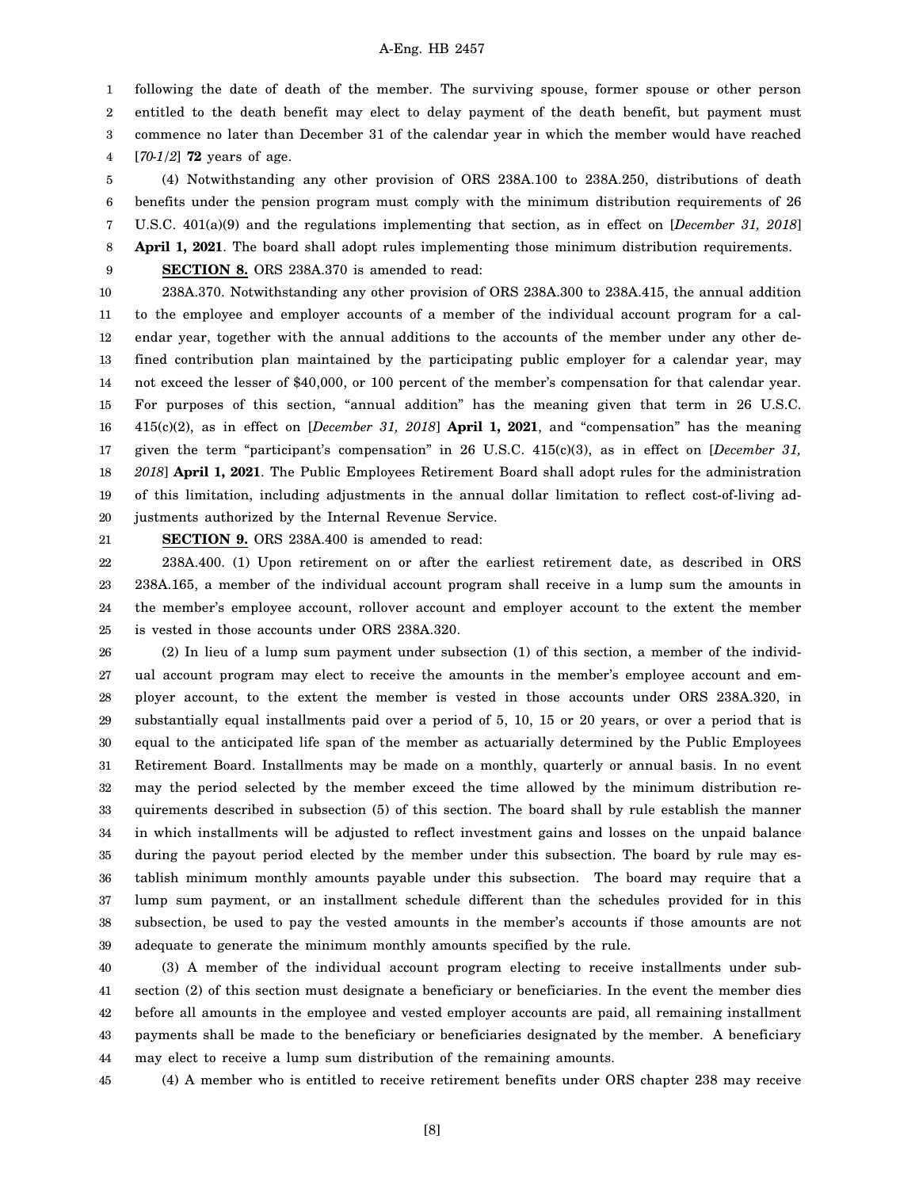1 2 3 4 following the date of death of the member. The surviving spouse, former spouse or other person entitled to the death benefit may elect to delay payment of the death benefit, but payment must commence no later than December 31 of the calendar year in which the member would have reached [*70-1/2*] **72** years of age.

5 6 7 8 9 (4) Notwithstanding any other provision of ORS 238A.100 to 238A.250, distributions of death benefits under the pension program must comply with the minimum distribution requirements of 26 U.S.C. 401(a)(9) and the regulations implementing that section, as in effect on [*December 31, 2018*] **April 1, 2021**. The board shall adopt rules implementing those minimum distribution requirements.

**SECTION 8.** ORS 238A.370 is amended to read:

10 11 12 13 14 15 16 17 18 19 20 238A.370. Notwithstanding any other provision of ORS 238A.300 to 238A.415, the annual addition to the employee and employer accounts of a member of the individual account program for a calendar year, together with the annual additions to the accounts of the member under any other defined contribution plan maintained by the participating public employer for a calendar year, may not exceed the lesser of \$40,000, or 100 percent of the member's compensation for that calendar year. For purposes of this section, "annual addition" has the meaning given that term in 26 U.S.C. 415(c)(2), as in effect on [*December 31, 2018*] **April 1, 2021**, and "compensation" has the meaning given the term "participant's compensation" in 26 U.S.C. 415(c)(3), as in effect on [*December 31, 2018*] **April 1, 2021**. The Public Employees Retirement Board shall adopt rules for the administration of this limitation, including adjustments in the annual dollar limitation to reflect cost-of-living adjustments authorized by the Internal Revenue Service.

21

**SECTION 9.** ORS 238A.400 is amended to read:

22 23 24 25 238A.400. (1) Upon retirement on or after the earliest retirement date, as described in ORS 238A.165, a member of the individual account program shall receive in a lump sum the amounts in the member's employee account, rollover account and employer account to the extent the member is vested in those accounts under ORS 238A.320.

26 27 28 29 30 31 32 33 34 35 36 37 38 39 (2) In lieu of a lump sum payment under subsection (1) of this section, a member of the individual account program may elect to receive the amounts in the member's employee account and employer account, to the extent the member is vested in those accounts under ORS 238A.320, in substantially equal installments paid over a period of 5, 10, 15 or 20 years, or over a period that is equal to the anticipated life span of the member as actuarially determined by the Public Employees Retirement Board. Installments may be made on a monthly, quarterly or annual basis. In no event may the period selected by the member exceed the time allowed by the minimum distribution requirements described in subsection (5) of this section. The board shall by rule establish the manner in which installments will be adjusted to reflect investment gains and losses on the unpaid balance during the payout period elected by the member under this subsection. The board by rule may establish minimum monthly amounts payable under this subsection. The board may require that a lump sum payment, or an installment schedule different than the schedules provided for in this subsection, be used to pay the vested amounts in the member's accounts if those amounts are not adequate to generate the minimum monthly amounts specified by the rule.

40 41 42 43 44 (3) A member of the individual account program electing to receive installments under subsection (2) of this section must designate a beneficiary or beneficiaries. In the event the member dies before all amounts in the employee and vested employer accounts are paid, all remaining installment payments shall be made to the beneficiary or beneficiaries designated by the member. A beneficiary may elect to receive a lump sum distribution of the remaining amounts.

45 (4) A member who is entitled to receive retirement benefits under ORS chapter 238 may receive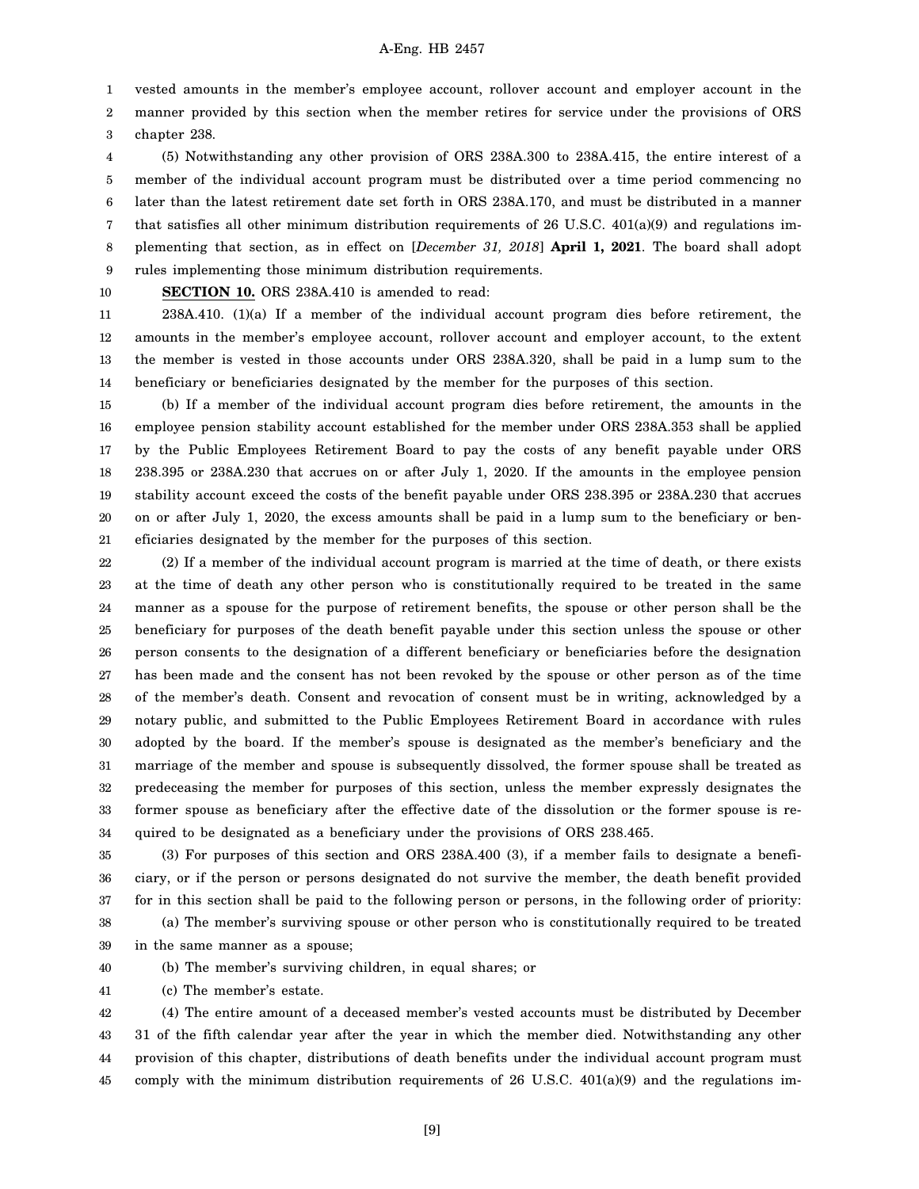1 vested amounts in the member's employee account, rollover account and employer account in the

2 3 manner provided by this section when the member retires for service under the provisions of ORS chapter 238.

4 5 6 7 8 9 (5) Notwithstanding any other provision of ORS 238A.300 to 238A.415, the entire interest of a member of the individual account program must be distributed over a time period commencing no later than the latest retirement date set forth in ORS 238A.170, and must be distributed in a manner that satisfies all other minimum distribution requirements of 26 U.S.C.  $401(a)(9)$  and regulations implementing that section, as in effect on [*December 31, 2018*] **April 1, 2021**. The board shall adopt rules implementing those minimum distribution requirements.

10

**SECTION 10.** ORS 238A.410 is amended to read:

11 12 13 14 238A.410. (1)(a) If a member of the individual account program dies before retirement, the amounts in the member's employee account, rollover account and employer account, to the extent the member is vested in those accounts under ORS 238A.320, shall be paid in a lump sum to the beneficiary or beneficiaries designated by the member for the purposes of this section.

15 16 17 18 19 20 21 (b) If a member of the individual account program dies before retirement, the amounts in the employee pension stability account established for the member under ORS 238A.353 shall be applied by the Public Employees Retirement Board to pay the costs of any benefit payable under ORS 238.395 or 238A.230 that accrues on or after July 1, 2020. If the amounts in the employee pension stability account exceed the costs of the benefit payable under ORS 238.395 or 238A.230 that accrues on or after July 1, 2020, the excess amounts shall be paid in a lump sum to the beneficiary or beneficiaries designated by the member for the purposes of this section.

22 23 24 25 26 27 28 29 30 31 32 33 34 (2) If a member of the individual account program is married at the time of death, or there exists at the time of death any other person who is constitutionally required to be treated in the same manner as a spouse for the purpose of retirement benefits, the spouse or other person shall be the beneficiary for purposes of the death benefit payable under this section unless the spouse or other person consents to the designation of a different beneficiary or beneficiaries before the designation has been made and the consent has not been revoked by the spouse or other person as of the time of the member's death. Consent and revocation of consent must be in writing, acknowledged by a notary public, and submitted to the Public Employees Retirement Board in accordance with rules adopted by the board. If the member's spouse is designated as the member's beneficiary and the marriage of the member and spouse is subsequently dissolved, the former spouse shall be treated as predeceasing the member for purposes of this section, unless the member expressly designates the former spouse as beneficiary after the effective date of the dissolution or the former spouse is required to be designated as a beneficiary under the provisions of ORS 238.465.

35 36 37 38 39 (3) For purposes of this section and ORS 238A.400 (3), if a member fails to designate a beneficiary, or if the person or persons designated do not survive the member, the death benefit provided for in this section shall be paid to the following person or persons, in the following order of priority: (a) The member's surviving spouse or other person who is constitutionally required to be treated in the same manner as a spouse;

40 (b) The member's surviving children, in equal shares; or

41 (c) The member's estate.

42 43 44 45 (4) The entire amount of a deceased member's vested accounts must be distributed by December 31 of the fifth calendar year after the year in which the member died. Notwithstanding any other provision of this chapter, distributions of death benefits under the individual account program must comply with the minimum distribution requirements of 26 U.S.C.  $401(a)(9)$  and the regulations im-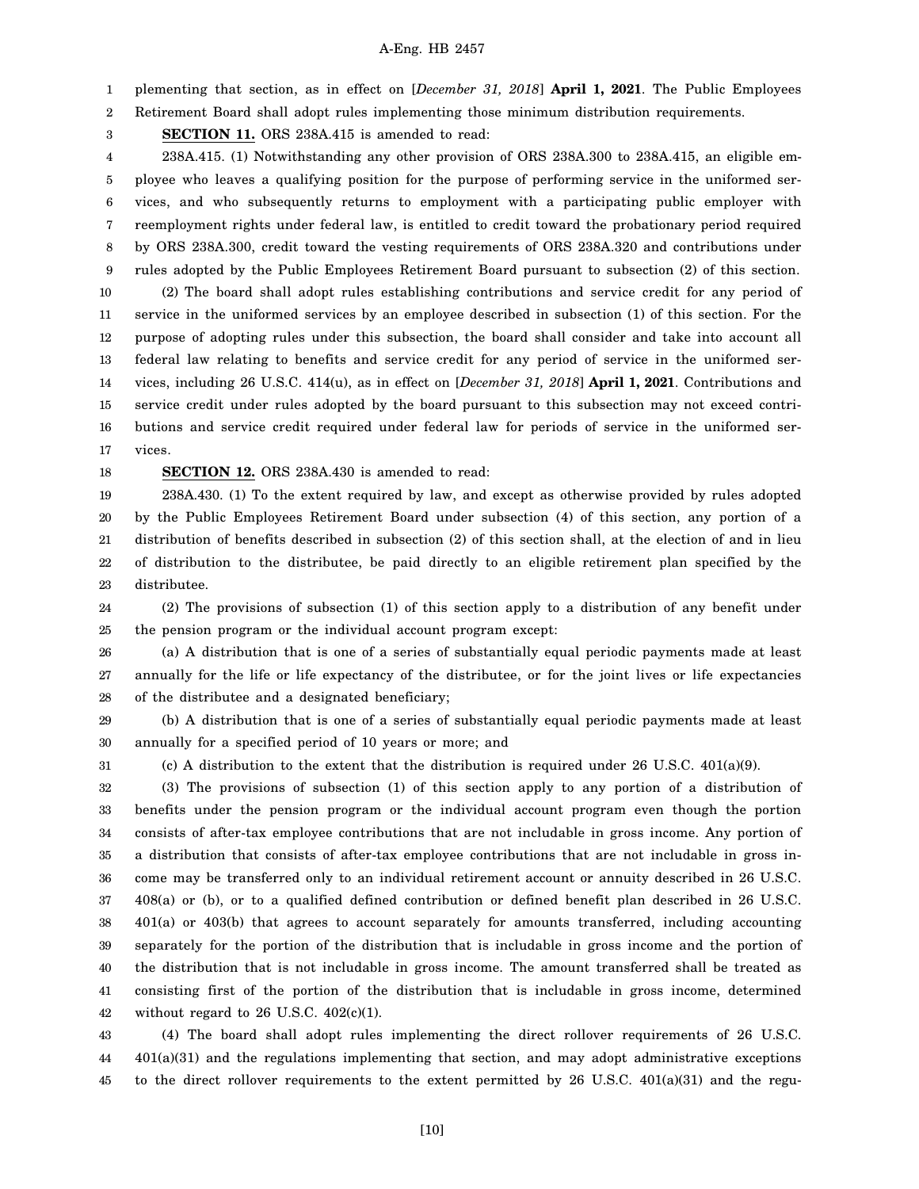1 plementing that section, as in effect on [*December 31, 2018*] **April 1, 2021**. The Public Employees

2 Retirement Board shall adopt rules implementing those minimum distribution requirements.

3 **SECTION 11.** ORS 238A.415 is amended to read:

4 5 6 7 8 9 10 11 12 13 14 15 16 17 238A.415. (1) Notwithstanding any other provision of ORS 238A.300 to 238A.415, an eligible employee who leaves a qualifying position for the purpose of performing service in the uniformed services, and who subsequently returns to employment with a participating public employer with reemployment rights under federal law, is entitled to credit toward the probationary period required by ORS 238A.300, credit toward the vesting requirements of ORS 238A.320 and contributions under rules adopted by the Public Employees Retirement Board pursuant to subsection (2) of this section. (2) The board shall adopt rules establishing contributions and service credit for any period of service in the uniformed services by an employee described in subsection (1) of this section. For the purpose of adopting rules under this subsection, the board shall consider and take into account all federal law relating to benefits and service credit for any period of service in the uniformed services, including 26 U.S.C. 414(u), as in effect on [*December 31, 2018*] **April 1, 2021**. Contributions and service credit under rules adopted by the board pursuant to this subsection may not exceed contributions and service credit required under federal law for periods of service in the uniformed services.

18 **SECTION 12.** ORS 238A.430 is amended to read:

31

19 20 21 22 23 238A.430. (1) To the extent required by law, and except as otherwise provided by rules adopted by the Public Employees Retirement Board under subsection (4) of this section, any portion of a distribution of benefits described in subsection (2) of this section shall, at the election of and in lieu of distribution to the distributee, be paid directly to an eligible retirement plan specified by the distributee.

24 25 (2) The provisions of subsection (1) of this section apply to a distribution of any benefit under the pension program or the individual account program except:

26 27 28 (a) A distribution that is one of a series of substantially equal periodic payments made at least annually for the life or life expectancy of the distributee, or for the joint lives or life expectancies of the distributee and a designated beneficiary;

29 30 (b) A distribution that is one of a series of substantially equal periodic payments made at least annually for a specified period of 10 years or more; and

(c) A distribution to the extent that the distribution is required under 26 U.S.C. 401(a)(9).

32 33 34 35 36 37 38 39 40 41 42 (3) The provisions of subsection (1) of this section apply to any portion of a distribution of benefits under the pension program or the individual account program even though the portion consists of after-tax employee contributions that are not includable in gross income. Any portion of a distribution that consists of after-tax employee contributions that are not includable in gross income may be transferred only to an individual retirement account or annuity described in 26 U.S.C. 408(a) or (b), or to a qualified defined contribution or defined benefit plan described in 26 U.S.C. 401(a) or 403(b) that agrees to account separately for amounts transferred, including accounting separately for the portion of the distribution that is includable in gross income and the portion of the distribution that is not includable in gross income. The amount transferred shall be treated as consisting first of the portion of the distribution that is includable in gross income, determined without regard to 26 U.S.C.  $402(c)(1)$ .

43 44 45 (4) The board shall adopt rules implementing the direct rollover requirements of 26 U.S.C. 401(a)(31) and the regulations implementing that section, and may adopt administrative exceptions to the direct rollover requirements to the extent permitted by 26 U.S.C. 401(a)(31) and the regu-

[10]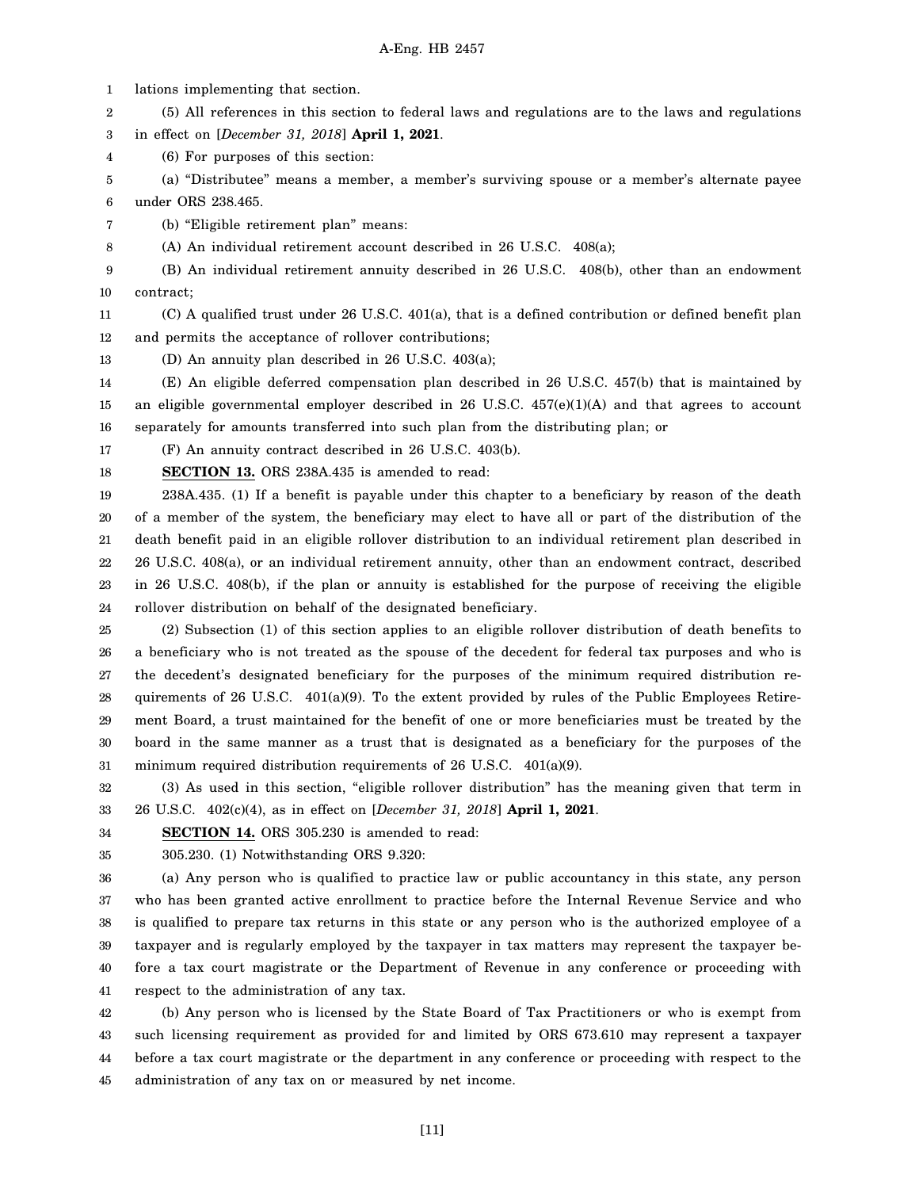1 2 3 4 5 6 7 8 9 10 11 12 13 14 15 16 17 18 lations implementing that section. (5) All references in this section to federal laws and regulations are to the laws and regulations in effect on [*December 31, 2018*] **April 1, 2021**. (6) For purposes of this section: (a) "Distributee" means a member, a member's surviving spouse or a member's alternate payee under ORS 238.465. (b) "Eligible retirement plan" means: (A) An individual retirement account described in 26 U.S.C. 408(a); (B) An individual retirement annuity described in 26 U.S.C. 408(b), other than an endowment contract; (C) A qualified trust under 26 U.S.C. 401(a), that is a defined contribution or defined benefit plan and permits the acceptance of rollover contributions; (D) An annuity plan described in 26 U.S.C. 403(a); (E) An eligible deferred compensation plan described in 26 U.S.C. 457(b) that is maintained by an eligible governmental employer described in  $26 \text{ U.S.C. } 457 \text{(e)} \text{(1)} \text{(A)}$  and that agrees to account separately for amounts transferred into such plan from the distributing plan; or (F) An annuity contract described in 26 U.S.C. 403(b). **SECTION 13.** ORS 238A.435 is amended to read:

19 20 21 22 23 24 238A.435. (1) If a benefit is payable under this chapter to a beneficiary by reason of the death of a member of the system, the beneficiary may elect to have all or part of the distribution of the death benefit paid in an eligible rollover distribution to an individual retirement plan described in 26 U.S.C. 408(a), or an individual retirement annuity, other than an endowment contract, described in 26 U.S.C. 408(b), if the plan or annuity is established for the purpose of receiving the eligible rollover distribution on behalf of the designated beneficiary.

25 26 27 28 29 30 31 (2) Subsection (1) of this section applies to an eligible rollover distribution of death benefits to a beneficiary who is not treated as the spouse of the decedent for federal tax purposes and who is the decedent's designated beneficiary for the purposes of the minimum required distribution requirements of 26 U.S.C.  $401(a)(9)$ . To the extent provided by rules of the Public Employees Retirement Board, a trust maintained for the benefit of one or more beneficiaries must be treated by the board in the same manner as a trust that is designated as a beneficiary for the purposes of the minimum required distribution requirements of 26 U.S.C. 401(a)(9).

32 33 (3) As used in this section, "eligible rollover distribution" has the meaning given that term in 26 U.S.C. 402(c)(4), as in effect on [*December 31, 2018*] **April 1, 2021**.

- 34 **SECTION 14.** ORS 305.230 is amended to read:
- 35 305.230. (1) Notwithstanding ORS 9.320:

36 37 38 39 40 41 (a) Any person who is qualified to practice law or public accountancy in this state, any person who has been granted active enrollment to practice before the Internal Revenue Service and who is qualified to prepare tax returns in this state or any person who is the authorized employee of a taxpayer and is regularly employed by the taxpayer in tax matters may represent the taxpayer before a tax court magistrate or the Department of Revenue in any conference or proceeding with respect to the administration of any tax.

42 43 44 45 (b) Any person who is licensed by the State Board of Tax Practitioners or who is exempt from such licensing requirement as provided for and limited by ORS 673.610 may represent a taxpayer before a tax court magistrate or the department in any conference or proceeding with respect to the administration of any tax on or measured by net income.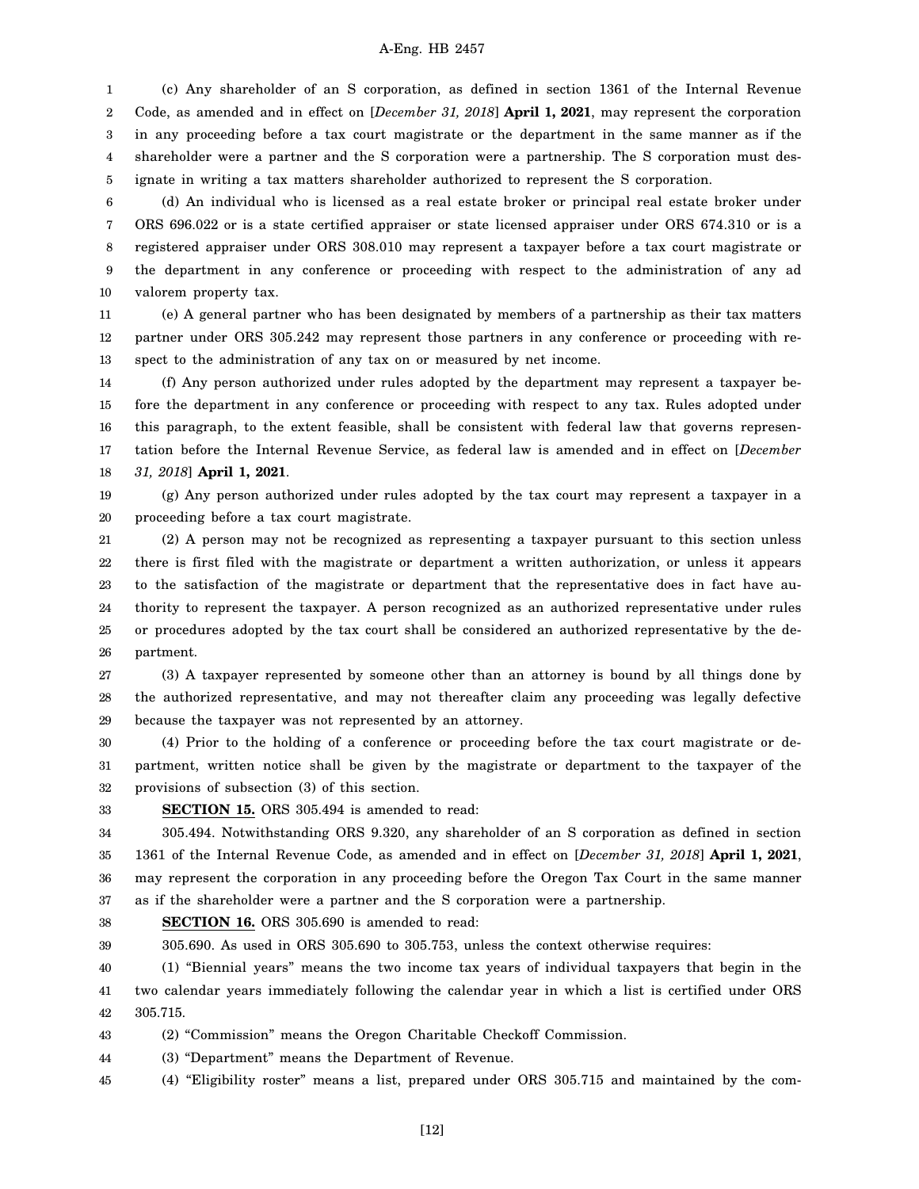1 2 3 4 5 (c) Any shareholder of an S corporation, as defined in section 1361 of the Internal Revenue Code, as amended and in effect on [*December 31, 2018*] **April 1, 2021**, may represent the corporation in any proceeding before a tax court magistrate or the department in the same manner as if the shareholder were a partner and the S corporation were a partnership. The S corporation must designate in writing a tax matters shareholder authorized to represent the S corporation.

6 7 8 9 10 (d) An individual who is licensed as a real estate broker or principal real estate broker under ORS 696.022 or is a state certified appraiser or state licensed appraiser under ORS 674.310 or is a registered appraiser under ORS 308.010 may represent a taxpayer before a tax court magistrate or the department in any conference or proceeding with respect to the administration of any ad valorem property tax.

11 12 13 (e) A general partner who has been designated by members of a partnership as their tax matters partner under ORS 305.242 may represent those partners in any conference or proceeding with respect to the administration of any tax on or measured by net income.

14 15 16 17 18 (f) Any person authorized under rules adopted by the department may represent a taxpayer before the department in any conference or proceeding with respect to any tax. Rules adopted under this paragraph, to the extent feasible, shall be consistent with federal law that governs representation before the Internal Revenue Service, as federal law is amended and in effect on [*December 31, 2018*] **April 1, 2021**.

19 20 (g) Any person authorized under rules adopted by the tax court may represent a taxpayer in a proceeding before a tax court magistrate.

21 22 23 24 25 26 (2) A person may not be recognized as representing a taxpayer pursuant to this section unless there is first filed with the magistrate or department a written authorization, or unless it appears to the satisfaction of the magistrate or department that the representative does in fact have authority to represent the taxpayer. A person recognized as an authorized representative under rules or procedures adopted by the tax court shall be considered an authorized representative by the department.

27 28 29 (3) A taxpayer represented by someone other than an attorney is bound by all things done by the authorized representative, and may not thereafter claim any proceeding was legally defective because the taxpayer was not represented by an attorney.

30 31 32 (4) Prior to the holding of a conference or proceeding before the tax court magistrate or department, written notice shall be given by the magistrate or department to the taxpayer of the provisions of subsection (3) of this section.

33

**SECTION 15.** ORS 305.494 is amended to read:

34 35 36 37 305.494. Notwithstanding ORS 9.320, any shareholder of an S corporation as defined in section 1361 of the Internal Revenue Code, as amended and in effect on [*December 31, 2018*] **April 1, 2021**, may represent the corporation in any proceeding before the Oregon Tax Court in the same manner as if the shareholder were a partner and the S corporation were a partnership.

38

**SECTION 16.** ORS 305.690 is amended to read:

39 305.690. As used in ORS 305.690 to 305.753, unless the context otherwise requires:

40 41 42 (1) "Biennial years" means the two income tax years of individual taxpayers that begin in the two calendar years immediately following the calendar year in which a list is certified under ORS 305.715.

43 (2) "Commission" means the Oregon Charitable Checkoff Commission.

44 (3) "Department" means the Department of Revenue.

45 (4) "Eligibility roster" means a list, prepared under ORS 305.715 and maintained by the com-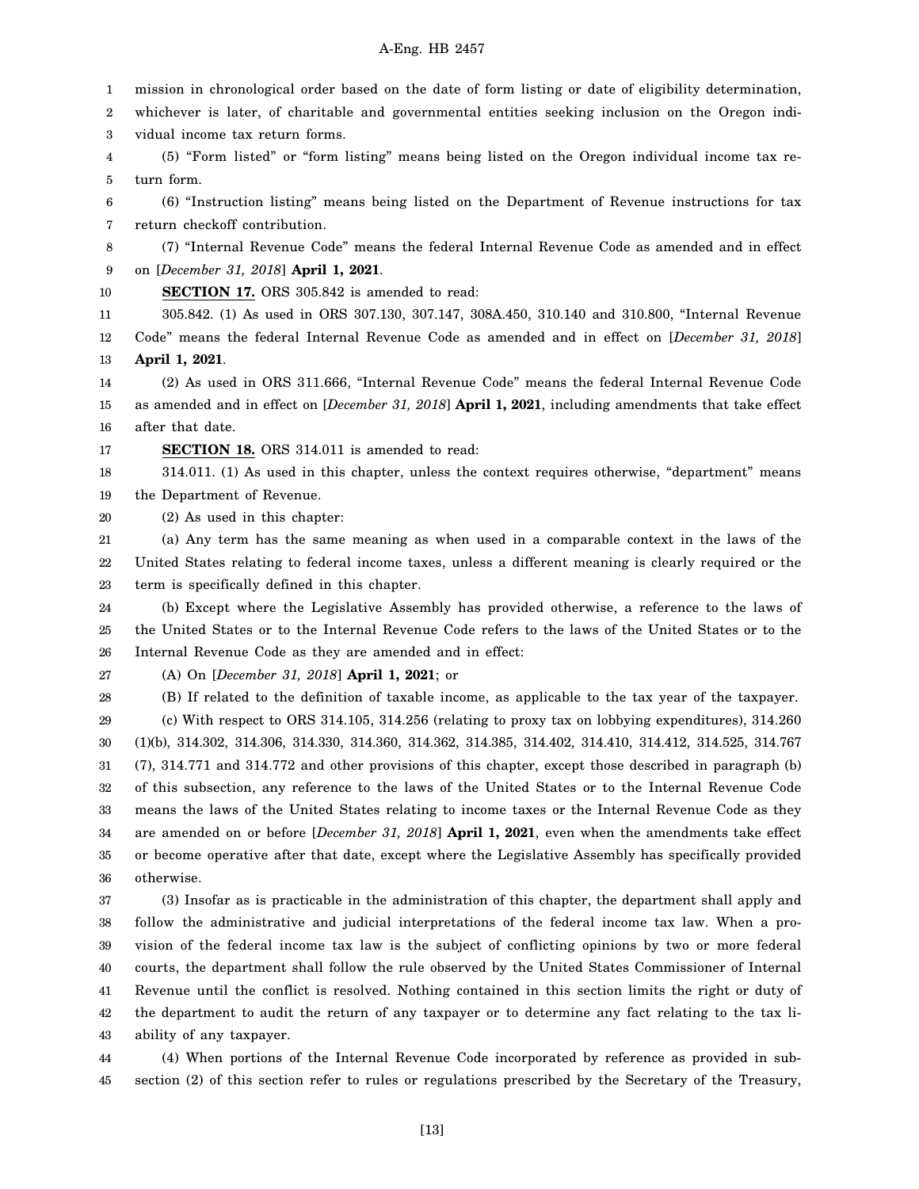| 1      | mission in chronological order based on the date of form listing or date of eligibility determination,    |
|--------|-----------------------------------------------------------------------------------------------------------|
| 2      | whichever is later, of charitable and governmental entities seeking inclusion on the Oregon indi-         |
| 3      | vidual income tax return forms.                                                                           |
| 4      | (5) "Form listed" or "form listing" means being listed on the Oregon individual income tax re-            |
| 5      | turn form.                                                                                                |
| 6      | (6) "Instruction listing" means being listed on the Department of Revenue instructions for tax            |
| 7      | return checkoff contribution.                                                                             |
| 8      | (7) "Internal Revenue Code" means the federal Internal Revenue Code as amended and in effect              |
| 9      | on [December 31, 2018] April 1, 2021.                                                                     |
| 10     | <b>SECTION 17.</b> ORS 305.842 is amended to read:                                                        |
| 11     | 305.842. (1) As used in ORS 307.130, 307.147, 308A.450, 310.140 and 310.800, "Internal Revenue            |
| $12\,$ | Code" means the federal Internal Revenue Code as amended and in effect on [December 31, 2018]             |
| 13     | April 1, 2021.                                                                                            |
| 14     | (2) As used in ORS 311.666, "Internal Revenue Code" means the federal Internal Revenue Code               |
| 15     | as amended and in effect on [December 31, 2018] April 1, 2021, including amendments that take effect      |
| 16     | after that date.                                                                                          |
| 17     | <b>SECTION 18.</b> ORS 314.011 is amended to read:                                                        |
| 18     | 314.011. (1) As used in this chapter, unless the context requires otherwise, "department" means           |
| 19     | the Department of Revenue.                                                                                |
| 20     | $(2)$ As used in this chapter:                                                                            |
| 21     | (a) Any term has the same meaning as when used in a comparable context in the laws of the                 |
| 22     | United States relating to federal income taxes, unless a different meaning is clearly required or the     |
| 23     | term is specifically defined in this chapter.                                                             |
| 24     | (b) Except where the Legislative Assembly has provided otherwise, a reference to the laws of              |
| 25     | the United States or to the Internal Revenue Code refers to the laws of the United States or to the       |
| 26     | Internal Revenue Code as they are amended and in effect:                                                  |
| 27     | (A) On [December 31, 2018] April 1, 2021; or                                                              |
| 28     | (B) If related to the definition of taxable income, as applicable to the tax year of the taxpayer.        |
| 29     | (c) With respect to ORS 314.105, 314.256 (relating to proxy tax on lobbying expenditures), 314.260        |
| 30     | (1)(b), 314.302, 314.306, 314.330, 314.360, 314.362, 314.385, 314.402, 314.410, 314.412, 314.525, 314.767 |
| 31     | (7), 314.771 and 314.772 and other provisions of this chapter, except those described in paragraph (b)    |
| 32     | of this subsection, any reference to the laws of the United States or to the Internal Revenue Code        |
| 33     | means the laws of the United States relating to income taxes or the Internal Revenue Code as they         |
| 34     | are amended on or before [December 31, 2018] April 1, 2021, even when the amendments take effect          |
| 35     | or become operative after that date, except where the Legislative Assembly has specifically provided      |
| 36     | otherwise.                                                                                                |
| 37     | (3) Insofar as is practicable in the administration of this chapter, the department shall apply and       |
| 38     | follow the administrative and judicial interpretations of the federal income tax law. When a pro-         |
| 39     | vision of the federal income tax law is the subject of conflicting opinions by two or more federal        |
| 40     | courts, the department shall follow the rule observed by the United States Commissioner of Internal       |
| 41     | Revenue until the conflict is resolved. Nothing contained in this section limits the right or duty of     |
| 42     | the department to audit the return of any taxpayer or to determine any fact relating to the tax li-       |
| 43     | ability of any taxpayer.                                                                                  |
| 44     | (4) When portions of the Internal Revenue Code incorporated by reference as provided in sub-              |
| 45     | section (2) of this section refer to rules or regulations prescribed by the Secretary of the Treasury,    |

[13]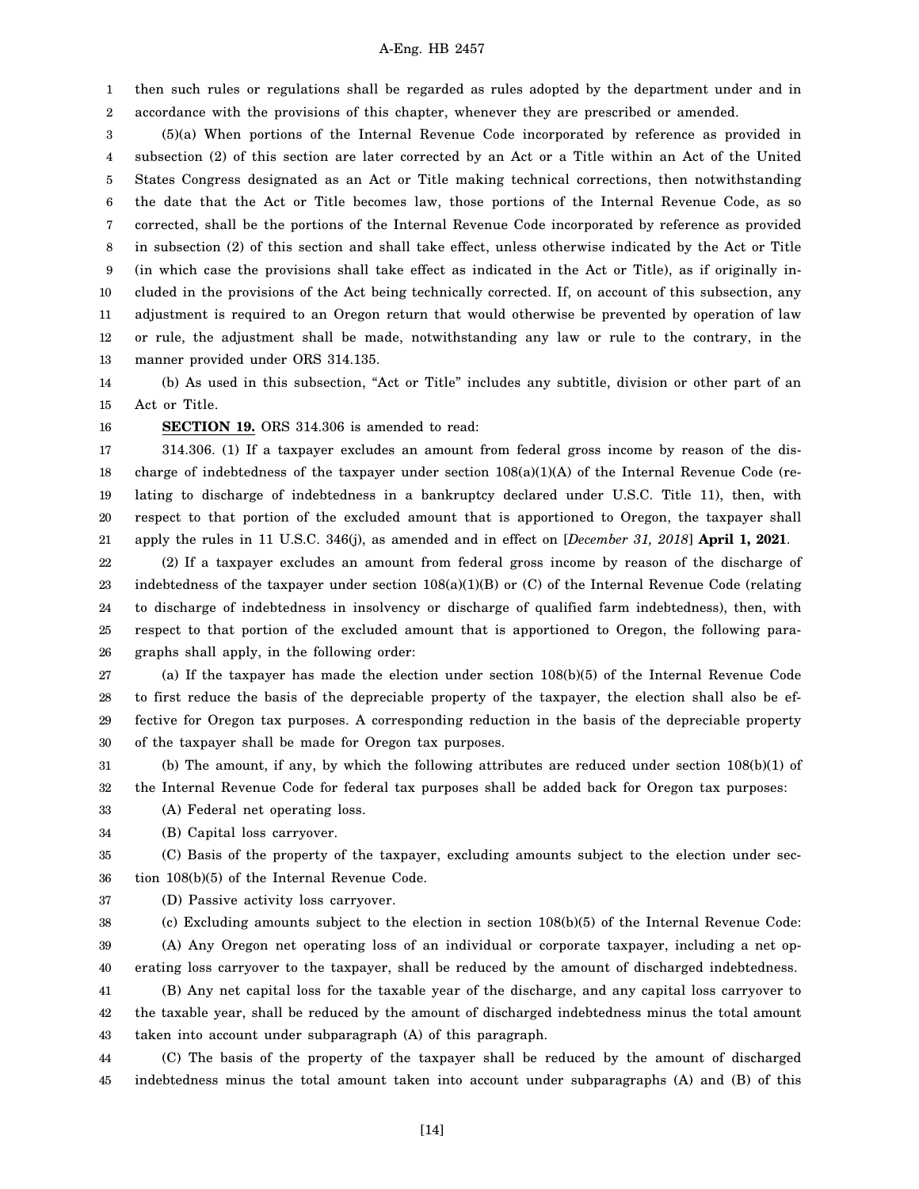1 2 then such rules or regulations shall be regarded as rules adopted by the department under and in accordance with the provisions of this chapter, whenever they are prescribed or amended.

3 4 5 6 7 8 9 10 11 12 13 (5)(a) When portions of the Internal Revenue Code incorporated by reference as provided in subsection (2) of this section are later corrected by an Act or a Title within an Act of the United States Congress designated as an Act or Title making technical corrections, then notwithstanding the date that the Act or Title becomes law, those portions of the Internal Revenue Code, as so corrected, shall be the portions of the Internal Revenue Code incorporated by reference as provided in subsection (2) of this section and shall take effect, unless otherwise indicated by the Act or Title (in which case the provisions shall take effect as indicated in the Act or Title), as if originally included in the provisions of the Act being technically corrected. If, on account of this subsection, any adjustment is required to an Oregon return that would otherwise be prevented by operation of law or rule, the adjustment shall be made, notwithstanding any law or rule to the contrary, in the manner provided under ORS 314.135.

14 15 (b) As used in this subsection, "Act or Title" includes any subtitle, division or other part of an Act or Title.

16

**SECTION 19.** ORS 314.306 is amended to read:

17 18 19 20 21 314.306. (1) If a taxpayer excludes an amount from federal gross income by reason of the discharge of indebtedness of the taxpayer under section 108(a)(1)(A) of the Internal Revenue Code (relating to discharge of indebtedness in a bankruptcy declared under U.S.C. Title 11), then, with respect to that portion of the excluded amount that is apportioned to Oregon, the taxpayer shall apply the rules in 11 U.S.C. 346(j), as amended and in effect on [*December 31, 2018*] **April 1, 2021**.

22 23 24 25 26 (2) If a taxpayer excludes an amount from federal gross income by reason of the discharge of indebtedness of the taxpayer under section 108(a)(1)(B) or (C) of the Internal Revenue Code (relating to discharge of indebtedness in insolvency or discharge of qualified farm indebtedness), then, with respect to that portion of the excluded amount that is apportioned to Oregon, the following paragraphs shall apply, in the following order:

27 28 29 30 (a) If the taxpayer has made the election under section 108(b)(5) of the Internal Revenue Code to first reduce the basis of the depreciable property of the taxpayer, the election shall also be effective for Oregon tax purposes. A corresponding reduction in the basis of the depreciable property of the taxpayer shall be made for Oregon tax purposes.

31 32 (b) The amount, if any, by which the following attributes are reduced under section 108(b)(1) of the Internal Revenue Code for federal tax purposes shall be added back for Oregon tax purposes:

33 (A) Federal net operating loss.

34 (B) Capital loss carryover.

35 36 (C) Basis of the property of the taxpayer, excluding amounts subject to the election under section 108(b)(5) of the Internal Revenue Code.

37 (D) Passive activity loss carryover.

38 39 40 (c) Excluding amounts subject to the election in section 108(b)(5) of the Internal Revenue Code: (A) Any Oregon net operating loss of an individual or corporate taxpayer, including a net operating loss carryover to the taxpayer, shall be reduced by the amount of discharged indebtedness.

41 42 43 (B) Any net capital loss for the taxable year of the discharge, and any capital loss carryover to the taxable year, shall be reduced by the amount of discharged indebtedness minus the total amount taken into account under subparagraph (A) of this paragraph.

44 45 (C) The basis of the property of the taxpayer shall be reduced by the amount of discharged indebtedness minus the total amount taken into account under subparagraphs (A) and (B) of this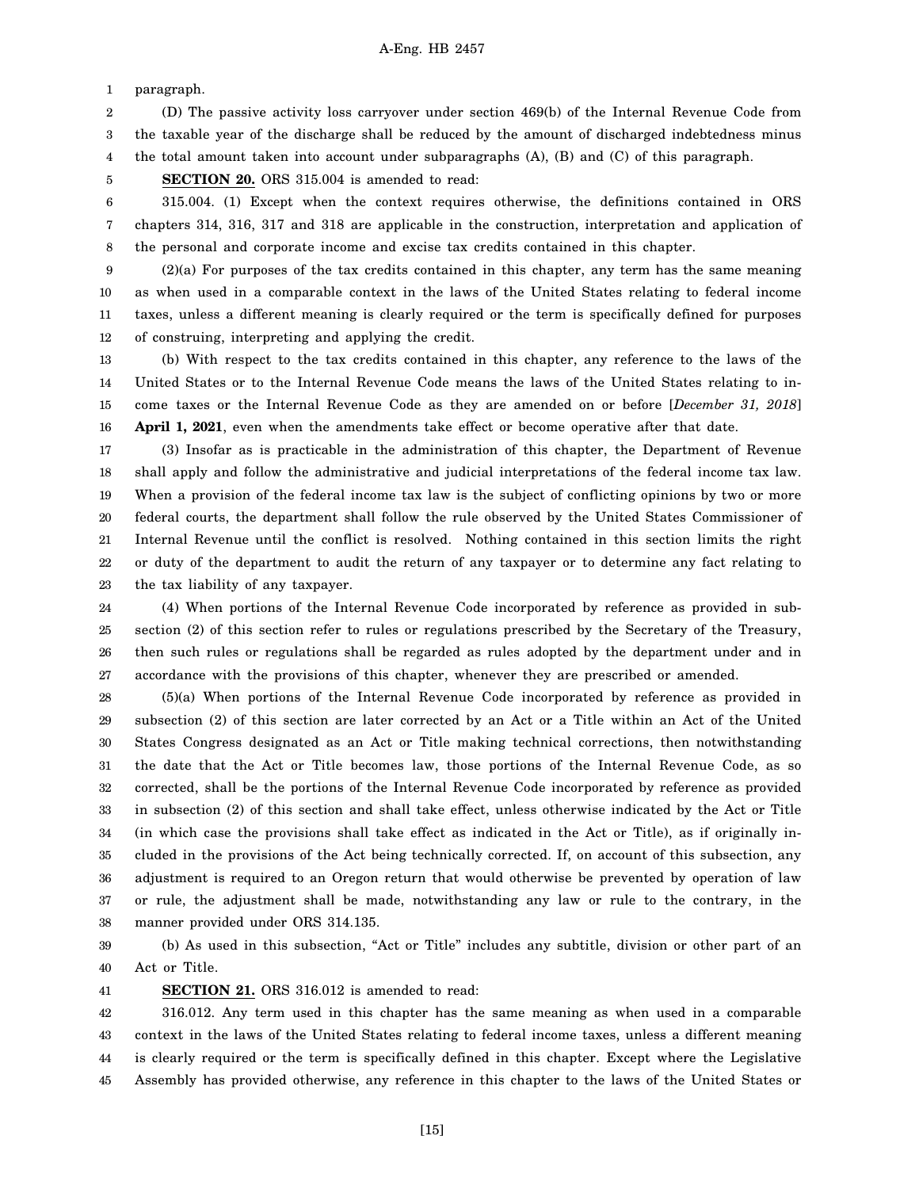1 paragraph.

2 3 4 (D) The passive activity loss carryover under section 469(b) of the Internal Revenue Code from the taxable year of the discharge shall be reduced by the amount of discharged indebtedness minus the total amount taken into account under subparagraphs (A), (B) and (C) of this paragraph.

5 **SECTION 20.** ORS 315.004 is amended to read:

6 7 8 315.004. (1) Except when the context requires otherwise, the definitions contained in ORS chapters 314, 316, 317 and 318 are applicable in the construction, interpretation and application of the personal and corporate income and excise tax credits contained in this chapter.

9 10 11 12 (2)(a) For purposes of the tax credits contained in this chapter, any term has the same meaning as when used in a comparable context in the laws of the United States relating to federal income taxes, unless a different meaning is clearly required or the term is specifically defined for purposes of construing, interpreting and applying the credit.

13 14 15 16 (b) With respect to the tax credits contained in this chapter, any reference to the laws of the United States or to the Internal Revenue Code means the laws of the United States relating to income taxes or the Internal Revenue Code as they are amended on or before [*December 31, 2018*] **April 1, 2021**, even when the amendments take effect or become operative after that date.

17 18 19 20 21 22 23 (3) Insofar as is practicable in the administration of this chapter, the Department of Revenue shall apply and follow the administrative and judicial interpretations of the federal income tax law. When a provision of the federal income tax law is the subject of conflicting opinions by two or more federal courts, the department shall follow the rule observed by the United States Commissioner of Internal Revenue until the conflict is resolved. Nothing contained in this section limits the right or duty of the department to audit the return of any taxpayer or to determine any fact relating to the tax liability of any taxpayer.

24 25 26 27 (4) When portions of the Internal Revenue Code incorporated by reference as provided in subsection (2) of this section refer to rules or regulations prescribed by the Secretary of the Treasury, then such rules or regulations shall be regarded as rules adopted by the department under and in accordance with the provisions of this chapter, whenever they are prescribed or amended.

28 29 30 31 32 33 34 35 36 37 38 (5)(a) When portions of the Internal Revenue Code incorporated by reference as provided in subsection (2) of this section are later corrected by an Act or a Title within an Act of the United States Congress designated as an Act or Title making technical corrections, then notwithstanding the date that the Act or Title becomes law, those portions of the Internal Revenue Code, as so corrected, shall be the portions of the Internal Revenue Code incorporated by reference as provided in subsection (2) of this section and shall take effect, unless otherwise indicated by the Act or Title (in which case the provisions shall take effect as indicated in the Act or Title), as if originally included in the provisions of the Act being technically corrected. If, on account of this subsection, any adjustment is required to an Oregon return that would otherwise be prevented by operation of law or rule, the adjustment shall be made, notwithstanding any law or rule to the contrary, in the manner provided under ORS 314.135.

39 40 (b) As used in this subsection, "Act or Title" includes any subtitle, division or other part of an Act or Title.

41

**SECTION 21.** ORS 316.012 is amended to read:

42 43 44 45 316.012. Any term used in this chapter has the same meaning as when used in a comparable context in the laws of the United States relating to federal income taxes, unless a different meaning is clearly required or the term is specifically defined in this chapter. Except where the Legislative Assembly has provided otherwise, any reference in this chapter to the laws of the United States or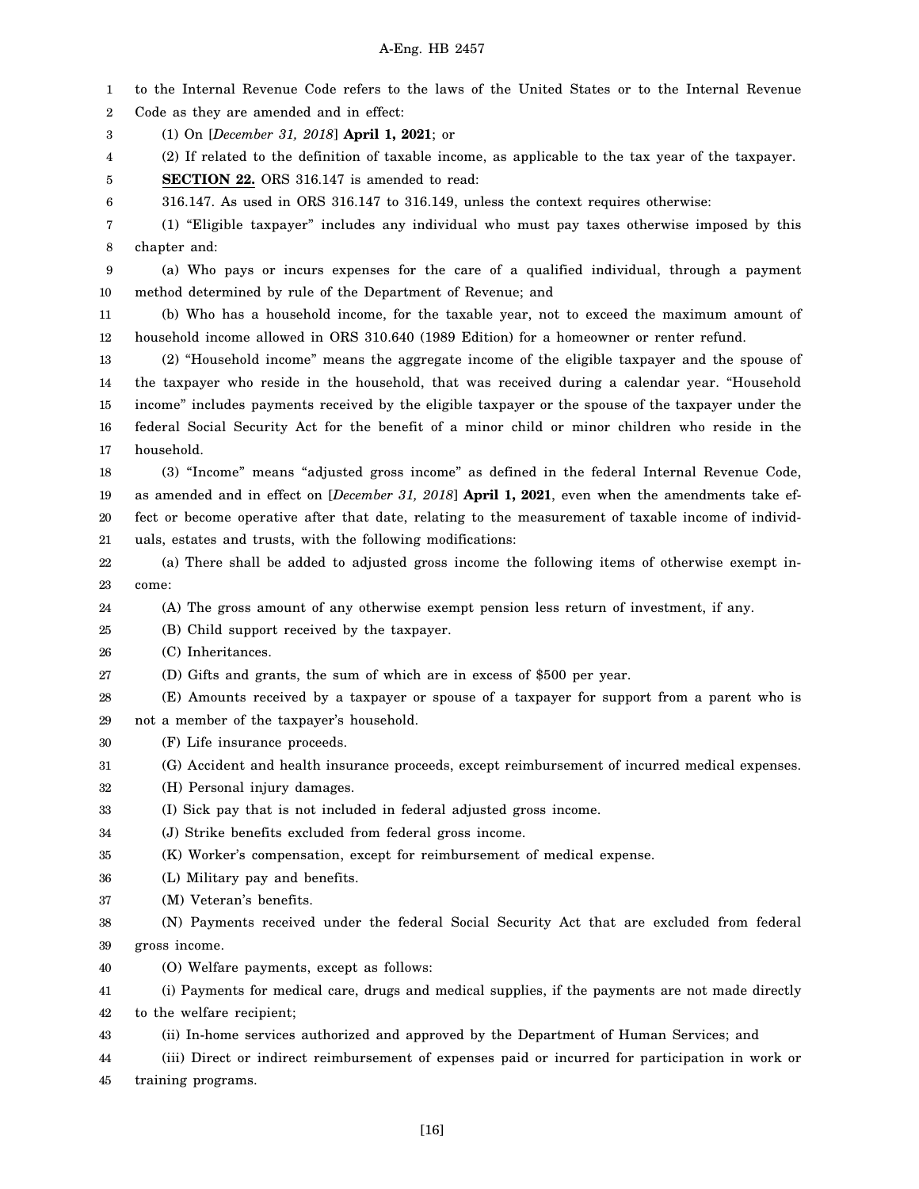1  $\mathcal{D}$ 3 4 5 6 7 8 9 10 11 12 13 14 15 16 17 18 19 20 21 22 23 24 25 26 27 28 29 30 31 32 33 34 35 36 37 38 39 40 41 42 43 44 45 to the Internal Revenue Code refers to the laws of the United States or to the Internal Revenue Code as they are amended and in effect: (1) On [*December 31, 2018*] **April 1, 2021**; or (2) If related to the definition of taxable income, as applicable to the tax year of the taxpayer. **SECTION 22.** ORS 316.147 is amended to read: 316.147. As used in ORS 316.147 to 316.149, unless the context requires otherwise: (1) "Eligible taxpayer" includes any individual who must pay taxes otherwise imposed by this chapter and: (a) Who pays or incurs expenses for the care of a qualified individual, through a payment method determined by rule of the Department of Revenue; and (b) Who has a household income, for the taxable year, not to exceed the maximum amount of household income allowed in ORS 310.640 (1989 Edition) for a homeowner or renter refund. (2) "Household income" means the aggregate income of the eligible taxpayer and the spouse of the taxpayer who reside in the household, that was received during a calendar year. "Household income" includes payments received by the eligible taxpayer or the spouse of the taxpayer under the federal Social Security Act for the benefit of a minor child or minor children who reside in the household. (3) "Income" means "adjusted gross income" as defined in the federal Internal Revenue Code, as amended and in effect on [*December 31, 2018*] **April 1, 2021**, even when the amendments take effect or become operative after that date, relating to the measurement of taxable income of individuals, estates and trusts, with the following modifications: (a) There shall be added to adjusted gross income the following items of otherwise exempt income: (A) The gross amount of any otherwise exempt pension less return of investment, if any. (B) Child support received by the taxpayer. (C) Inheritances. (D) Gifts and grants, the sum of which are in excess of \$500 per year. (E) Amounts received by a taxpayer or spouse of a taxpayer for support from a parent who is not a member of the taxpayer's household. (F) Life insurance proceeds. (G) Accident and health insurance proceeds, except reimbursement of incurred medical expenses. (H) Personal injury damages. (I) Sick pay that is not included in federal adjusted gross income. (J) Strike benefits excluded from federal gross income. (K) Worker's compensation, except for reimbursement of medical expense. (L) Military pay and benefits. (M) Veteran's benefits. (N) Payments received under the federal Social Security Act that are excluded from federal gross income. (O) Welfare payments, except as follows: (i) Payments for medical care, drugs and medical supplies, if the payments are not made directly to the welfare recipient; (ii) In-home services authorized and approved by the Department of Human Services; and (iii) Direct or indirect reimbursement of expenses paid or incurred for participation in work or training programs.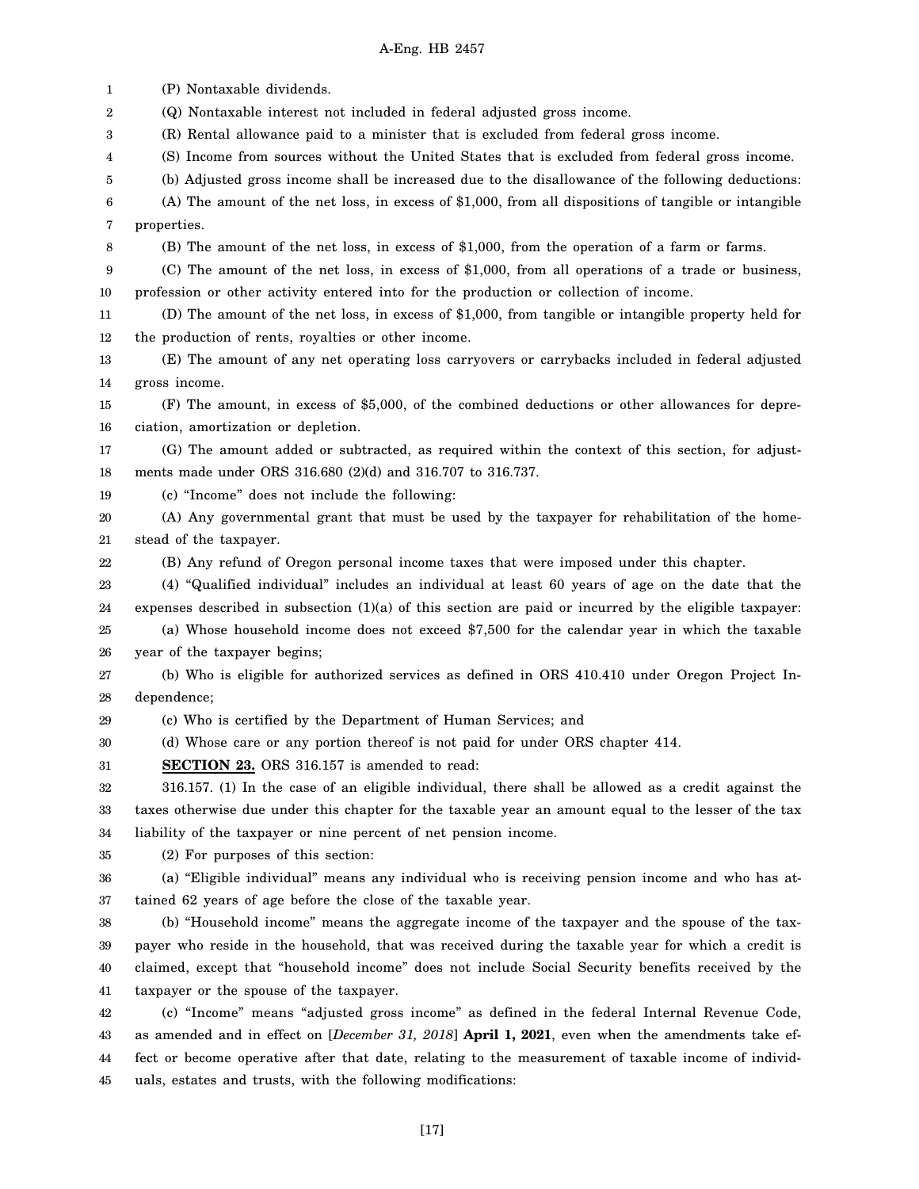1 2 3 4 5 6 7 8 9 10 11 12 13 14 15 16 17 18 19 20 21 22 23 24 25 26 27 28 29 30 31 32 33 34 35 36 37 38 39 40 41 42 43 44 45 (P) Nontaxable dividends. (Q) Nontaxable interest not included in federal adjusted gross income. (R) Rental allowance paid to a minister that is excluded from federal gross income. (S) Income from sources without the United States that is excluded from federal gross income. (b) Adjusted gross income shall be increased due to the disallowance of the following deductions: (A) The amount of the net loss, in excess of \$1,000, from all dispositions of tangible or intangible properties. (B) The amount of the net loss, in excess of \$1,000, from the operation of a farm or farms. (C) The amount of the net loss, in excess of \$1,000, from all operations of a trade or business, profession or other activity entered into for the production or collection of income. (D) The amount of the net loss, in excess of \$1,000, from tangible or intangible property held for the production of rents, royalties or other income. (E) The amount of any net operating loss carryovers or carrybacks included in federal adjusted gross income. (F) The amount, in excess of \$5,000, of the combined deductions or other allowances for depreciation, amortization or depletion. (G) The amount added or subtracted, as required within the context of this section, for adjustments made under ORS 316.680 (2)(d) and 316.707 to 316.737. (c) "Income" does not include the following: (A) Any governmental grant that must be used by the taxpayer for rehabilitation of the homestead of the taxpayer. (B) Any refund of Oregon personal income taxes that were imposed under this chapter. (4) "Qualified individual" includes an individual at least 60 years of age on the date that the expenses described in subsection (1)(a) of this section are paid or incurred by the eligible taxpayer: (a) Whose household income does not exceed \$7,500 for the calendar year in which the taxable year of the taxpayer begins; (b) Who is eligible for authorized services as defined in ORS 410.410 under Oregon Project Independence; (c) Who is certified by the Department of Human Services; and (d) Whose care or any portion thereof is not paid for under ORS chapter 414. **SECTION 23.** ORS 316.157 is amended to read: 316.157. (1) In the case of an eligible individual, there shall be allowed as a credit against the taxes otherwise due under this chapter for the taxable year an amount equal to the lesser of the tax liability of the taxpayer or nine percent of net pension income. (2) For purposes of this section: (a) "Eligible individual" means any individual who is receiving pension income and who has attained 62 years of age before the close of the taxable year. (b) "Household income" means the aggregate income of the taxpayer and the spouse of the taxpayer who reside in the household, that was received during the taxable year for which a credit is claimed, except that "household income" does not include Social Security benefits received by the taxpayer or the spouse of the taxpayer. (c) "Income" means "adjusted gross income" as defined in the federal Internal Revenue Code, as amended and in effect on [*December 31, 2018*] **April 1, 2021**, even when the amendments take effect or become operative after that date, relating to the measurement of taxable income of individuals, estates and trusts, with the following modifications: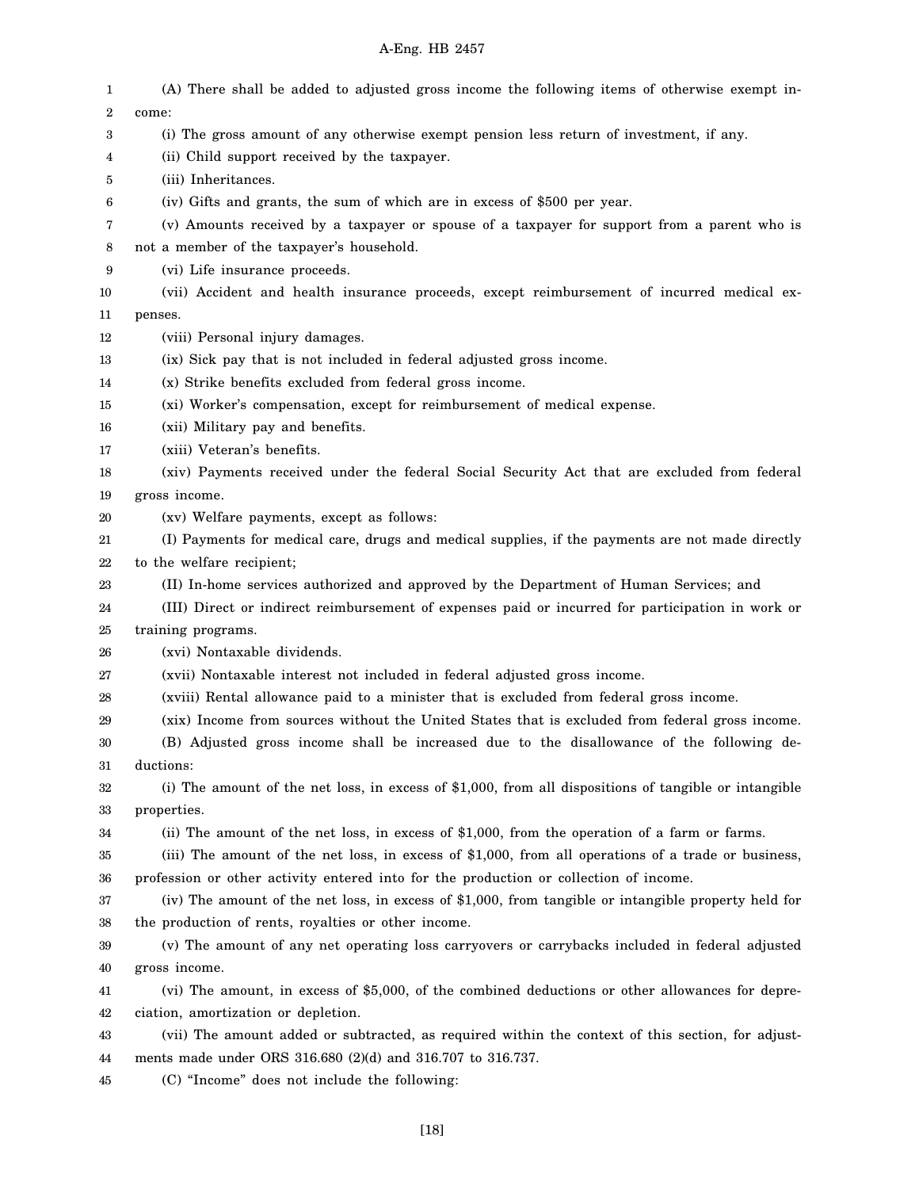| 1  | (A) There shall be added to adjusted gross income the following items of otherwise exempt in-         |
|----|-------------------------------------------------------------------------------------------------------|
| 2  | come:                                                                                                 |
| 3  | (i) The gross amount of any otherwise exempt pension less return of investment, if any.               |
| 4  | (ii) Child support received by the taxpayer.                                                          |
| 5  | (iii) Inheritances.                                                                                   |
| 6  | (iv) Gifts and grants, the sum of which are in excess of \$500 per year.                              |
| 7  | (v) Amounts received by a taxpayer or spouse of a taxpayer for support from a parent who is           |
| 8  | not a member of the taxpayer's household.                                                             |
| 9  | (vi) Life insurance proceeds.                                                                         |
| 10 | (vii) Accident and health insurance proceeds, except reimbursement of incurred medical ex-            |
| 11 | penses.                                                                                               |
| 12 | (viii) Personal injury damages.                                                                       |
| 13 | (ix) Sick pay that is not included in federal adjusted gross income.                                  |
| 14 | (x) Strike benefits excluded from federal gross income.                                               |
| 15 | (xi) Worker's compensation, except for reimbursement of medical expense.                              |
| 16 | (xii) Military pay and benefits.                                                                      |
| 17 | (xiii) Veteran's benefits.                                                                            |
| 18 | (xiv) Payments received under the federal Social Security Act that are excluded from federal          |
| 19 | gross income.                                                                                         |
| 20 | (xv) Welfare payments, except as follows:                                                             |
| 21 | (I) Payments for medical care, drugs and medical supplies, if the payments are not made directly      |
| 22 | to the welfare recipient;                                                                             |
| 23 | (II) In-home services authorized and approved by the Department of Human Services; and                |
| 24 | (III) Direct or indirect reimbursement of expenses paid or incurred for participation in work or      |
| 25 | training programs.                                                                                    |
| 26 | (xvi) Nontaxable dividends.                                                                           |
| 27 | (xvii) Nontaxable interest not included in federal adjusted gross income.                             |
| 28 | (xviii) Rental allowance paid to a minister that is excluded from federal gross income.               |
| 29 | (xix) Income from sources without the United States that is excluded from federal gross income.       |
| 30 | (B) Adjusted gross income shall be increased due to the disallowance of the following de-             |
| 31 | ductions:                                                                                             |
| 32 | (i) The amount of the net loss, in excess of \$1,000, from all dispositions of tangible or intangible |
| 33 | properties.                                                                                           |
| 34 | (ii) The amount of the net loss, in excess of \$1,000, from the operation of a farm or farms.         |
| 35 | (iii) The amount of the net loss, in excess of \$1,000, from all operations of a trade or business,   |
| 36 | profession or other activity entered into for the production or collection of income.                 |
| 37 | (iv) The amount of the net loss, in excess of \$1,000, from tangible or intangible property held for  |
| 38 | the production of rents, royalties or other income.                                                   |
| 39 | (v) The amount of any net operating loss carryovers or carrybacks included in federal adjusted        |
| 40 | gross income.                                                                                         |
| 41 | (vi) The amount, in excess of \$5,000, of the combined deductions or other allowances for depre-      |
| 42 | ciation, amortization or depletion.                                                                   |
| 43 | (vii) The amount added or subtracted, as required within the context of this section, for adjust-     |
| 44 | ments made under ORS 316.680 (2)(d) and 316.707 to 316.737.                                           |

45 (C) "Income" does not include the following: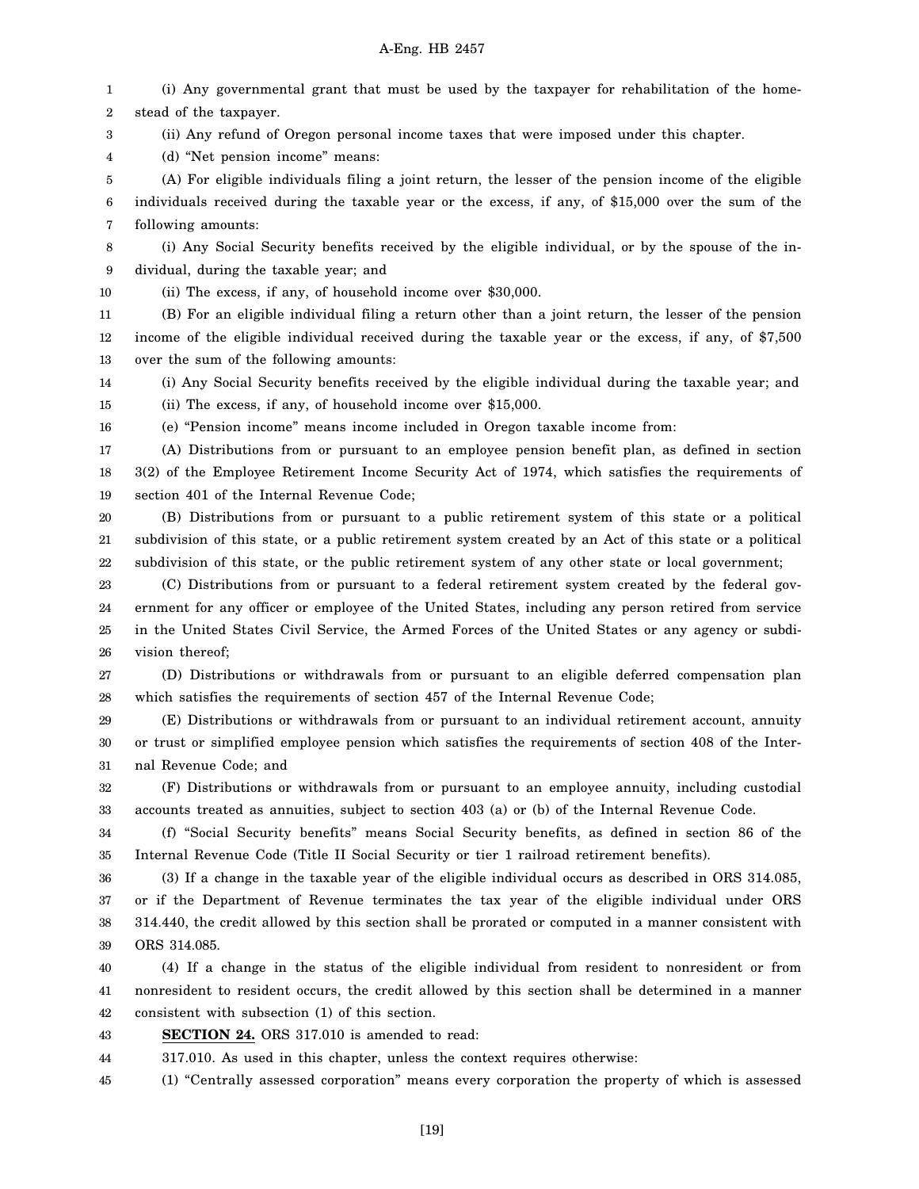1 2 (i) Any governmental grant that must be used by the taxpayer for rehabilitation of the homestead of the taxpayer.

3 (ii) Any refund of Oregon personal income taxes that were imposed under this chapter.

4 (d) "Net pension income" means:

5 6 7 (A) For eligible individuals filing a joint return, the lesser of the pension income of the eligible individuals received during the taxable year or the excess, if any, of \$15,000 over the sum of the following amounts:

8 9 (i) Any Social Security benefits received by the eligible individual, or by the spouse of the individual, during the taxable year; and

10

(ii) The excess, if any, of household income over \$30,000.

11 12 13 (B) For an eligible individual filing a return other than a joint return, the lesser of the pension income of the eligible individual received during the taxable year or the excess, if any, of \$7,500 over the sum of the following amounts:

14 (i) Any Social Security benefits received by the eligible individual during the taxable year; and

15 (ii) The excess, if any, of household income over \$15,000.

16

(e) "Pension income" means income included in Oregon taxable income from:

17 18 19 (A) Distributions from or pursuant to an employee pension benefit plan, as defined in section 3(2) of the Employee Retirement Income Security Act of 1974, which satisfies the requirements of section 401 of the Internal Revenue Code;

20 21 22 (B) Distributions from or pursuant to a public retirement system of this state or a political subdivision of this state, or a public retirement system created by an Act of this state or a political subdivision of this state, or the public retirement system of any other state or local government;

23 24 25 26 (C) Distributions from or pursuant to a federal retirement system created by the federal government for any officer or employee of the United States, including any person retired from service in the United States Civil Service, the Armed Forces of the United States or any agency or subdivision thereof;

27 28 (D) Distributions or withdrawals from or pursuant to an eligible deferred compensation plan which satisfies the requirements of section 457 of the Internal Revenue Code;

29 30 31 (E) Distributions or withdrawals from or pursuant to an individual retirement account, annuity or trust or simplified employee pension which satisfies the requirements of section 408 of the Internal Revenue Code; and

32 33 (F) Distributions or withdrawals from or pursuant to an employee annuity, including custodial accounts treated as annuities, subject to section 403 (a) or (b) of the Internal Revenue Code.

34 35 (f) "Social Security benefits" means Social Security benefits, as defined in section 86 of the Internal Revenue Code (Title II Social Security or tier 1 railroad retirement benefits).

36 (3) If a change in the taxable year of the eligible individual occurs as described in ORS 314.085,

37 38 39 or if the Department of Revenue terminates the tax year of the eligible individual under ORS 314.440, the credit allowed by this section shall be prorated or computed in a manner consistent with ORS 314.085.

40 41 42 (4) If a change in the status of the eligible individual from resident to nonresident or from nonresident to resident occurs, the credit allowed by this section shall be determined in a manner consistent with subsection (1) of this section.

43 **SECTION 24.** ORS 317.010 is amended to read:

44 317.010. As used in this chapter, unless the context requires otherwise:

45 (1) "Centrally assessed corporation" means every corporation the property of which is assessed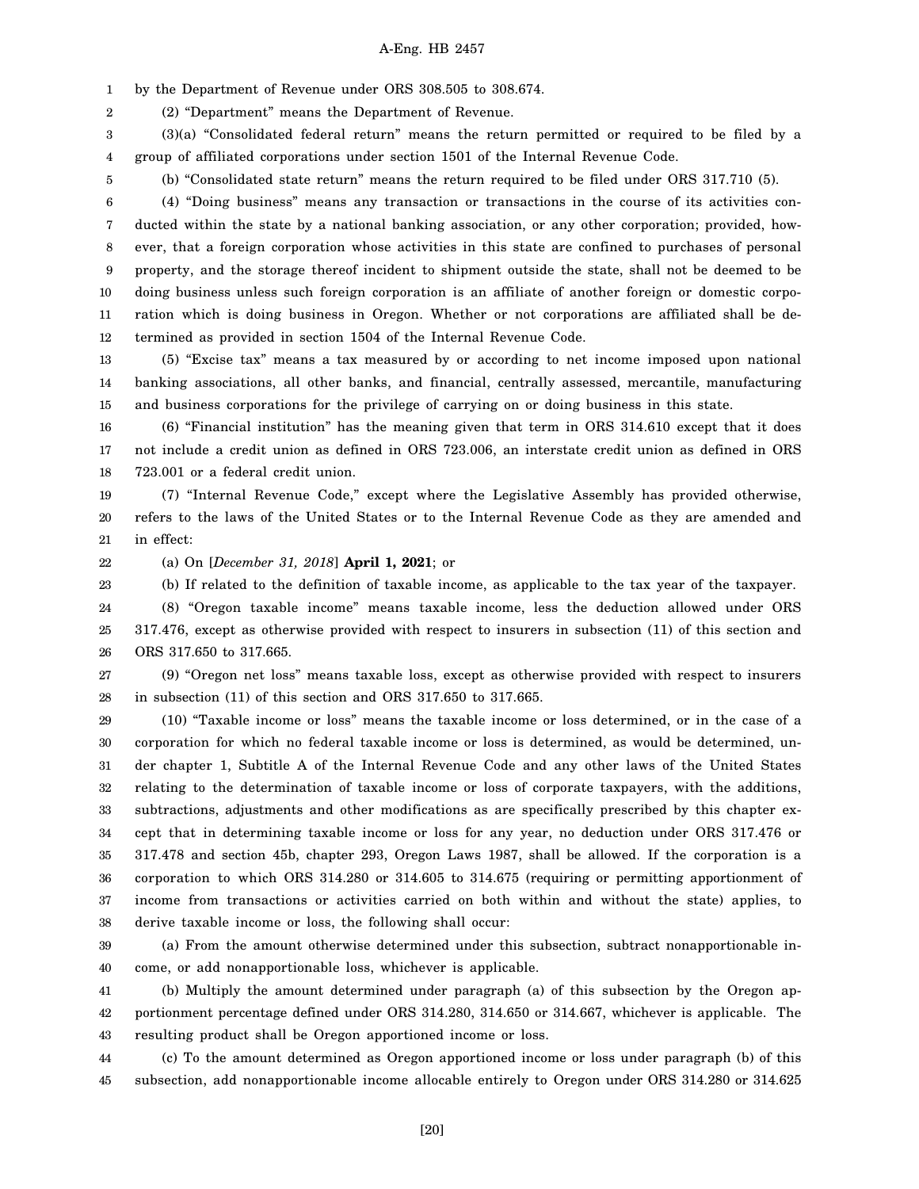1 by the Department of Revenue under ORS 308.505 to 308.674.

2 (2) "Department" means the Department of Revenue.

3 4 (3)(a) "Consolidated federal return" means the return permitted or required to be filed by a group of affiliated corporations under section 1501 of the Internal Revenue Code.

(b) "Consolidated state return" means the return required to be filed under ORS 317.710 (5).

6 7 8 9 10 11 12 (4) "Doing business" means any transaction or transactions in the course of its activities conducted within the state by a national banking association, or any other corporation; provided, however, that a foreign corporation whose activities in this state are confined to purchases of personal property, and the storage thereof incident to shipment outside the state, shall not be deemed to be doing business unless such foreign corporation is an affiliate of another foreign or domestic corporation which is doing business in Oregon. Whether or not corporations are affiliated shall be determined as provided in section 1504 of the Internal Revenue Code.

13 14 15 (5) "Excise tax" means a tax measured by or according to net income imposed upon national banking associations, all other banks, and financial, centrally assessed, mercantile, manufacturing and business corporations for the privilege of carrying on or doing business in this state.

16 17 18 (6) "Financial institution" has the meaning given that term in ORS 314.610 except that it does not include a credit union as defined in ORS 723.006, an interstate credit union as defined in ORS 723.001 or a federal credit union.

19 20 21 (7) "Internal Revenue Code," except where the Legislative Assembly has provided otherwise, refers to the laws of the United States or to the Internal Revenue Code as they are amended and in effect:

22

5

(a) On [*December 31, 2018*] **April 1, 2021**; or

23 (b) If related to the definition of taxable income, as applicable to the tax year of the taxpayer.

24 25 26 (8) "Oregon taxable income" means taxable income, less the deduction allowed under ORS 317.476, except as otherwise provided with respect to insurers in subsection (11) of this section and ORS 317.650 to 317.665.

27 28 (9) "Oregon net loss" means taxable loss, except as otherwise provided with respect to insurers in subsection (11) of this section and ORS 317.650 to 317.665.

29 30 31 32 33 34 35 36 37 38 (10) "Taxable income or loss" means the taxable income or loss determined, or in the case of a corporation for which no federal taxable income or loss is determined, as would be determined, under chapter 1, Subtitle A of the Internal Revenue Code and any other laws of the United States relating to the determination of taxable income or loss of corporate taxpayers, with the additions, subtractions, adjustments and other modifications as are specifically prescribed by this chapter except that in determining taxable income or loss for any year, no deduction under ORS 317.476 or 317.478 and section 45b, chapter 293, Oregon Laws 1987, shall be allowed. If the corporation is a corporation to which ORS 314.280 or 314.605 to 314.675 (requiring or permitting apportionment of income from transactions or activities carried on both within and without the state) applies, to derive taxable income or loss, the following shall occur:

39 40 (a) From the amount otherwise determined under this subsection, subtract nonapportionable income, or add nonapportionable loss, whichever is applicable.

41 42 43 (b) Multiply the amount determined under paragraph (a) of this subsection by the Oregon apportionment percentage defined under ORS 314.280, 314.650 or 314.667, whichever is applicable. The resulting product shall be Oregon apportioned income or loss.

44 45 (c) To the amount determined as Oregon apportioned income or loss under paragraph (b) of this subsection, add nonapportionable income allocable entirely to Oregon under ORS 314.280 or 314.625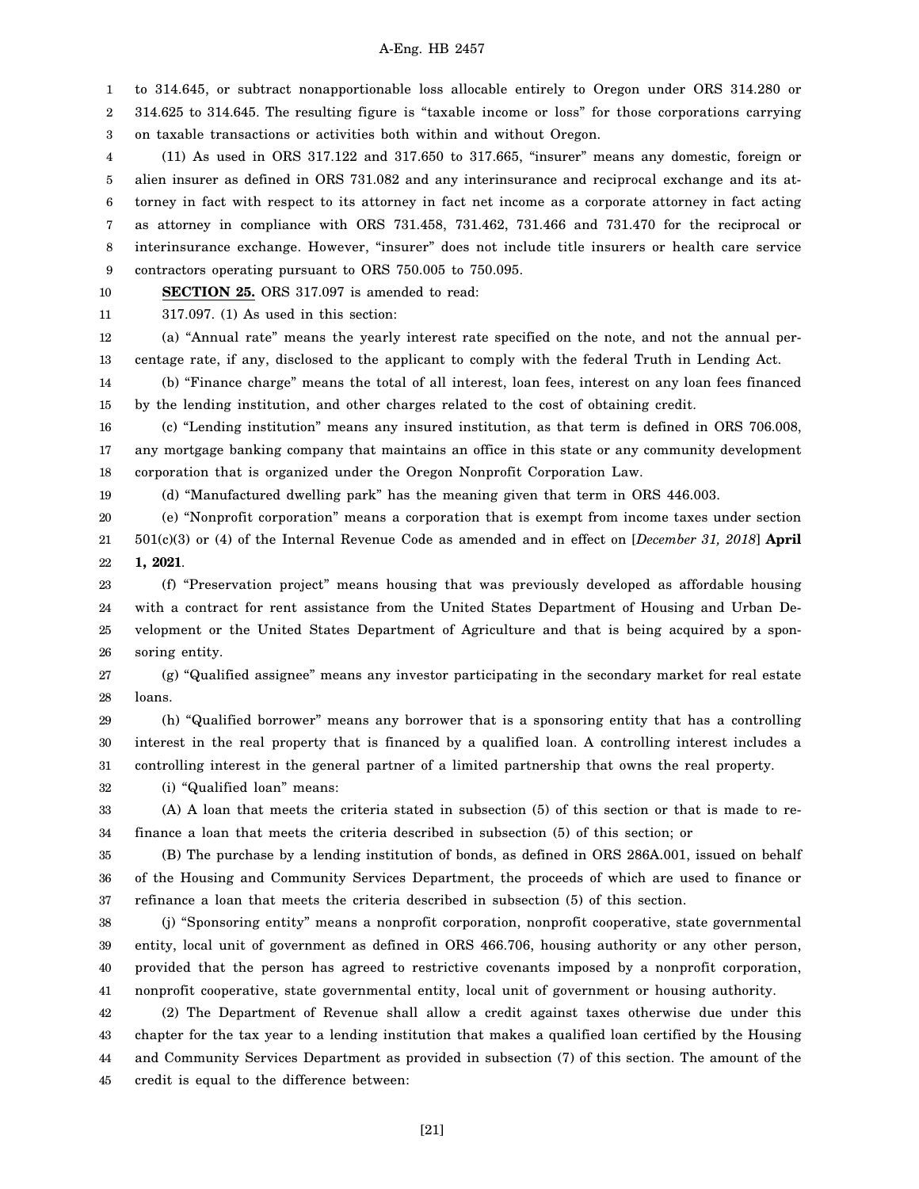1 2 3 to 314.645, or subtract nonapportionable loss allocable entirely to Oregon under ORS 314.280 or 314.625 to 314.645. The resulting figure is "taxable income or loss" for those corporations carrying on taxable transactions or activities both within and without Oregon.

4 5 6 7 8 9 (11) As used in ORS 317.122 and 317.650 to 317.665, "insurer" means any domestic, foreign or alien insurer as defined in ORS 731.082 and any interinsurance and reciprocal exchange and its attorney in fact with respect to its attorney in fact net income as a corporate attorney in fact acting as attorney in compliance with ORS 731.458, 731.462, 731.466 and 731.470 for the reciprocal or interinsurance exchange. However, "insurer" does not include title insurers or health care service contractors operating pursuant to ORS 750.005 to 750.095.

10 **SECTION 25.** ORS 317.097 is amended to read:

11

317.097. (1) As used in this section:

12 13 (a) "Annual rate" means the yearly interest rate specified on the note, and not the annual percentage rate, if any, disclosed to the applicant to comply with the federal Truth in Lending Act.

14 15 (b) "Finance charge" means the total of all interest, loan fees, interest on any loan fees financed by the lending institution, and other charges related to the cost of obtaining credit.

16 17 18 (c) "Lending institution" means any insured institution, as that term is defined in ORS 706.008, any mortgage banking company that maintains an office in this state or any community development corporation that is organized under the Oregon Nonprofit Corporation Law.

19

(d) "Manufactured dwelling park" has the meaning given that term in ORS 446.003.

20 21 (e) "Nonprofit corporation" means a corporation that is exempt from income taxes under section 501(c)(3) or (4) of the Internal Revenue Code as amended and in effect on [*December 31, 2018*] **April**

22 **1, 2021**.

23 24 25 26 (f) "Preservation project" means housing that was previously developed as affordable housing with a contract for rent assistance from the United States Department of Housing and Urban Development or the United States Department of Agriculture and that is being acquired by a sponsoring entity.

27 28

(g) "Qualified assignee" means any investor participating in the secondary market for real estate loans.

29 30 31 (h) "Qualified borrower" means any borrower that is a sponsoring entity that has a controlling interest in the real property that is financed by a qualified loan. A controlling interest includes a controlling interest in the general partner of a limited partnership that owns the real property.

32 (i) "Qualified loan" means:

33 34 (A) A loan that meets the criteria stated in subsection (5) of this section or that is made to refinance a loan that meets the criteria described in subsection (5) of this section; or

35 36 37 (B) The purchase by a lending institution of bonds, as defined in ORS 286A.001, issued on behalf of the Housing and Community Services Department, the proceeds of which are used to finance or refinance a loan that meets the criteria described in subsection (5) of this section.

38 39 40 41 (j) "Sponsoring entity" means a nonprofit corporation, nonprofit cooperative, state governmental entity, local unit of government as defined in ORS 466.706, housing authority or any other person, provided that the person has agreed to restrictive covenants imposed by a nonprofit corporation, nonprofit cooperative, state governmental entity, local unit of government or housing authority.

42 43 44 45 (2) The Department of Revenue shall allow a credit against taxes otherwise due under this chapter for the tax year to a lending institution that makes a qualified loan certified by the Housing and Community Services Department as provided in subsection (7) of this section. The amount of the credit is equal to the difference between: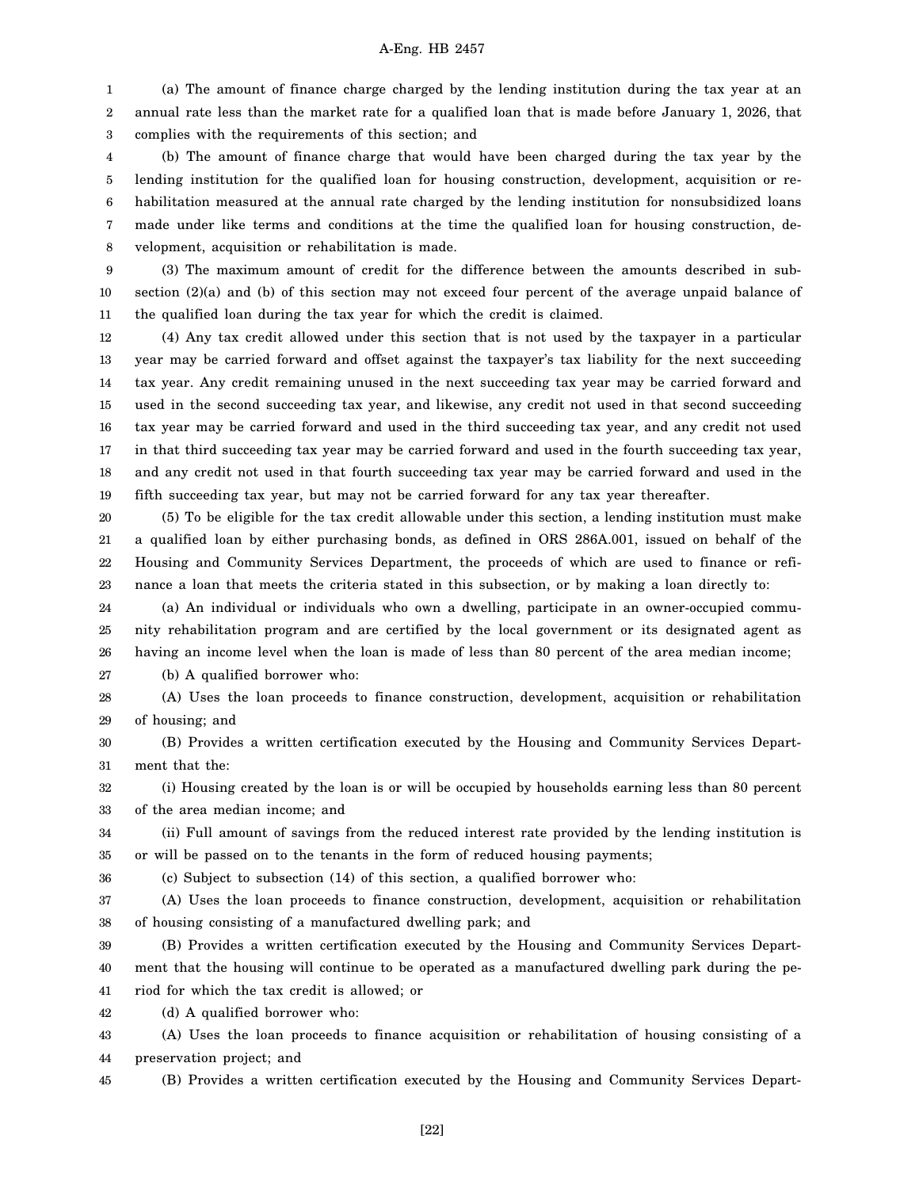1 2 3 (a) The amount of finance charge charged by the lending institution during the tax year at an annual rate less than the market rate for a qualified loan that is made before January 1, 2026, that complies with the requirements of this section; and

4 5 6 7 8 (b) The amount of finance charge that would have been charged during the tax year by the lending institution for the qualified loan for housing construction, development, acquisition or rehabilitation measured at the annual rate charged by the lending institution for nonsubsidized loans made under like terms and conditions at the time the qualified loan for housing construction, development, acquisition or rehabilitation is made.

9 10 11 (3) The maximum amount of credit for the difference between the amounts described in subsection (2)(a) and (b) of this section may not exceed four percent of the average unpaid balance of the qualified loan during the tax year for which the credit is claimed.

12 13 14 15 16 17 18 19 (4) Any tax credit allowed under this section that is not used by the taxpayer in a particular year may be carried forward and offset against the taxpayer's tax liability for the next succeeding tax year. Any credit remaining unused in the next succeeding tax year may be carried forward and used in the second succeeding tax year, and likewise, any credit not used in that second succeeding tax year may be carried forward and used in the third succeeding tax year, and any credit not used in that third succeeding tax year may be carried forward and used in the fourth succeeding tax year, and any credit not used in that fourth succeeding tax year may be carried forward and used in the fifth succeeding tax year, but may not be carried forward for any tax year thereafter.

20 21 22 23 (5) To be eligible for the tax credit allowable under this section, a lending institution must make a qualified loan by either purchasing bonds, as defined in ORS 286A.001, issued on behalf of the Housing and Community Services Department, the proceeds of which are used to finance or refinance a loan that meets the criteria stated in this subsection, or by making a loan directly to:

24 25 26 (a) An individual or individuals who own a dwelling, participate in an owner-occupied community rehabilitation program and are certified by the local government or its designated agent as having an income level when the loan is made of less than 80 percent of the area median income;

27 (b) A qualified borrower who:

28 29 (A) Uses the loan proceeds to finance construction, development, acquisition or rehabilitation of housing; and

30 31 (B) Provides a written certification executed by the Housing and Community Services Department that the:

32 33 (i) Housing created by the loan is or will be occupied by households earning less than 80 percent of the area median income; and

34 35 (ii) Full amount of savings from the reduced interest rate provided by the lending institution is or will be passed on to the tenants in the form of reduced housing payments;

(c) Subject to subsection (14) of this section, a qualified borrower who:

37 38 (A) Uses the loan proceeds to finance construction, development, acquisition or rehabilitation of housing consisting of a manufactured dwelling park; and

39 40 41 (B) Provides a written certification executed by the Housing and Community Services Department that the housing will continue to be operated as a manufactured dwelling park during the period for which the tax credit is allowed; or

42 (d) A qualified borrower who:

36

43 44 (A) Uses the loan proceeds to finance acquisition or rehabilitation of housing consisting of a preservation project; and

45 (B) Provides a written certification executed by the Housing and Community Services Depart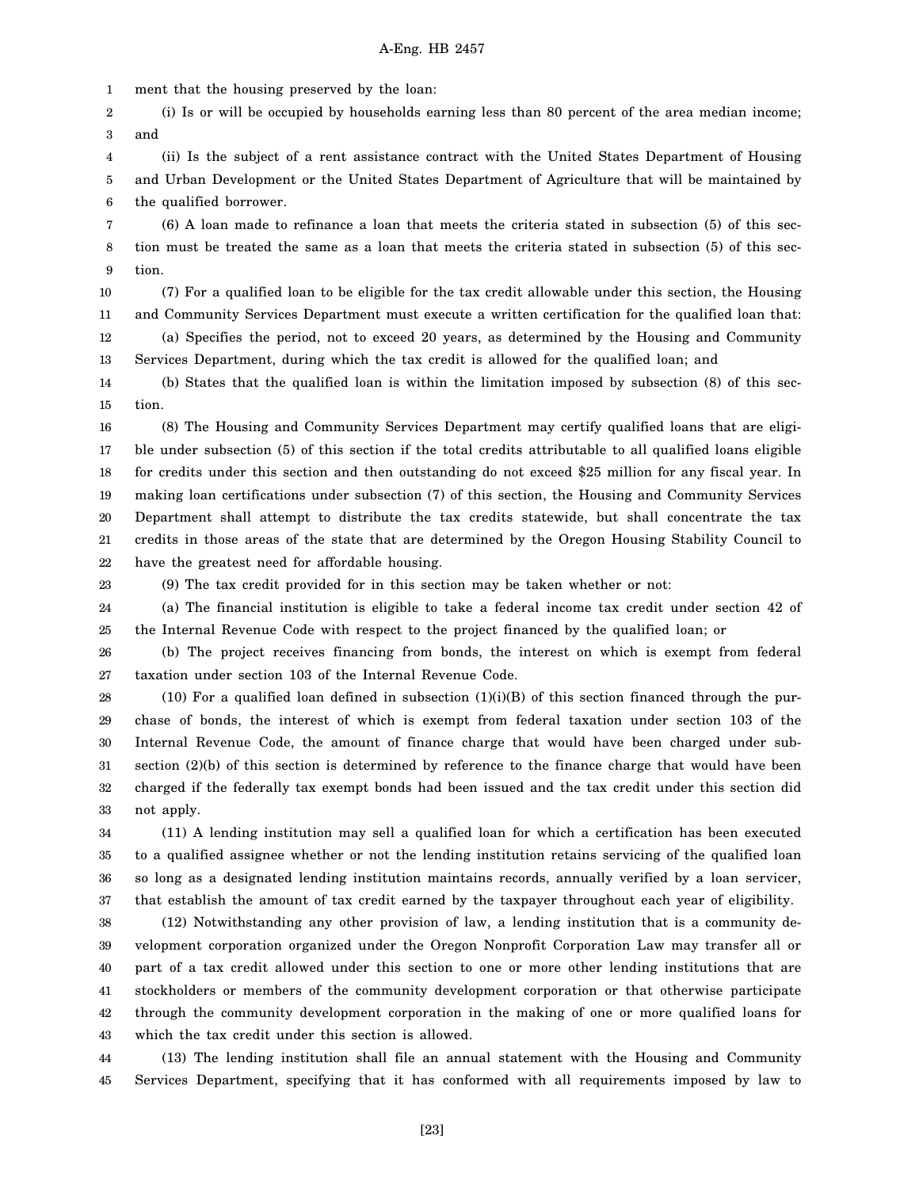1 ment that the housing preserved by the loan:

2 3 (i) Is or will be occupied by households earning less than 80 percent of the area median income; and

4 5 6 (ii) Is the subject of a rent assistance contract with the United States Department of Housing and Urban Development or the United States Department of Agriculture that will be maintained by the qualified borrower.

7 8 9 (6) A loan made to refinance a loan that meets the criteria stated in subsection (5) of this section must be treated the same as a loan that meets the criteria stated in subsection (5) of this section.

10 11 12 13 (7) For a qualified loan to be eligible for the tax credit allowable under this section, the Housing and Community Services Department must execute a written certification for the qualified loan that: (a) Specifies the period, not to exceed 20 years, as determined by the Housing and Community Services Department, during which the tax credit is allowed for the qualified loan; and

14 15 (b) States that the qualified loan is within the limitation imposed by subsection (8) of this section.

16 17 18 19 20 21 22 (8) The Housing and Community Services Department may certify qualified loans that are eligible under subsection (5) of this section if the total credits attributable to all qualified loans eligible for credits under this section and then outstanding do not exceed \$25 million for any fiscal year. In making loan certifications under subsection (7) of this section, the Housing and Community Services Department shall attempt to distribute the tax credits statewide, but shall concentrate the tax credits in those areas of the state that are determined by the Oregon Housing Stability Council to have the greatest need for affordable housing.

23

(9) The tax credit provided for in this section may be taken whether or not:

24 25 (a) The financial institution is eligible to take a federal income tax credit under section 42 of the Internal Revenue Code with respect to the project financed by the qualified loan; or

26 27 (b) The project receives financing from bonds, the interest on which is exempt from federal taxation under section 103 of the Internal Revenue Code.

28 29 30 31 32 33  $(10)$  For a qualified loan defined in subsection  $(1)(i)(B)$  of this section financed through the purchase of bonds, the interest of which is exempt from federal taxation under section 103 of the Internal Revenue Code, the amount of finance charge that would have been charged under subsection (2)(b) of this section is determined by reference to the finance charge that would have been charged if the federally tax exempt bonds had been issued and the tax credit under this section did not apply.

34 35 36 37 (11) A lending institution may sell a qualified loan for which a certification has been executed to a qualified assignee whether or not the lending institution retains servicing of the qualified loan so long as a designated lending institution maintains records, annually verified by a loan servicer, that establish the amount of tax credit earned by the taxpayer throughout each year of eligibility.

38 39 40 41 42 43 (12) Notwithstanding any other provision of law, a lending institution that is a community development corporation organized under the Oregon Nonprofit Corporation Law may transfer all or part of a tax credit allowed under this section to one or more other lending institutions that are stockholders or members of the community development corporation or that otherwise participate through the community development corporation in the making of one or more qualified loans for which the tax credit under this section is allowed.

44 45 (13) The lending institution shall file an annual statement with the Housing and Community Services Department, specifying that it has conformed with all requirements imposed by law to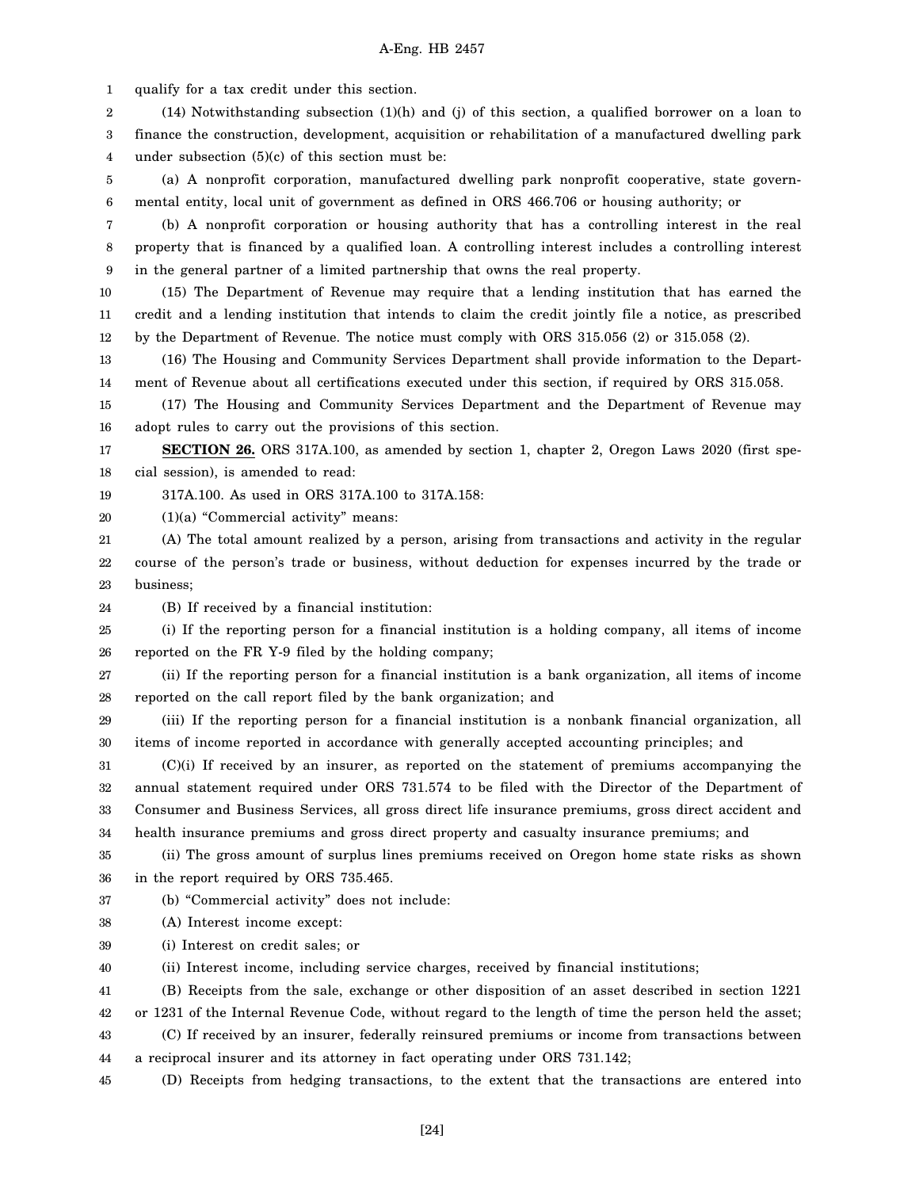1 2 3 4 5 6 7 8 9 10 11 12 13 14 15 16 qualify for a tax credit under this section. (14) Notwithstanding subsection (1)(h) and (j) of this section, a qualified borrower on a loan to finance the construction, development, acquisition or rehabilitation of a manufactured dwelling park under subsection  $(5)(c)$  of this section must be: (a) A nonprofit corporation, manufactured dwelling park nonprofit cooperative, state governmental entity, local unit of government as defined in ORS 466.706 or housing authority; or (b) A nonprofit corporation or housing authority that has a controlling interest in the real property that is financed by a qualified loan. A controlling interest includes a controlling interest in the general partner of a limited partnership that owns the real property. (15) The Department of Revenue may require that a lending institution that has earned the credit and a lending institution that intends to claim the credit jointly file a notice, as prescribed by the Department of Revenue. The notice must comply with ORS 315.056 (2) or 315.058 (2). (16) The Housing and Community Services Department shall provide information to the Department of Revenue about all certifications executed under this section, if required by ORS 315.058. (17) The Housing and Community Services Department and the Department of Revenue may adopt rules to carry out the provisions of this section.

17 18 **SECTION 26.** ORS 317A.100, as amended by section 1, chapter 2, Oregon Laws 2020 (first special session), is amended to read:

19 317A.100. As used in ORS 317A.100 to 317A.158:

20 (1)(a) "Commercial activity" means:

21 22 23 (A) The total amount realized by a person, arising from transactions and activity in the regular course of the person's trade or business, without deduction for expenses incurred by the trade or business;

24 (B) If received by a financial institution:

25 26 (i) If the reporting person for a financial institution is a holding company, all items of income reported on the FR Y-9 filed by the holding company;

27 28 (ii) If the reporting person for a financial institution is a bank organization, all items of income reported on the call report filed by the bank organization; and

29 30 (iii) If the reporting person for a financial institution is a nonbank financial organization, all items of income reported in accordance with generally accepted accounting principles; and

31 32 33 34 (C)(i) If received by an insurer, as reported on the statement of premiums accompanying the annual statement required under ORS 731.574 to be filed with the Director of the Department of Consumer and Business Services, all gross direct life insurance premiums, gross direct accident and health insurance premiums and gross direct property and casualty insurance premiums; and

35 36 (ii) The gross amount of surplus lines premiums received on Oregon home state risks as shown in the report required by ORS 735.465.

37 (b) "Commercial activity" does not include:

38 (A) Interest income except:

39 (i) Interest on credit sales; or

40 (ii) Interest income, including service charges, received by financial institutions;

41 (B) Receipts from the sale, exchange or other disposition of an asset described in section 1221

42 43 or 1231 of the Internal Revenue Code, without regard to the length of time the person held the asset; (C) If received by an insurer, federally reinsured premiums or income from transactions between

44 a reciprocal insurer and its attorney in fact operating under ORS 731.142;

45 (D) Receipts from hedging transactions, to the extent that the transactions are entered into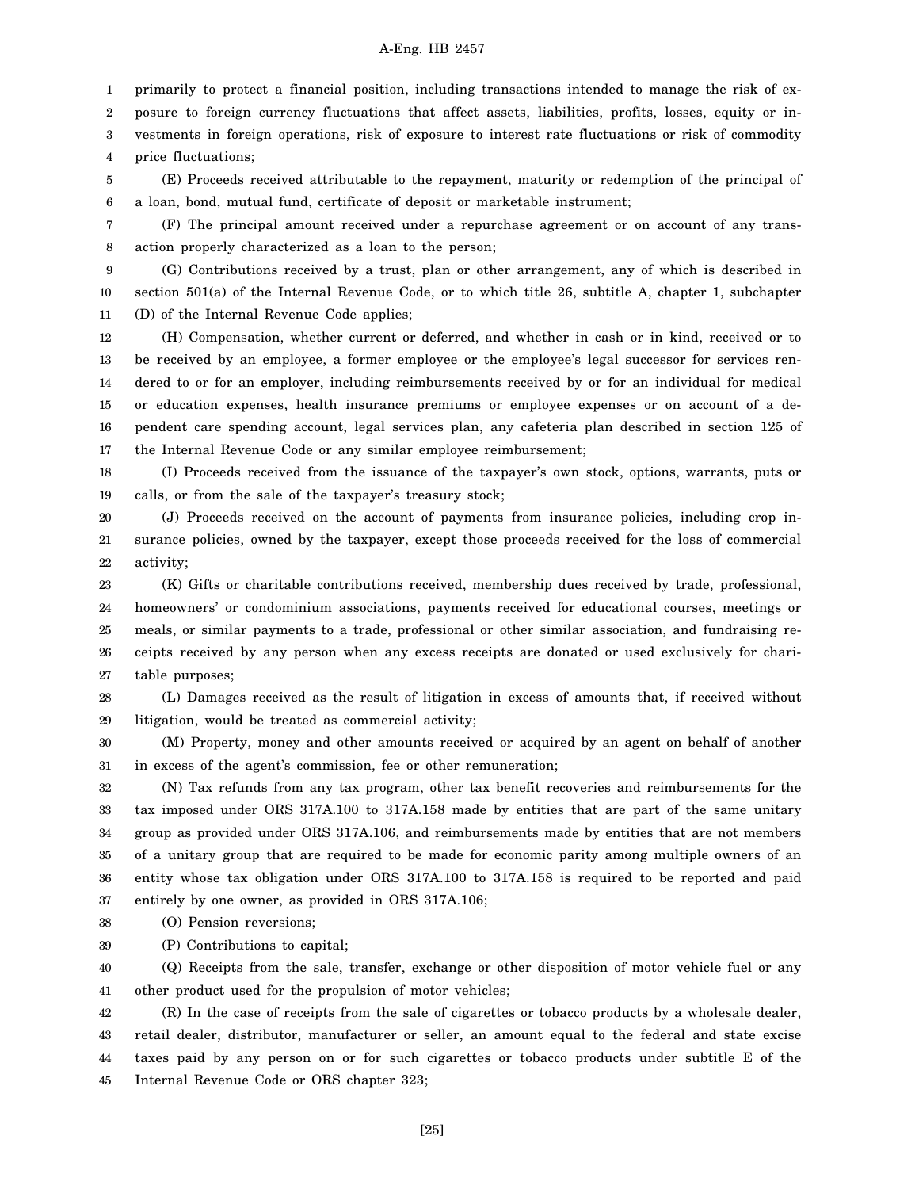1 2 3 primarily to protect a financial position, including transactions intended to manage the risk of exposure to foreign currency fluctuations that affect assets, liabilities, profits, losses, equity or investments in foreign operations, risk of exposure to interest rate fluctuations or risk of commodity

4 price fluctuations;

5 6 (E) Proceeds received attributable to the repayment, maturity or redemption of the principal of a loan, bond, mutual fund, certificate of deposit or marketable instrument;

7 8 (F) The principal amount received under a repurchase agreement or on account of any transaction properly characterized as a loan to the person;

9 10 11 (G) Contributions received by a trust, plan or other arrangement, any of which is described in section 501(a) of the Internal Revenue Code, or to which title 26, subtitle A, chapter 1, subchapter (D) of the Internal Revenue Code applies;

12 13 14 15 16 17 (H) Compensation, whether current or deferred, and whether in cash or in kind, received or to be received by an employee, a former employee or the employee's legal successor for services rendered to or for an employer, including reimbursements received by or for an individual for medical or education expenses, health insurance premiums or employee expenses or on account of a dependent care spending account, legal services plan, any cafeteria plan described in section 125 of the Internal Revenue Code or any similar employee reimbursement;

18 19 (I) Proceeds received from the issuance of the taxpayer's own stock, options, warrants, puts or calls, or from the sale of the taxpayer's treasury stock;

20 21 22 (J) Proceeds received on the account of payments from insurance policies, including crop insurance policies, owned by the taxpayer, except those proceeds received for the loss of commercial activity;

23 24 25 26 27 (K) Gifts or charitable contributions received, membership dues received by trade, professional, homeowners' or condominium associations, payments received for educational courses, meetings or meals, or similar payments to a trade, professional or other similar association, and fundraising receipts received by any person when any excess receipts are donated or used exclusively for charitable purposes;

28 29 (L) Damages received as the result of litigation in excess of amounts that, if received without litigation, would be treated as commercial activity;

30 31 (M) Property, money and other amounts received or acquired by an agent on behalf of another in excess of the agent's commission, fee or other remuneration;

32 33 34 35 36 37 (N) Tax refunds from any tax program, other tax benefit recoveries and reimbursements for the tax imposed under ORS 317A.100 to 317A.158 made by entities that are part of the same unitary group as provided under ORS 317A.106, and reimbursements made by entities that are not members of a unitary group that are required to be made for economic parity among multiple owners of an entity whose tax obligation under ORS 317A.100 to 317A.158 is required to be reported and paid entirely by one owner, as provided in ORS 317A.106;

38 (O) Pension reversions;

39 (P) Contributions to capital;

40 41 (Q) Receipts from the sale, transfer, exchange or other disposition of motor vehicle fuel or any other product used for the propulsion of motor vehicles;

42 43 44 45 (R) In the case of receipts from the sale of cigarettes or tobacco products by a wholesale dealer, retail dealer, distributor, manufacturer or seller, an amount equal to the federal and state excise taxes paid by any person on or for such cigarettes or tobacco products under subtitle E of the Internal Revenue Code or ORS chapter 323;

[25]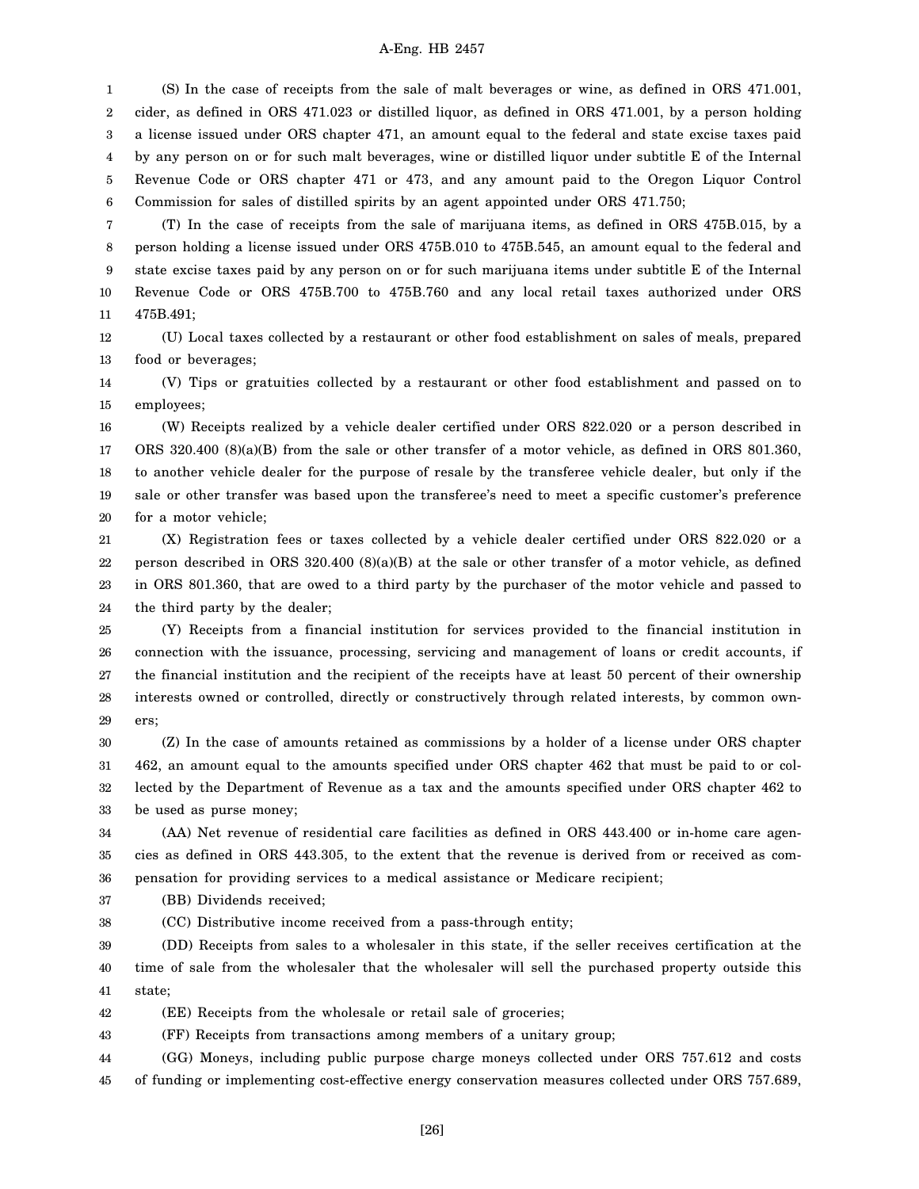1 2 3 4 5 6 (S) In the case of receipts from the sale of malt beverages or wine, as defined in ORS 471.001, cider, as defined in ORS 471.023 or distilled liquor, as defined in ORS 471.001, by a person holding a license issued under ORS chapter 471, an amount equal to the federal and state excise taxes paid by any person on or for such malt beverages, wine or distilled liquor under subtitle E of the Internal Revenue Code or ORS chapter 471 or 473, and any amount paid to the Oregon Liquor Control Commission for sales of distilled spirits by an agent appointed under ORS 471.750;

7 8 9 10 11 (T) In the case of receipts from the sale of marijuana items, as defined in ORS 475B.015, by a person holding a license issued under ORS 475B.010 to 475B.545, an amount equal to the federal and state excise taxes paid by any person on or for such marijuana items under subtitle E of the Internal Revenue Code or ORS 475B.700 to 475B.760 and any local retail taxes authorized under ORS 475B.491;

12 13 (U) Local taxes collected by a restaurant or other food establishment on sales of meals, prepared food or beverages;

14 15 (V) Tips or gratuities collected by a restaurant or other food establishment and passed on to employees;

16 17 18 19 20 (W) Receipts realized by a vehicle dealer certified under ORS 822.020 or a person described in ORS 320.400 (8)(a)(B) from the sale or other transfer of a motor vehicle, as defined in ORS 801.360, to another vehicle dealer for the purpose of resale by the transferee vehicle dealer, but only if the sale or other transfer was based upon the transferee's need to meet a specific customer's preference for a motor vehicle;

21 22 23 24 (X) Registration fees or taxes collected by a vehicle dealer certified under ORS 822.020 or a person described in ORS 320.400 (8)(a)(B) at the sale or other transfer of a motor vehicle, as defined in ORS 801.360, that are owed to a third party by the purchaser of the motor vehicle and passed to the third party by the dealer;

25 26 27 28 29 (Y) Receipts from a financial institution for services provided to the financial institution in connection with the issuance, processing, servicing and management of loans or credit accounts, if the financial institution and the recipient of the receipts have at least 50 percent of their ownership interests owned or controlled, directly or constructively through related interests, by common owners;

30 31 32 33 (Z) In the case of amounts retained as commissions by a holder of a license under ORS chapter 462, an amount equal to the amounts specified under ORS chapter 462 that must be paid to or collected by the Department of Revenue as a tax and the amounts specified under ORS chapter 462 to be used as purse money;

34 35 36 (AA) Net revenue of residential care facilities as defined in ORS 443.400 or in-home care agencies as defined in ORS 443.305, to the extent that the revenue is derived from or received as compensation for providing services to a medical assistance or Medicare recipient;

37 (BB) Dividends received;

38 (CC) Distributive income received from a pass-through entity;

39 40 41 (DD) Receipts from sales to a wholesaler in this state, if the seller receives certification at the time of sale from the wholesaler that the wholesaler will sell the purchased property outside this state;

42 (EE) Receipts from the wholesale or retail sale of groceries;

43 (FF) Receipts from transactions among members of a unitary group;

44 45 (GG) Moneys, including public purpose charge moneys collected under ORS 757.612 and costs of funding or implementing cost-effective energy conservation measures collected under ORS 757.689,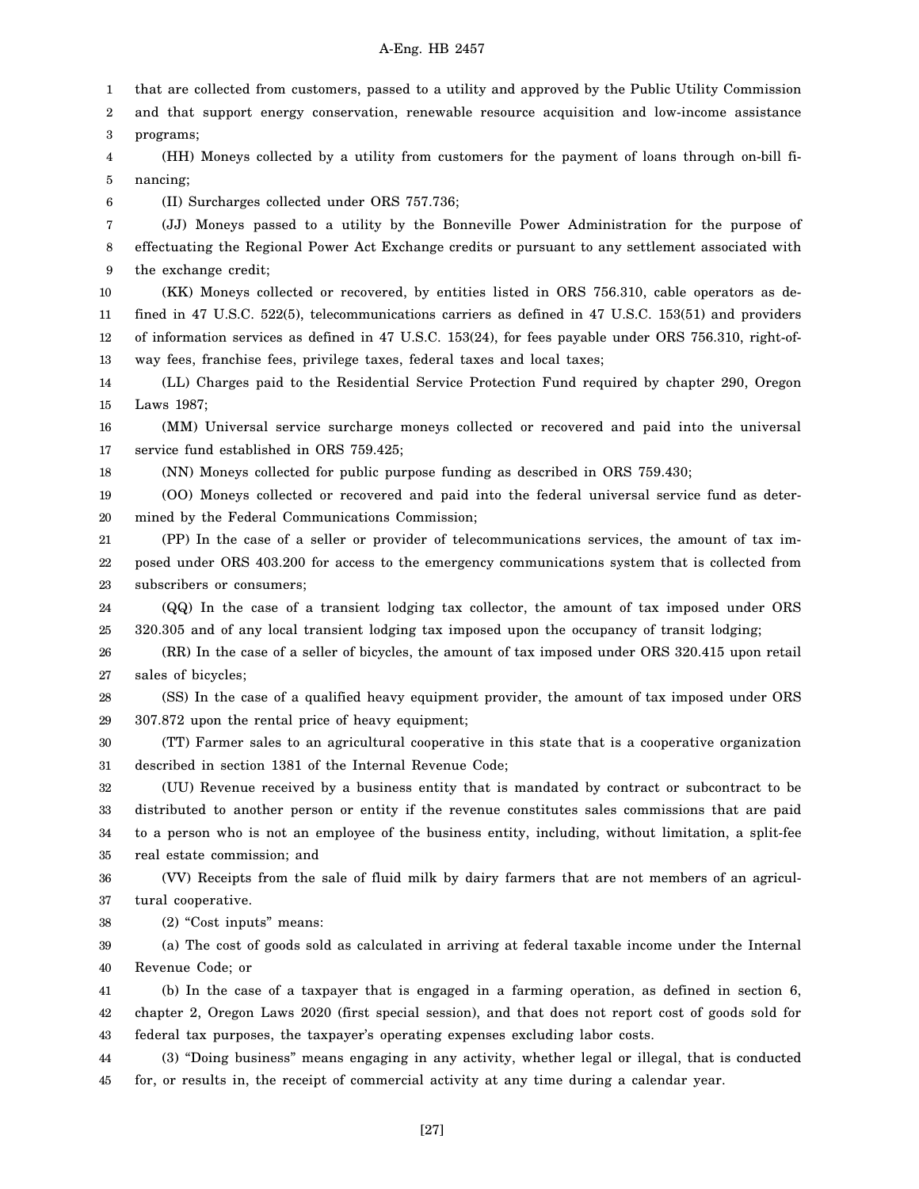1 that are collected from customers, passed to a utility and approved by the Public Utility Commission

2 and that support energy conservation, renewable resource acquisition and low-income assistance

3 programs;

4 5 (HH) Moneys collected by a utility from customers for the payment of loans through on-bill financing;

6 (II) Surcharges collected under ORS 757.736;

7 8 9 (JJ) Moneys passed to a utility by the Bonneville Power Administration for the purpose of effectuating the Regional Power Act Exchange credits or pursuant to any settlement associated with the exchange credit;

10 11 12 13 (KK) Moneys collected or recovered, by entities listed in ORS 756.310, cable operators as defined in 47 U.S.C. 522(5), telecommunications carriers as defined in 47 U.S.C. 153(51) and providers of information services as defined in 47 U.S.C. 153(24), for fees payable under ORS 756.310, right-ofway fees, franchise fees, privilege taxes, federal taxes and local taxes;

14 15 (LL) Charges paid to the Residential Service Protection Fund required by chapter 290, Oregon Laws 1987;

16 17 (MM) Universal service surcharge moneys collected or recovered and paid into the universal service fund established in ORS 759.425;

18 (NN) Moneys collected for public purpose funding as described in ORS 759.430;

19 20 (OO) Moneys collected or recovered and paid into the federal universal service fund as determined by the Federal Communications Commission;

21 22 23 (PP) In the case of a seller or provider of telecommunications services, the amount of tax imposed under ORS 403.200 for access to the emergency communications system that is collected from subscribers or consumers;

24 25 (QQ) In the case of a transient lodging tax collector, the amount of tax imposed under ORS 320.305 and of any local transient lodging tax imposed upon the occupancy of transit lodging;

26 27 (RR) In the case of a seller of bicycles, the amount of tax imposed under ORS 320.415 upon retail sales of bicycles;

28 29 (SS) In the case of a qualified heavy equipment provider, the amount of tax imposed under ORS 307.872 upon the rental price of heavy equipment;

30 31 (TT) Farmer sales to an agricultural cooperative in this state that is a cooperative organization described in section 1381 of the Internal Revenue Code;

32 33 34 35 (UU) Revenue received by a business entity that is mandated by contract or subcontract to be distributed to another person or entity if the revenue constitutes sales commissions that are paid to a person who is not an employee of the business entity, including, without limitation, a split-fee real estate commission; and

36 37 (VV) Receipts from the sale of fluid milk by dairy farmers that are not members of an agricultural cooperative.

38 (2) "Cost inputs" means:

39 40 (a) The cost of goods sold as calculated in arriving at federal taxable income under the Internal Revenue Code; or

41 42 43 (b) In the case of a taxpayer that is engaged in a farming operation, as defined in section 6, chapter 2, Oregon Laws 2020 (first special session), and that does not report cost of goods sold for federal tax purposes, the taxpayer's operating expenses excluding labor costs.

44 45 (3) "Doing business" means engaging in any activity, whether legal or illegal, that is conducted for, or results in, the receipt of commercial activity at any time during a calendar year.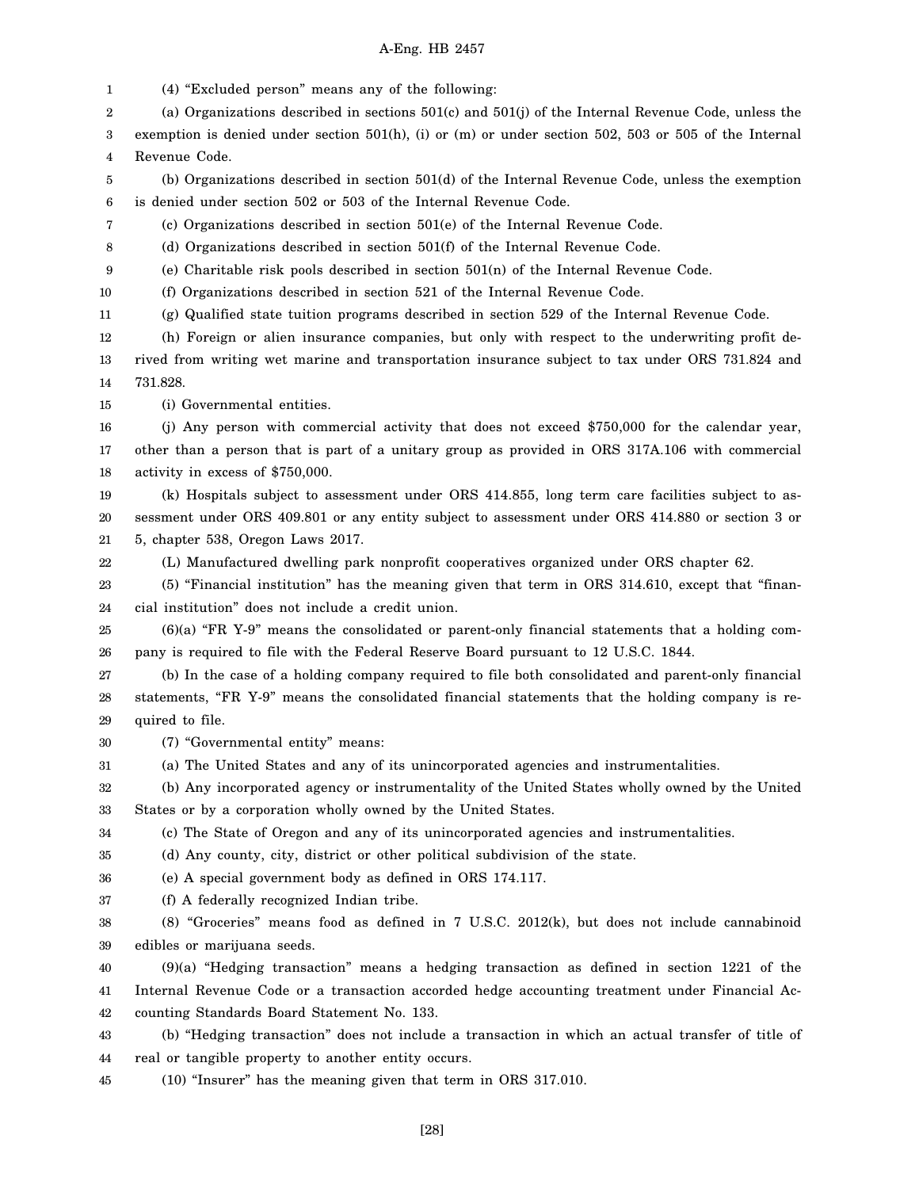1 (4) "Excluded person" means any of the following:

2 (a) Organizations described in sections 501(c) and 501(j) of the Internal Revenue Code, unless the

3 4 exemption is denied under section 501(h), (i) or (m) or under section 502, 503 or 505 of the Internal Revenue Code.

5 6 (b) Organizations described in section 501(d) of the Internal Revenue Code, unless the exemption is denied under section 502 or 503 of the Internal Revenue Code.

7 (c) Organizations described in section 501(e) of the Internal Revenue Code.

8 (d) Organizations described in section 501(f) of the Internal Revenue Code.

9 (e) Charitable risk pools described in section 501(n) of the Internal Revenue Code.

10 (f) Organizations described in section 521 of the Internal Revenue Code.

11 (g) Qualified state tuition programs described in section 529 of the Internal Revenue Code.

12 (h) Foreign or alien insurance companies, but only with respect to the underwriting profit de-

13 14 rived from writing wet marine and transportation insurance subject to tax under ORS 731.824 and 731.828.

15 (i) Governmental entities.

16 17 18 (j) Any person with commercial activity that does not exceed \$750,000 for the calendar year, other than a person that is part of a unitary group as provided in ORS 317A.106 with commercial activity in excess of \$750,000.

19 20 21 (k) Hospitals subject to assessment under ORS 414.855, long term care facilities subject to assessment under ORS 409.801 or any entity subject to assessment under ORS 414.880 or section 3 or 5, chapter 538, Oregon Laws 2017.

22 (L) Manufactured dwelling park nonprofit cooperatives organized under ORS chapter 62.

23 24 (5) "Financial institution" has the meaning given that term in ORS 314.610, except that "financial institution" does not include a credit union.

25 26  $(6)(a)$  "FR Y-9" means the consolidated or parent-only financial statements that a holding company is required to file with the Federal Reserve Board pursuant to 12 U.S.C. 1844.

27 28 29 (b) In the case of a holding company required to file both consolidated and parent-only financial statements, "FR Y-9" means the consolidated financial statements that the holding company is required to file.

30 (7) "Governmental entity" means:

31 (a) The United States and any of its unincorporated agencies and instrumentalities.

32 33 (b) Any incorporated agency or instrumentality of the United States wholly owned by the United States or by a corporation wholly owned by the United States.

34 (c) The State of Oregon and any of its unincorporated agencies and instrumentalities.

35 (d) Any county, city, district or other political subdivision of the state.

36 (e) A special government body as defined in ORS 174.117.

37 (f) A federally recognized Indian tribe.

38 39 (8) "Groceries" means food as defined in 7 U.S.C. 2012(k), but does not include cannabinoid edibles or marijuana seeds.

40 41 42 (9)(a) "Hedging transaction" means a hedging transaction as defined in section 1221 of the Internal Revenue Code or a transaction accorded hedge accounting treatment under Financial Accounting Standards Board Statement No. 133.

43 44 (b) "Hedging transaction" does not include a transaction in which an actual transfer of title of real or tangible property to another entity occurs.

45 (10) "Insurer" has the meaning given that term in ORS 317.010.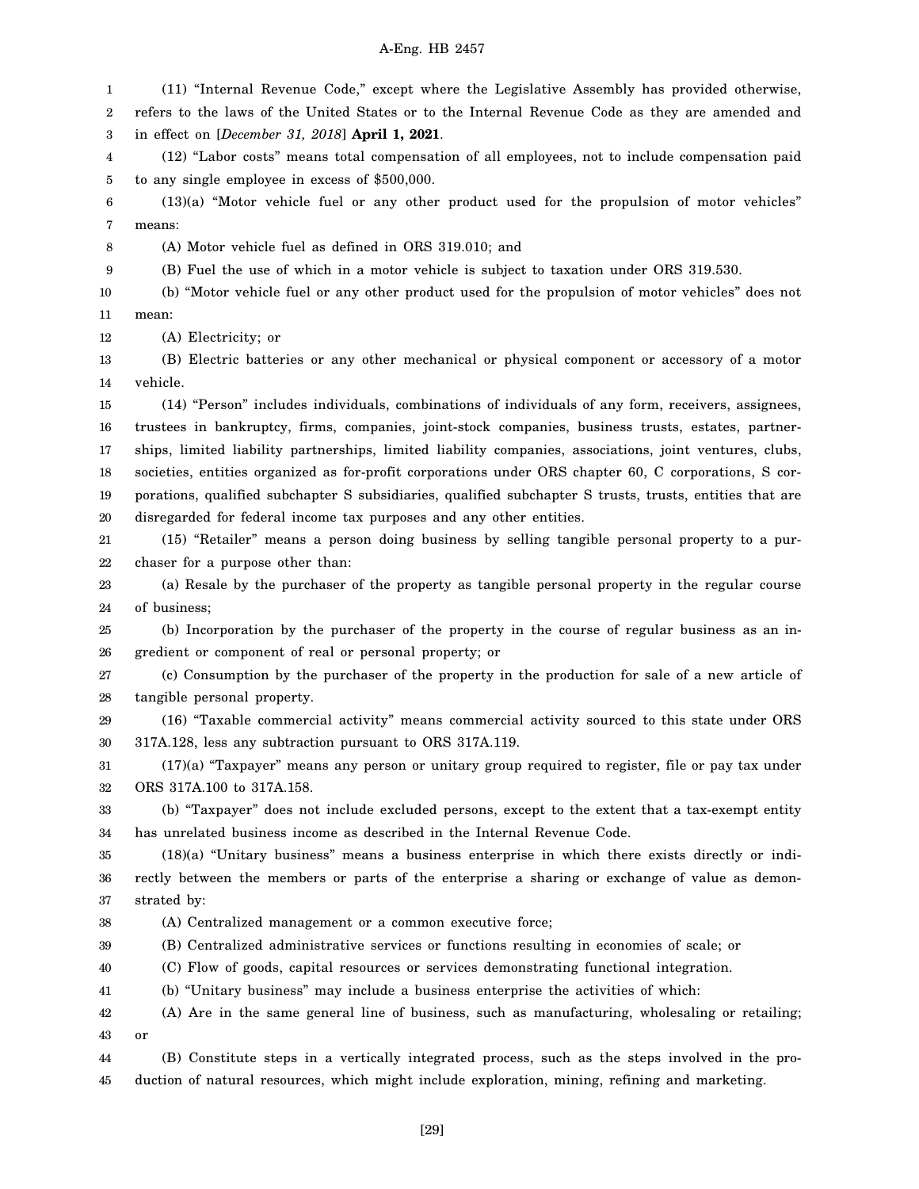1 2 3 4 5 6 7 8 9 10 11 12 13 14 15 16 17 18 19 20 21 22 23 24 25 26 27 28 29 30 31 32 33 34 35 36 37 38 39 40 41 42 43 44 45 (11) "Internal Revenue Code," except where the Legislative Assembly has provided otherwise, refers to the laws of the United States or to the Internal Revenue Code as they are amended and in effect on [*December 31, 2018*] **April 1, 2021**. (12) "Labor costs" means total compensation of all employees, not to include compensation paid to any single employee in excess of \$500,000. (13)(a) "Motor vehicle fuel or any other product used for the propulsion of motor vehicles" means: (A) Motor vehicle fuel as defined in ORS 319.010; and (B) Fuel the use of which in a motor vehicle is subject to taxation under ORS 319.530. (b) "Motor vehicle fuel or any other product used for the propulsion of motor vehicles" does not mean: (A) Electricity; or (B) Electric batteries or any other mechanical or physical component or accessory of a motor vehicle. (14) "Person" includes individuals, combinations of individuals of any form, receivers, assignees, trustees in bankruptcy, firms, companies, joint-stock companies, business trusts, estates, partnerships, limited liability partnerships, limited liability companies, associations, joint ventures, clubs, societies, entities organized as for-profit corporations under ORS chapter 60, C corporations, S corporations, qualified subchapter S subsidiaries, qualified subchapter S trusts, trusts, entities that are disregarded for federal income tax purposes and any other entities. (15) "Retailer" means a person doing business by selling tangible personal property to a purchaser for a purpose other than: (a) Resale by the purchaser of the property as tangible personal property in the regular course of business; (b) Incorporation by the purchaser of the property in the course of regular business as an ingredient or component of real or personal property; or (c) Consumption by the purchaser of the property in the production for sale of a new article of tangible personal property. (16) "Taxable commercial activity" means commercial activity sourced to this state under ORS 317A.128, less any subtraction pursuant to ORS 317A.119. (17)(a) "Taxpayer" means any person or unitary group required to register, file or pay tax under ORS 317A.100 to 317A.158. (b) "Taxpayer" does not include excluded persons, except to the extent that a tax-exempt entity has unrelated business income as described in the Internal Revenue Code. (18)(a) "Unitary business" means a business enterprise in which there exists directly or indirectly between the members or parts of the enterprise a sharing or exchange of value as demonstrated by: (A) Centralized management or a common executive force; (B) Centralized administrative services or functions resulting in economies of scale; or (C) Flow of goods, capital resources or services demonstrating functional integration. (b) "Unitary business" may include a business enterprise the activities of which: (A) Are in the same general line of business, such as manufacturing, wholesaling or retailing; or (B) Constitute steps in a vertically integrated process, such as the steps involved in the production of natural resources, which might include exploration, mining, refining and marketing.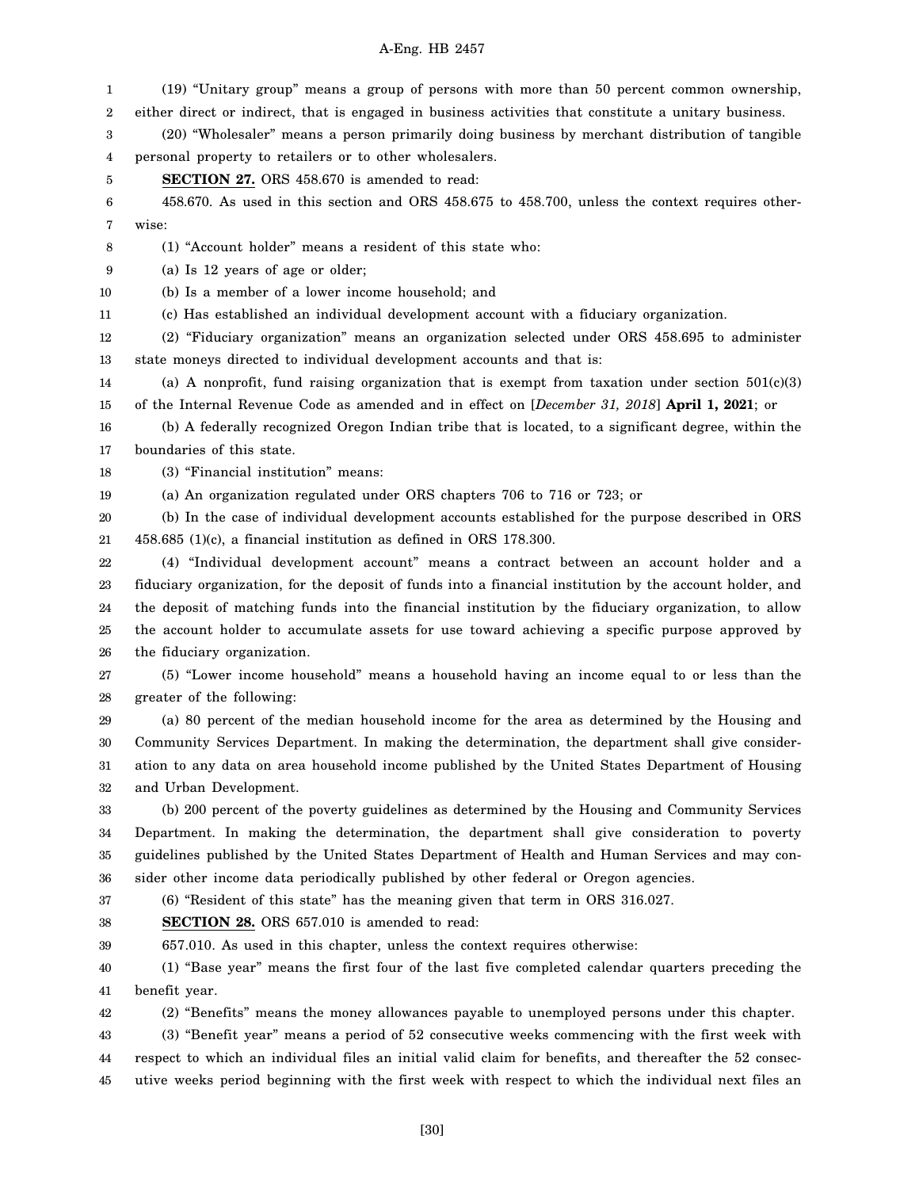1 2 (19) "Unitary group" means a group of persons with more than 50 percent common ownership, either direct or indirect, that is engaged in business activities that constitute a unitary business.

3 4 (20) "Wholesaler" means a person primarily doing business by merchant distribution of tangible personal property to retailers or to other wholesalers.

5 **SECTION 27.** ORS 458.670 is amended to read:

6 7 458.670. As used in this section and ORS 458.675 to 458.700, unless the context requires otherwise:

8 (1) "Account holder" means a resident of this state who:

9 (a) Is 12 years of age or older;

10 (b) Is a member of a lower income household; and

11 (c) Has established an individual development account with a fiduciary organization.

12 13 (2) "Fiduciary organization" means an organization selected under ORS 458.695 to administer state moneys directed to individual development accounts and that is:

14 (a) A nonprofit, fund raising organization that is exempt from taxation under section  $501(c)(3)$ 

15 of the Internal Revenue Code as amended and in effect on [*December 31, 2018*] **April 1, 2021**; or

16 17 (b) A federally recognized Oregon Indian tribe that is located, to a significant degree, within the boundaries of this state.

18 (3) "Financial institution" means:

19 (a) An organization regulated under ORS chapters 706 to 716 or 723; or

20 21 (b) In the case of individual development accounts established for the purpose described in ORS 458.685 (1)(c), a financial institution as defined in ORS 178.300.

22 23 24 25 26 (4) "Individual development account" means a contract between an account holder and a fiduciary organization, for the deposit of funds into a financial institution by the account holder, and the deposit of matching funds into the financial institution by the fiduciary organization, to allow the account holder to accumulate assets for use toward achieving a specific purpose approved by the fiduciary organization.

27 28 (5) "Lower income household" means a household having an income equal to or less than the greater of the following:

29 30 31 32 (a) 80 percent of the median household income for the area as determined by the Housing and Community Services Department. In making the determination, the department shall give consideration to any data on area household income published by the United States Department of Housing and Urban Development.

33 34 35 36 (b) 200 percent of the poverty guidelines as determined by the Housing and Community Services Department. In making the determination, the department shall give consideration to poverty guidelines published by the United States Department of Health and Human Services and may consider other income data periodically published by other federal or Oregon agencies.

37 (6) "Resident of this state" has the meaning given that term in ORS 316.027.

38 **SECTION 28.** ORS 657.010 is amended to read:

39 657.010. As used in this chapter, unless the context requires otherwise:

40 41 (1) "Base year" means the first four of the last five completed calendar quarters preceding the benefit year.

42 (2) "Benefits" means the money allowances payable to unemployed persons under this chapter.

43 44 (3) "Benefit year" means a period of 52 consecutive weeks commencing with the first week with respect to which an individual files an initial valid claim for benefits, and thereafter the 52 consec-

45 utive weeks period beginning with the first week with respect to which the individual next files an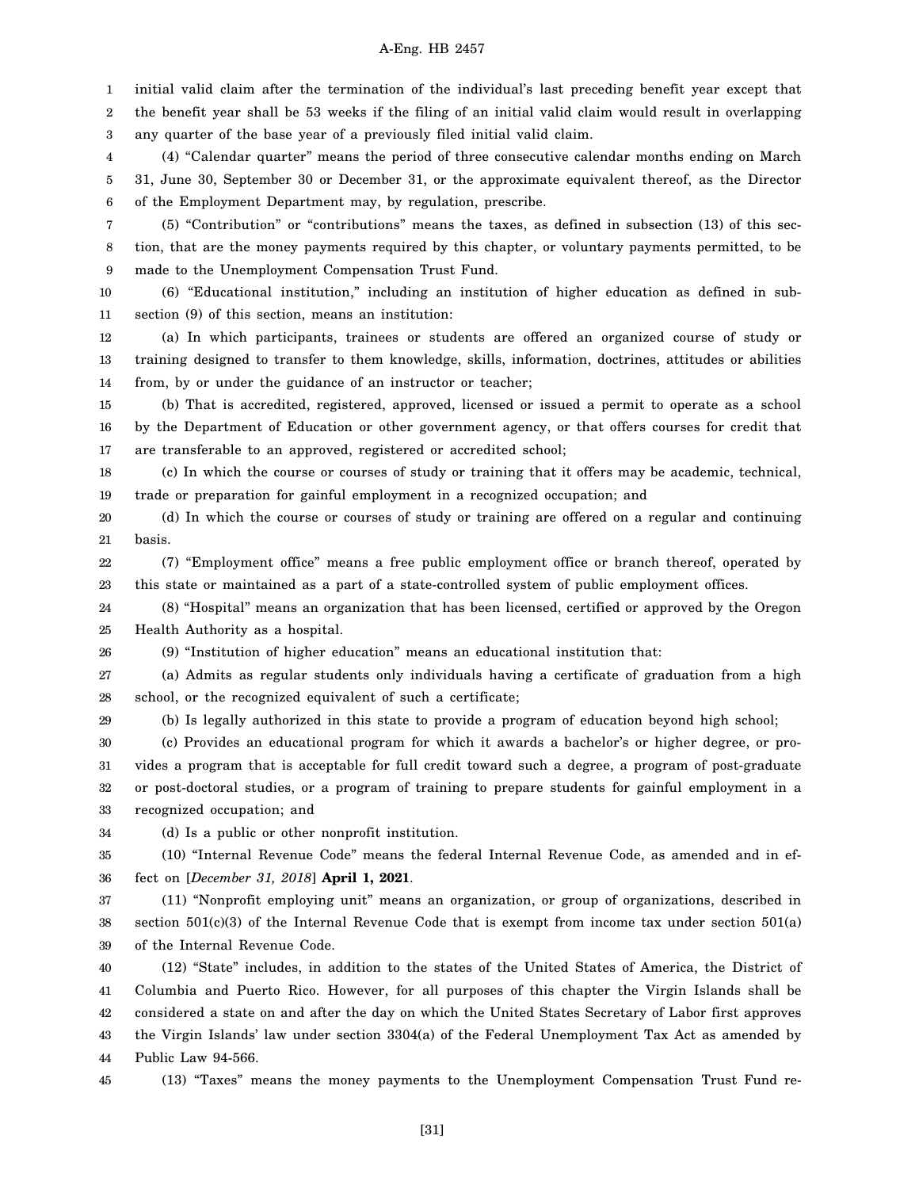1 2 3 initial valid claim after the termination of the individual's last preceding benefit year except that the benefit year shall be 53 weeks if the filing of an initial valid claim would result in overlapping any quarter of the base year of a previously filed initial valid claim.

4 5 6 (4) "Calendar quarter" means the period of three consecutive calendar months ending on March 31, June 30, September 30 or December 31, or the approximate equivalent thereof, as the Director of the Employment Department may, by regulation, prescribe.

7 8 9 (5) "Contribution" or "contributions" means the taxes, as defined in subsection (13) of this section, that are the money payments required by this chapter, or voluntary payments permitted, to be made to the Unemployment Compensation Trust Fund.

10 11 (6) "Educational institution," including an institution of higher education as defined in subsection (9) of this section, means an institution:

12 13 14 (a) In which participants, trainees or students are offered an organized course of study or training designed to transfer to them knowledge, skills, information, doctrines, attitudes or abilities from, by or under the guidance of an instructor or teacher;

15 16 17 (b) That is accredited, registered, approved, licensed or issued a permit to operate as a school by the Department of Education or other government agency, or that offers courses for credit that are transferable to an approved, registered or accredited school;

18 19 (c) In which the course or courses of study or training that it offers may be academic, technical, trade or preparation for gainful employment in a recognized occupation; and

20 21 (d) In which the course or courses of study or training are offered on a regular and continuing basis.

22 23 (7) "Employment office" means a free public employment office or branch thereof, operated by this state or maintained as a part of a state-controlled system of public employment offices.

24 25 (8) "Hospital" means an organization that has been licensed, certified or approved by the Oregon Health Authority as a hospital.

26 (9) "Institution of higher education" means an educational institution that:

27 28 (a) Admits as regular students only individuals having a certificate of graduation from a high school, or the recognized equivalent of such a certificate;

29

(b) Is legally authorized in this state to provide a program of education beyond high school;

30 31 32 33 (c) Provides an educational program for which it awards a bachelor's or higher degree, or provides a program that is acceptable for full credit toward such a degree, a program of post-graduate or post-doctoral studies, or a program of training to prepare students for gainful employment in a recognized occupation; and

34 (d) Is a public or other nonprofit institution.

35 36 (10) "Internal Revenue Code" means the federal Internal Revenue Code, as amended and in effect on [*December 31, 2018*] **April 1, 2021**.

37 38 39 (11) "Nonprofit employing unit" means an organization, or group of organizations, described in section  $501(c)(3)$  of the Internal Revenue Code that is exempt from income tax under section  $501(a)$ of the Internal Revenue Code.

40 41 42 43 44 (12) "State" includes, in addition to the states of the United States of America, the District of Columbia and Puerto Rico. However, for all purposes of this chapter the Virgin Islands shall be considered a state on and after the day on which the United States Secretary of Labor first approves the Virgin Islands' law under section 3304(a) of the Federal Unemployment Tax Act as amended by Public Law 94-566.

45

(13) "Taxes" means the money payments to the Unemployment Compensation Trust Fund re-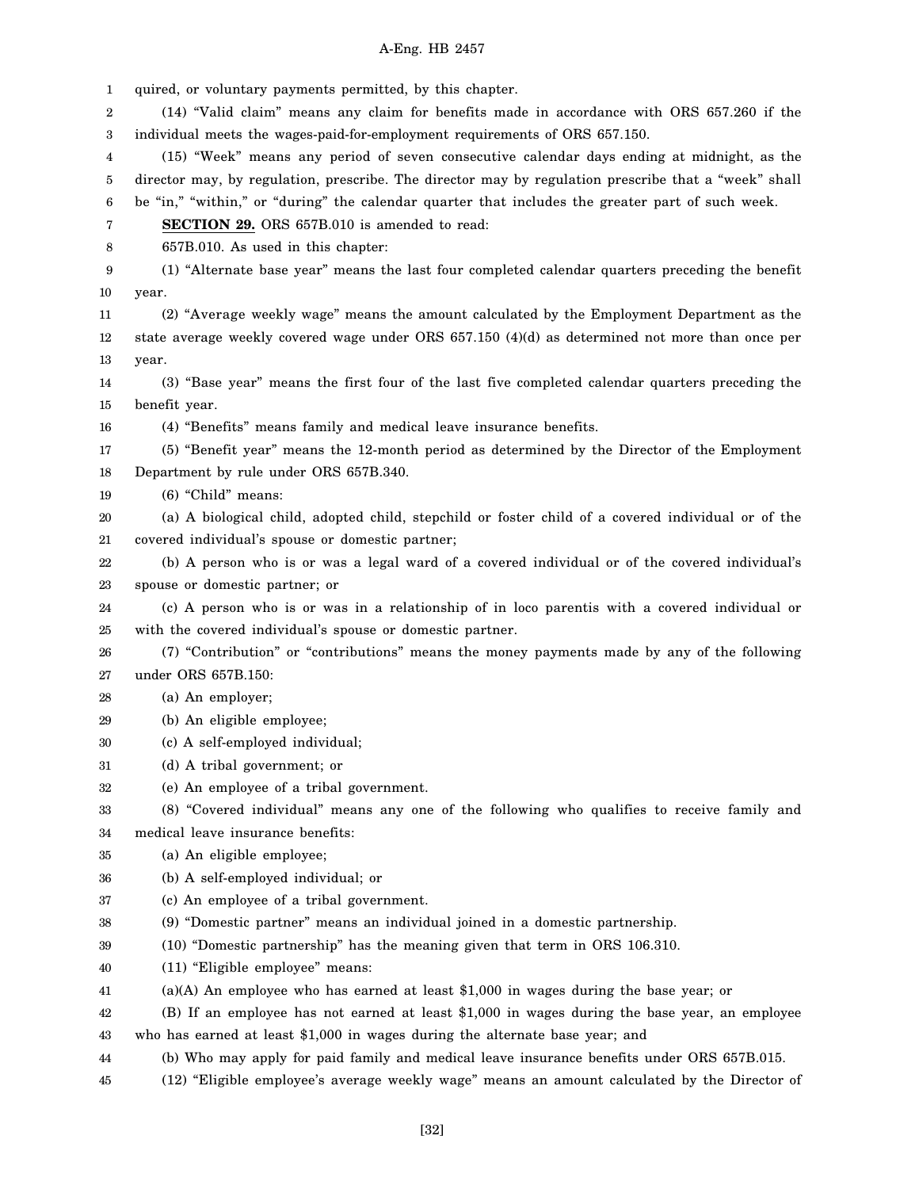| 1      | quired, or voluntary payments permitted, by this chapter.                                            |
|--------|------------------------------------------------------------------------------------------------------|
| 2      | (14) "Valid claim" means any claim for benefits made in accordance with ORS 657.260 if the           |
| 3      | individual meets the wages-paid-for-employment requirements of ORS 657.150.                          |
| 4      | (15) "Week" means any period of seven consecutive calendar days ending at midnight, as the           |
| 5      | director may, by regulation, prescribe. The director may by regulation prescribe that a "week" shall |
| 6      | be "in," "within," or "during" the calendar quarter that includes the greater part of such week.     |
| 7      | <b>SECTION 29.</b> ORS 657B.010 is amended to read:                                                  |
| 8      | 657B.010. As used in this chapter:                                                                   |
| 9      | (1) "Alternate base year" means the last four completed calendar quarters preceding the benefit      |
| 10     | year.                                                                                                |
| 11     | (2) "Average weekly wage" means the amount calculated by the Employment Department as the            |
| 12     | state average weekly covered wage under ORS 657.150 (4)(d) as determined not more than once per      |
| 13     | year.                                                                                                |
| 14     | (3) "Base year" means the first four of the last five completed calendar quarters preceding the      |
| 15     | benefit year.                                                                                        |
| 16     | (4) "Benefits" means family and medical leave insurance benefits.                                    |
| 17     | (5) "Benefit year" means the 12-month period as determined by the Director of the Employment         |
| 18     | Department by rule under ORS 657B.340.                                                               |
| 19     | $(6)$ "Child" means:                                                                                 |
| 20     | (a) A biological child, adopted child, stepchild or foster child of a covered individual or of the   |
| 21     | covered individual's spouse or domestic partner;                                                     |
| $22\,$ | (b) A person who is or was a legal ward of a covered individual or of the covered individual's       |
| 23     | spouse or domestic partner; or                                                                       |
| 24     | (c) A person who is or was in a relationship of in loco parentis with a covered individual or        |
| 25     | with the covered individual's spouse or domestic partner.                                            |
| 26     | (7) "Contribution" or "contributions" means the money payments made by any of the following          |
| 27     | under ORS 657B.150:                                                                                  |
| 28     | (a) An employer;                                                                                     |
| 29     | (b) An eligible employee;                                                                            |
| 30     | (c) A self-employed individual;                                                                      |
| 31     | (d) A tribal government; or                                                                          |
| 32     | (e) An employee of a tribal government.                                                              |
| 33     | (8) "Covered individual" means any one of the following who qualifies to receive family and          |
| 34     | medical leave insurance benefits:                                                                    |
| 35     | (a) An eligible employee;                                                                            |
| 36     | (b) A self-employed individual; or                                                                   |
| 37     | (c) An employee of a tribal government.                                                              |
| 38     | (9) "Domestic partner" means an individual joined in a domestic partnership.                         |
| 39     | (10) "Domestic partnership" has the meaning given that term in ORS 106.310.                          |
| 40     | (11) "Eligible employee" means:                                                                      |
| 41     | $(a)(A)$ An employee who has earned at least \$1,000 in wages during the base year; or               |
| 42     | (B) If an employee has not earned at least \$1,000 in wages during the base year, an employee        |
| 43     | who has earned at least \$1,000 in wages during the alternate base year; and                         |
| 44     | (b) Who may apply for paid family and medical leave insurance benefits under ORS 657B.015.           |
| 45     | (12) "Eligible employee's average weekly wage" means an amount calculated by the Director of         |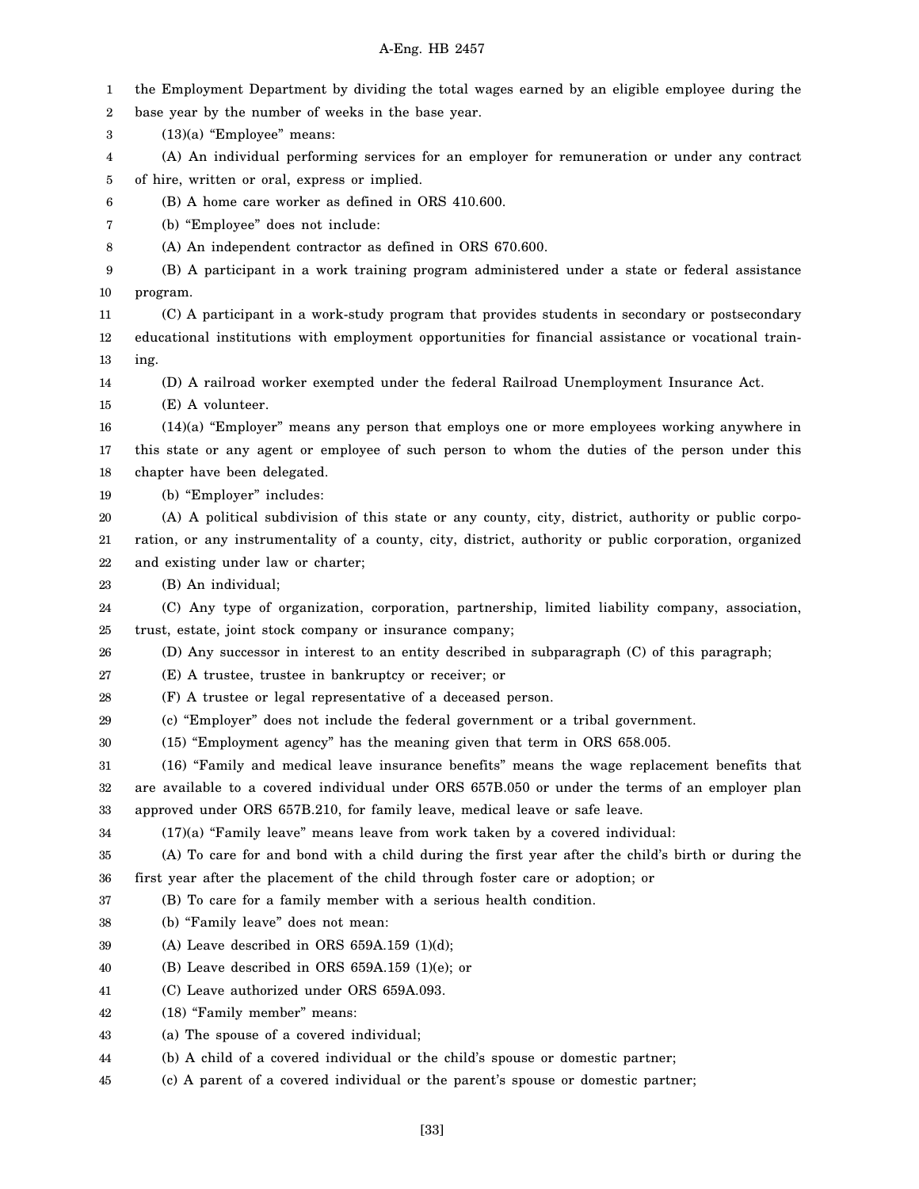1 2 3 4 5 6 7 8 9 10 11 12 13 14 15 16 17 18 19 20 21 22 23 24 25 26 27 28 29 30 31 32 33 34 35 36 37 38 39 40 41 42 43 44 the Employment Department by dividing the total wages earned by an eligible employee during the base year by the number of weeks in the base year. (13)(a) "Employee" means: (A) An individual performing services for an employer for remuneration or under any contract of hire, written or oral, express or implied. (B) A home care worker as defined in ORS 410.600. (b) "Employee" does not include: (A) An independent contractor as defined in ORS 670.600. (B) A participant in a work training program administered under a state or federal assistance program. (C) A participant in a work-study program that provides students in secondary or postsecondary educational institutions with employment opportunities for financial assistance or vocational training. (D) A railroad worker exempted under the federal Railroad Unemployment Insurance Act. (E) A volunteer. (14)(a) "Employer" means any person that employs one or more employees working anywhere in this state or any agent or employee of such person to whom the duties of the person under this chapter have been delegated. (b) "Employer" includes: (A) A political subdivision of this state or any county, city, district, authority or public corporation, or any instrumentality of a county, city, district, authority or public corporation, organized and existing under law or charter; (B) An individual; (C) Any type of organization, corporation, partnership, limited liability company, association, trust, estate, joint stock company or insurance company; (D) Any successor in interest to an entity described in subparagraph (C) of this paragraph; (E) A trustee, trustee in bankruptcy or receiver; or (F) A trustee or legal representative of a deceased person. (c) "Employer" does not include the federal government or a tribal government. (15) "Employment agency" has the meaning given that term in ORS 658.005. (16) "Family and medical leave insurance benefits" means the wage replacement benefits that are available to a covered individual under ORS 657B.050 or under the terms of an employer plan approved under ORS 657B.210, for family leave, medical leave or safe leave. (17)(a) "Family leave" means leave from work taken by a covered individual: (A) To care for and bond with a child during the first year after the child's birth or during the first year after the placement of the child through foster care or adoption; or (B) To care for a family member with a serious health condition. (b) "Family leave" does not mean: (A) Leave described in ORS  $659A.159$  (1)(d); (B) Leave described in ORS 659A.159 (1)(e); or (C) Leave authorized under ORS 659A.093. (18) "Family member" means: (a) The spouse of a covered individual; (b) A child of a covered individual or the child's spouse or domestic partner;

45 (c) A parent of a covered individual or the parent's spouse or domestic partner;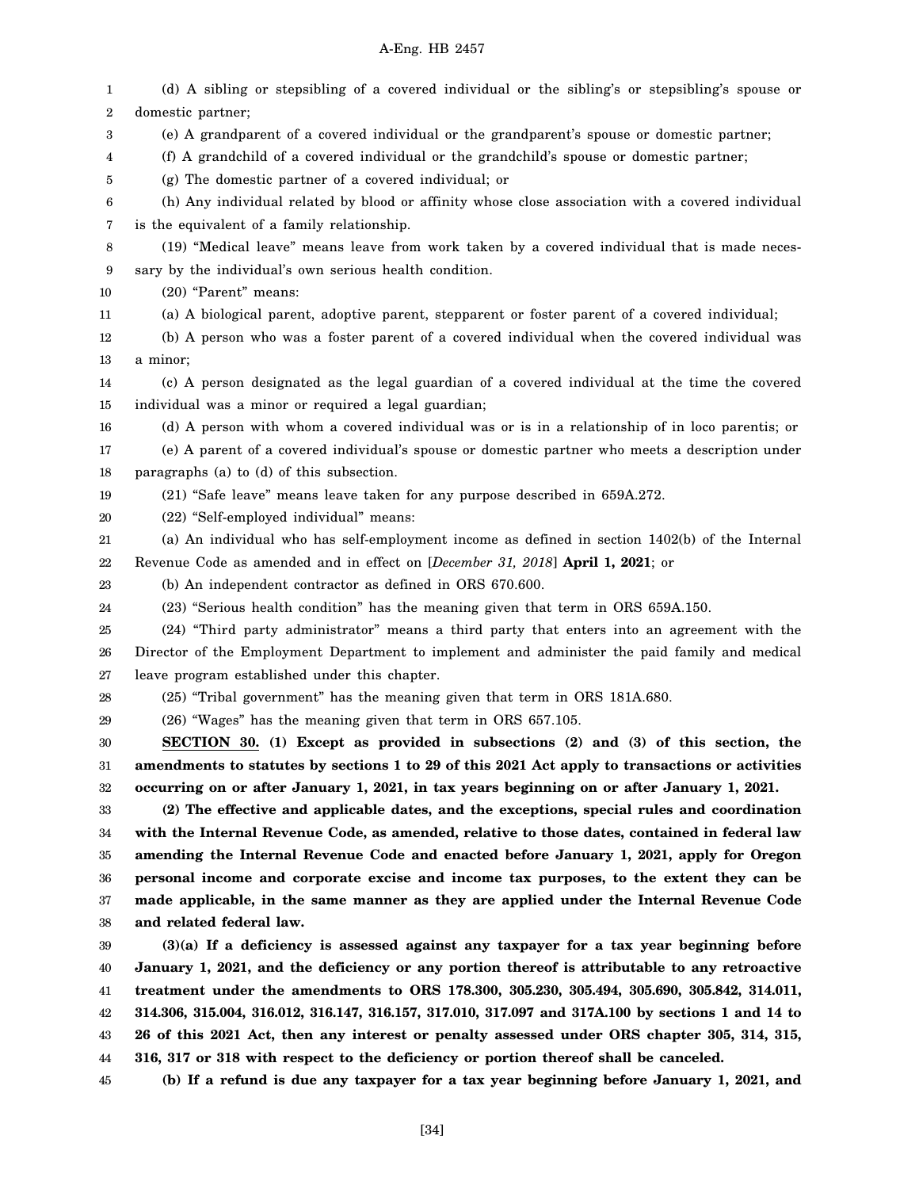1 2 3 4 5 6 7 8 9 10 11 12 13 14 15 16 17 18 19 20 21 22 23 24 25 26 27 28 29 30 31 32 33 34 35 36 37 38 39 40 41 42 43 44 45 (d) A sibling or stepsibling of a covered individual or the sibling's or stepsibling's spouse or domestic partner; (e) A grandparent of a covered individual or the grandparent's spouse or domestic partner; (f) A grandchild of a covered individual or the grandchild's spouse or domestic partner; (g) The domestic partner of a covered individual; or (h) Any individual related by blood or affinity whose close association with a covered individual is the equivalent of a family relationship. (19) "Medical leave" means leave from work taken by a covered individual that is made necessary by the individual's own serious health condition. (20) "Parent" means: (a) A biological parent, adoptive parent, stepparent or foster parent of a covered individual; (b) A person who was a foster parent of a covered individual when the covered individual was a minor; (c) A person designated as the legal guardian of a covered individual at the time the covered individual was a minor or required a legal guardian; (d) A person with whom a covered individual was or is in a relationship of in loco parentis; or (e) A parent of a covered individual's spouse or domestic partner who meets a description under paragraphs (a) to (d) of this subsection. (21) "Safe leave" means leave taken for any purpose described in 659A.272. (22) "Self-employed individual" means: (a) An individual who has self-employment income as defined in section 1402(b) of the Internal Revenue Code as amended and in effect on [*December 31, 2018*] **April 1, 2021**; or (b) An independent contractor as defined in ORS 670.600. (23) "Serious health condition" has the meaning given that term in ORS 659A.150. (24) "Third party administrator" means a third party that enters into an agreement with the Director of the Employment Department to implement and administer the paid family and medical leave program established under this chapter. (25) "Tribal government" has the meaning given that term in ORS 181A.680. (26) "Wages" has the meaning given that term in ORS 657.105. **SECTION 30. (1) Except as provided in subsections (2) and (3) of this section, the amendments to statutes by sections 1 to 29 of this 2021 Act apply to transactions or activities occurring on or after January 1, 2021, in tax years beginning on or after January 1, 2021. (2) The effective and applicable dates, and the exceptions, special rules and coordination with the Internal Revenue Code, as amended, relative to those dates, contained in federal law amending the Internal Revenue Code and enacted before January 1, 2021, apply for Oregon personal income and corporate excise and income tax purposes, to the extent they can be made applicable, in the same manner as they are applied under the Internal Revenue Code and related federal law. (3)(a) If a deficiency is assessed against any taxpayer for a tax year beginning before January 1, 2021, and the deficiency or any portion thereof is attributable to any retroactive treatment under the amendments to ORS 178.300, 305.230, 305.494, 305.690, 305.842, 314.011, 314.306, 315.004, 316.012, 316.147, 316.157, 317.010, 317.097 and 317A.100 by sections 1 and 14 to 26 of this 2021 Act, then any interest or penalty assessed under ORS chapter 305, 314, 315, 316, 317 or 318 with respect to the deficiency or portion thereof shall be canceled. (b) If a refund is due any taxpayer for a tax year beginning before January 1, 2021, and**